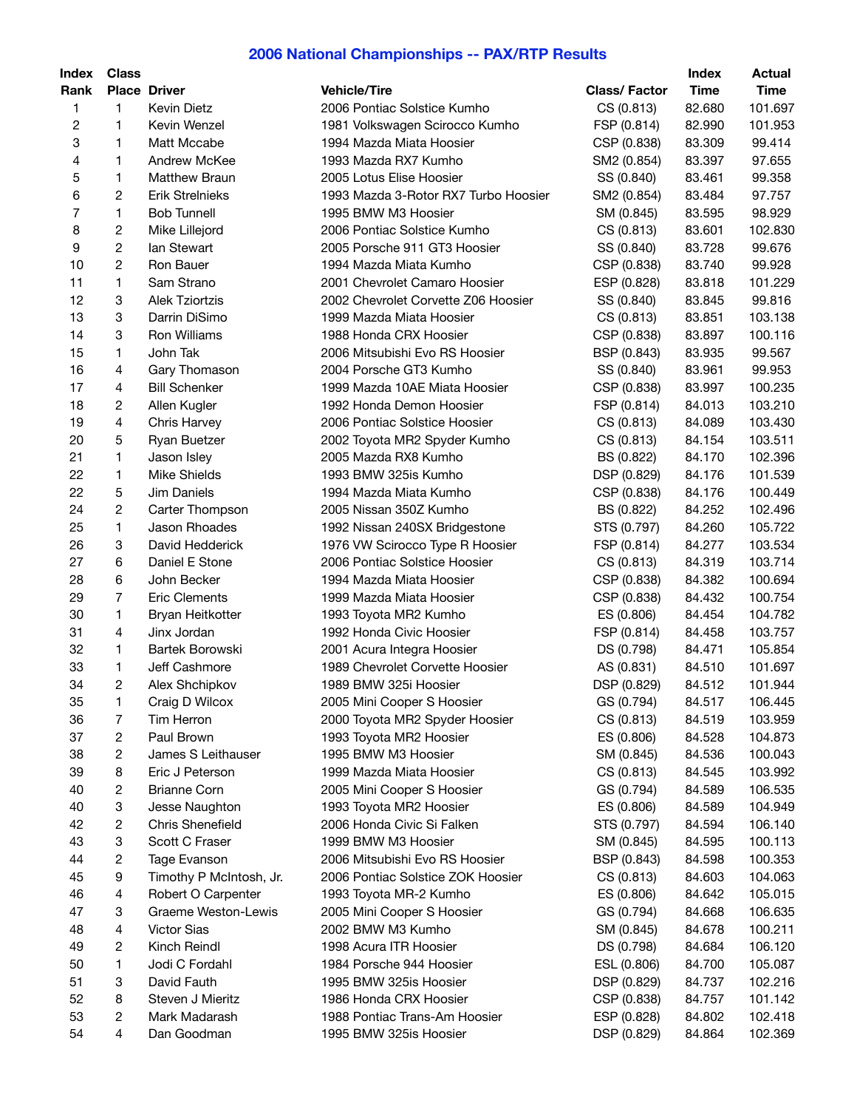## **2006 National Championships -- PAX/RTP Results**

| <b>Index</b>   | <b>Class</b>            |                         |                                      |                     | <b>Index</b> | <b>Actual</b> |
|----------------|-------------------------|-------------------------|--------------------------------------|---------------------|--------------|---------------|
| Rank           |                         | <b>Place Driver</b>     | <b>Vehicle/Tire</b>                  | <b>Class/Factor</b> | <b>Time</b>  | <b>Time</b>   |
| 1              | 1.                      | <b>Kevin Dietz</b>      | 2006 Pontiac Solstice Kumho          | CS (0.813)          | 82.680       | 101.697       |
| $\overline{c}$ | 1                       | Kevin Wenzel            | 1981 Volkswagen Scirocco Kumho       | FSP (0.814)         | 82.990       | 101.953       |
| 3              | 1.                      | Matt Mccabe             | 1994 Mazda Miata Hoosier             | CSP (0.838)         | 83.309       | 99.414        |
| 4              | 1                       | Andrew McKee            | 1993 Mazda RX7 Kumho                 | SM2 (0.854)         | 83.397       | 97.655        |
| 5              | 1                       | <b>Matthew Braun</b>    | 2005 Lotus Elise Hoosier             | SS (0.840)          | 83.461       | 99.358        |
| 6              | $\overline{c}$          | <b>Erik Strelnieks</b>  | 1993 Mazda 3-Rotor RX7 Turbo Hoosier | SM2 (0.854)         | 83.484       | 97.757        |
| $\overline{7}$ | 1                       | <b>Bob Tunnell</b>      | 1995 BMW M3 Hoosier                  | SM (0.845)          | 83.595       | 98.929        |
| 8              | 2                       | Mike Lillejord          | 2006 Pontiac Solstice Kumho          | CS (0.813)          | 83.601       | 102.830       |
|                |                         |                         |                                      |                     |              |               |
| 9              | $\overline{\mathbf{c}}$ | lan Stewart             | 2005 Porsche 911 GT3 Hoosier         | SS (0.840)          | 83.728       | 99.676        |
| 10             | $\overline{c}$          | Ron Bauer               | 1994 Mazda Miata Kumho               | CSP (0.838)         | 83.740       | 99.928        |
| 11             | 1                       | Sam Strano              | 2001 Chevrolet Camaro Hoosier        | ESP (0.828)         | 83.818       | 101.229       |
| 12             | 3                       | <b>Alek Tziortzis</b>   | 2002 Chevrolet Corvette Z06 Hoosier  | SS (0.840)          | 83.845       | 99.816        |
| 13             | 3                       | Darrin DiSimo           | 1999 Mazda Miata Hoosier             | CS (0.813)          | 83.851       | 103.138       |
| 14             | 3                       | Ron Williams            | 1988 Honda CRX Hoosier               | CSP (0.838)         | 83.897       | 100.116       |
| 15             | 1                       | John Tak                | 2006 Mitsubishi Evo RS Hoosier       | BSP (0.843)         | 83.935       | 99.567        |
| 16             | 4                       | Gary Thomason           | 2004 Porsche GT3 Kumho               | SS (0.840)          | 83.961       | 99.953        |
| 17             | $\overline{4}$          | <b>Bill Schenker</b>    | 1999 Mazda 10AE Miata Hoosier        | CSP (0.838)         | 83.997       | 100.235       |
| 18             | 2                       | Allen Kugler            | 1992 Honda Demon Hoosier             | FSP (0.814)         | 84.013       | 103.210       |
| 19             | 4                       | Chris Harvey            | 2006 Pontiac Solstice Hoosier        | CS (0.813)          | 84.089       | 103.430       |
| 20             | 5                       | Ryan Buetzer            | 2002 Toyota MR2 Spyder Kumho         | CS (0.813)          | 84.154       | 103.511       |
| 21             | 1                       | Jason Isley             | 2005 Mazda RX8 Kumho                 | BS (0.822)          | 84.170       | 102.396       |
| 22             | 1                       | <b>Mike Shields</b>     | 1993 BMW 325is Kumho                 | DSP (0.829)         | 84.176       | 101.539       |
| 22             | 5                       | Jim Daniels             | 1994 Mazda Miata Kumho               | CSP (0.838)         | 84.176       | 100.449       |
| 24             | 2                       | Carter Thompson         | 2005 Nissan 350Z Kumho               | BS (0.822)          | 84.252       | 102.496       |
| 25             | 1                       | Jason Rhoades           | 1992 Nissan 240SX Bridgestone        | STS (0.797)         | 84.260       | 105.722       |
| 26             | 3                       | David Hedderick         | 1976 VW Scirocco Type R Hoosier      | FSP (0.814)         | 84.277       | 103.534       |
| 27             | 6                       | Daniel E Stone          | 2006 Pontiac Solstice Hoosier        | CS (0.813)          | 84.319       | 103.714       |
| 28             | 6                       | John Becker             | 1994 Mazda Miata Hoosier             | CSP (0.838)         | 84.382       | 100.694       |
| 29             | $\overline{7}$          | <b>Eric Clements</b>    | 1999 Mazda Miata Hoosier             | CSP (0.838)         | 84.432       | 100.754       |
| 30             | 1                       | Bryan Heitkotter        | 1993 Toyota MR2 Kumho                | ES (0.806)          | 84.454       | 104.782       |
| 31             | $\overline{4}$          | Jinx Jordan             | 1992 Honda Civic Hoosier             | FSP (0.814)         | 84.458       | 103.757       |
| 32             | 1.                      | Bartek Borowski         | 2001 Acura Integra Hoosier           | DS (0.798)          | 84.471       | 105.854       |
| 33             | 1                       | Jeff Cashmore           | 1989 Chevrolet Corvette Hoosier      |                     |              |               |
| 34             |                         |                         |                                      | AS (0.831)          | 84.510       | 101.697       |
|                | 2                       | Alex Shchipkov          | 1989 BMW 325i Hoosier                | DSP (0.829)         | 84.512       | 101.944       |
| 35             | 1                       | Craig D Wilcox          | 2005 Mini Cooper S Hoosier           | GS (0.794)          | 84.517       | 106.445       |
| 36             | 7                       | Tim Herron              | 2000 Toyota MR2 Spyder Hoosier       | CS (0.813)          | 84.519       | 103.959       |
| 37             | 2                       | Paul Brown              | 1993 Toyota MR2 Hoosier              | ES (0.806)          | 84.528       | 104.873       |
| 38             | 2                       | James S Leithauser      | 1995 BMW M3 Hoosier                  | SM (0.845)          | 84.536       | 100.043       |
| 39             | 8                       | Eric J Peterson         | 1999 Mazda Miata Hoosier             | CS (0.813)          | 84.545       | 103.992       |
| 40             | 2                       | <b>Brianne Corn</b>     | 2005 Mini Cooper S Hoosier           | GS (0.794)          | 84.589       | 106.535       |
| 40             | 3                       | Jesse Naughton          | 1993 Toyota MR2 Hoosier              | ES (0.806)          | 84.589       | 104.949       |
| 42             | 2                       | Chris Shenefield        | 2006 Honda Civic Si Falken           | STS (0.797)         | 84.594       | 106.140       |
| 43             | 3                       | Scott C Fraser          | 1999 BMW M3 Hoosier                  | SM (0.845)          | 84.595       | 100.113       |
| 44             | 2                       | Tage Evanson            | 2006 Mitsubishi Evo RS Hoosier       | BSP (0.843)         | 84.598       | 100.353       |
| 45             | 9                       | Timothy P McIntosh, Jr. | 2006 Pontiac Solstice ZOK Hoosier    | CS (0.813)          | 84.603       | 104.063       |
| 46             | 4                       | Robert O Carpenter      | 1993 Toyota MR-2 Kumho               | ES (0.806)          | 84.642       | 105.015       |
| 47             | 3                       | Graeme Weston-Lewis     | 2005 Mini Cooper S Hoosier           | GS (0.794)          | 84.668       | 106.635       |
| 48             | 4                       | <b>Victor Sias</b>      | 2002 BMW M3 Kumho                    | SM (0.845)          | 84.678       | 100.211       |
| 49             | 2                       | Kinch Reindl            | 1998 Acura ITR Hoosier               | DS (0.798)          | 84.684       | 106.120       |
| 50             | 1                       | Jodi C Fordahl          | 1984 Porsche 944 Hoosier             | ESL (0.806)         | 84.700       | 105.087       |
| 51             | 3                       | David Fauth             | 1995 BMW 325is Hoosier               | DSP (0.829)         | 84.737       | 102.216       |
| 52             | 8                       | Steven J Mieritz        | 1986 Honda CRX Hoosier               | CSP (0.838)         | 84.757       | 101.142       |
| 53             | 2                       | Mark Madarash           | 1988 Pontiac Trans-Am Hoosier        | ESP (0.828)         | 84.802       | 102.418       |
| 54             | 4                       | Dan Goodman             | 1995 BMW 325is Hoosier               | DSP (0.829)         | 84.864       | 102.369       |
|                |                         |                         |                                      |                     |              |               |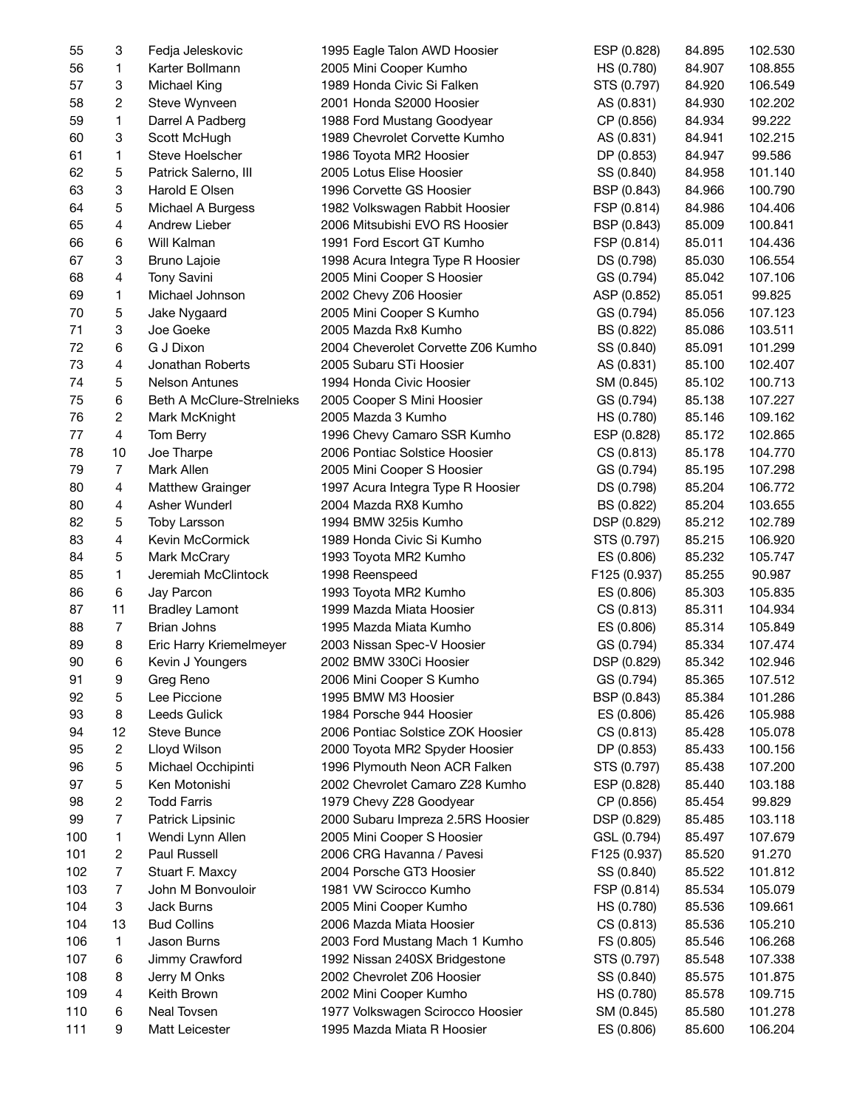| 55  | 3              | Fedja Jeleskovic          | 1995 Eagle Talon AWD Hoosier       | ESP (0.828)  | 84.895 | 102.530 |
|-----|----------------|---------------------------|------------------------------------|--------------|--------|---------|
| 56  | 1              | Karter Bollmann           | 2005 Mini Cooper Kumho             | HS (0.780)   | 84.907 | 108.855 |
| 57  | 3              | Michael King              | 1989 Honda Civic Si Falken         | STS (0.797)  | 84.920 | 106.549 |
| 58  | 2              | Steve Wynveen             | 2001 Honda S2000 Hoosier           | AS (0.831)   | 84.930 | 102.202 |
| 59  | 1              | Darrel A Padberg          | 1988 Ford Mustang Goodyear         | CP (0.856)   | 84.934 | 99.222  |
| 60  | 3              | Scott McHugh              | 1989 Chevrolet Corvette Kumho      | AS (0.831)   | 84.941 | 102.215 |
| 61  | 1              | Steve Hoelscher           | 1986 Toyota MR2 Hoosier            | DP (0.853)   | 84.947 | 99.586  |
| 62  | 5              | Patrick Salerno, III      | 2005 Lotus Elise Hoosier           | SS (0.840)   | 84.958 | 101.140 |
| 63  | 3              | Harold E Olsen            | 1996 Corvette GS Hoosier           | BSP (0.843)  | 84.966 | 100.790 |
| 64  | 5              | Michael A Burgess         | 1982 Volkswagen Rabbit Hoosier     | FSP (0.814)  | 84.986 | 104.406 |
| 65  | 4              | Andrew Lieber             | 2006 Mitsubishi EVO RS Hoosier     | BSP (0.843)  | 85.009 | 100.841 |
| 66  | 6              | Will Kalman               | 1991 Ford Escort GT Kumho          | FSP (0.814)  | 85.011 | 104.436 |
| 67  | 3              | Bruno Lajoie              | 1998 Acura Integra Type R Hoosier  | DS (0.798)   | 85.030 | 106.554 |
| 68  | 4              | Tony Savini               | 2005 Mini Cooper S Hoosier         | GS (0.794)   | 85.042 | 107.106 |
| 69  | 1              | Michael Johnson           | 2002 Chevy Z06 Hoosier             | ASP (0.852)  | 85.051 | 99.825  |
|     |                |                           |                                    |              |        |         |
| 70  | 5              | Jake Nygaard              | 2005 Mini Cooper S Kumho           | GS (0.794)   | 85.056 | 107.123 |
| 71  | 3              | Joe Goeke                 | 2005 Mazda Rx8 Kumho               | BS (0.822)   | 85.086 | 103.511 |
| 72  | 6              | G J Dixon                 | 2004 Cheverolet Corvette Z06 Kumho | SS (0.840)   | 85.091 | 101.299 |
| 73  | 4              | Jonathan Roberts          | 2005 Subaru STi Hoosier            | AS (0.831)   | 85.100 | 102.407 |
| 74  | 5              | <b>Nelson Antunes</b>     | 1994 Honda Civic Hoosier           | SM (0.845)   | 85.102 | 100.713 |
| 75  | 6              | Beth A McClure-Strelnieks | 2005 Cooper S Mini Hoosier         | GS (0.794)   | 85.138 | 107.227 |
| 76  | 2              | Mark McKnight             | 2005 Mazda 3 Kumho                 | HS (0.780)   | 85.146 | 109.162 |
| 77  | 4              | Tom Berry                 | 1996 Chevy Camaro SSR Kumho        | ESP (0.828)  | 85.172 | 102.865 |
| 78  | 10             | Joe Tharpe                | 2006 Pontiac Solstice Hoosier      | CS (0.813)   | 85.178 | 104.770 |
| 79  | $\overline{7}$ | Mark Allen                | 2005 Mini Cooper S Hoosier         | GS (0.794)   | 85.195 | 107.298 |
| 80  | 4              | Matthew Grainger          | 1997 Acura Integra Type R Hoosier  | DS (0.798)   | 85.204 | 106.772 |
| 80  | 4              | Asher Wunderl             | 2004 Mazda RX8 Kumho               | BS (0.822)   | 85.204 | 103.655 |
| 82  | 5              | <b>Toby Larsson</b>       | 1994 BMW 325is Kumho               | DSP (0.829)  | 85.212 | 102.789 |
| 83  | 4              | Kevin McCormick           | 1989 Honda Civic Si Kumho          | STS (0.797)  | 85.215 | 106.920 |
| 84  | 5              | Mark McCrary              | 1993 Toyota MR2 Kumho              | ES (0.806)   | 85.232 | 105.747 |
| 85  | 1              | Jeremiah McClintock       | 1998 Reenspeed                     | F125 (0.937) | 85.255 | 90.987  |
| 86  | 6              | Jay Parcon                | 1993 Toyota MR2 Kumho              | ES (0.806)   | 85.303 | 105.835 |
| 87  | 11             | <b>Bradley Lamont</b>     | 1999 Mazda Miata Hoosier           | CS (0.813)   | 85.311 | 104.934 |
| 88  | $\overline{7}$ | <b>Brian Johns</b>        | 1995 Mazda Miata Kumho             | ES (0.806)   | 85.314 | 105.849 |
| 89  | 8              | Eric Harry Kriemelmeyer   | 2003 Nissan Spec-V Hoosier         | GS (0.794)   | 85.334 | 107.474 |
| 90  | 6              | Kevin J Youngers          | 2002 BMW 330Ci Hoosier             | DSP (0.829)  | 85.342 | 102.946 |
| 91  | 9              | Greg Reno                 | 2006 Mini Cooper S Kumho           | GS (0.794)   | 85.365 | 107.512 |
| 92  | 5              | Lee Piccione              | 1995 BMW M3 Hoosier                | BSP (0.843)  | 85.384 | 101.286 |
| 93  | 8              | Leeds Gulick              | 1984 Porsche 944 Hoosier           | ES (0.806)   | 85.426 | 105.988 |
| 94  | 12             | <b>Steve Bunce</b>        | 2006 Pontiac Solstice ZOK Hoosier  | CS (0.813)   | 85.428 | 105.078 |
| 95  | 2              | Lloyd Wilson              | 2000 Toyota MR2 Spyder Hoosier     | DP (0.853)   | 85.433 | 100.156 |
| 96  | 5              | Michael Occhipinti        | 1996 Plymouth Neon ACR Falken      | STS (0.797)  | 85.438 | 107.200 |
| 97  | 5              | Ken Motonishi             | 2002 Chevrolet Camaro Z28 Kumho    | ESP (0.828)  | 85.440 | 103.188 |
| 98  | $\overline{c}$ | <b>Todd Farris</b>        | 1979 Chevy Z28 Goodyear            | CP (0.856)   | 85.454 | 99.829  |
| 99  | 7              | Patrick Lipsinic          | 2000 Subaru Impreza 2.5RS Hoosier  | DSP (0.829)  | 85.485 | 103.118 |
|     |                |                           |                                    |              |        |         |
| 100 | 1              | Wendi Lynn Allen          | 2005 Mini Cooper S Hoosier         | GSL (0.794)  | 85.497 | 107.679 |
| 101 | 2              | Paul Russell              | 2006 CRG Havanna / Pavesi          | F125 (0.937) | 85.520 | 91.270  |
| 102 | 7              | Stuart F. Maxcy           | 2004 Porsche GT3 Hoosier           | SS (0.840)   | 85.522 | 101.812 |
| 103 | 7              | John M Bonvouloir         | 1981 VW Scirocco Kumho             | FSP (0.814)  | 85.534 | 105.079 |
| 104 | 3              | Jack Burns                | 2005 Mini Cooper Kumho             | HS (0.780)   | 85.536 | 109.661 |
| 104 | 13             | <b>Bud Collins</b>        | 2006 Mazda Miata Hoosier           | CS (0.813)   | 85.536 | 105.210 |
| 106 | 1              | Jason Burns               | 2003 Ford Mustang Mach 1 Kumho     | FS (0.805)   | 85.546 | 106.268 |
| 107 | 6              | Jimmy Crawford            | 1992 Nissan 240SX Bridgestone      | STS (0.797)  | 85.548 | 107.338 |
| 108 | 8              | Jerry M Onks              | 2002 Chevrolet Z06 Hoosier         | SS (0.840)   | 85.575 | 101.875 |
| 109 | 4              | Keith Brown               | 2002 Mini Cooper Kumho             | HS (0.780)   | 85.578 | 109.715 |
| 110 | 6              | Neal Tovsen               | 1977 Volkswagen Scirocco Hoosier   | SM (0.845)   | 85.580 | 101.278 |
| 111 | 9              | Matt Leicester            | 1995 Mazda Miata R Hoosier         | ES (0.806)   | 85.600 | 106.204 |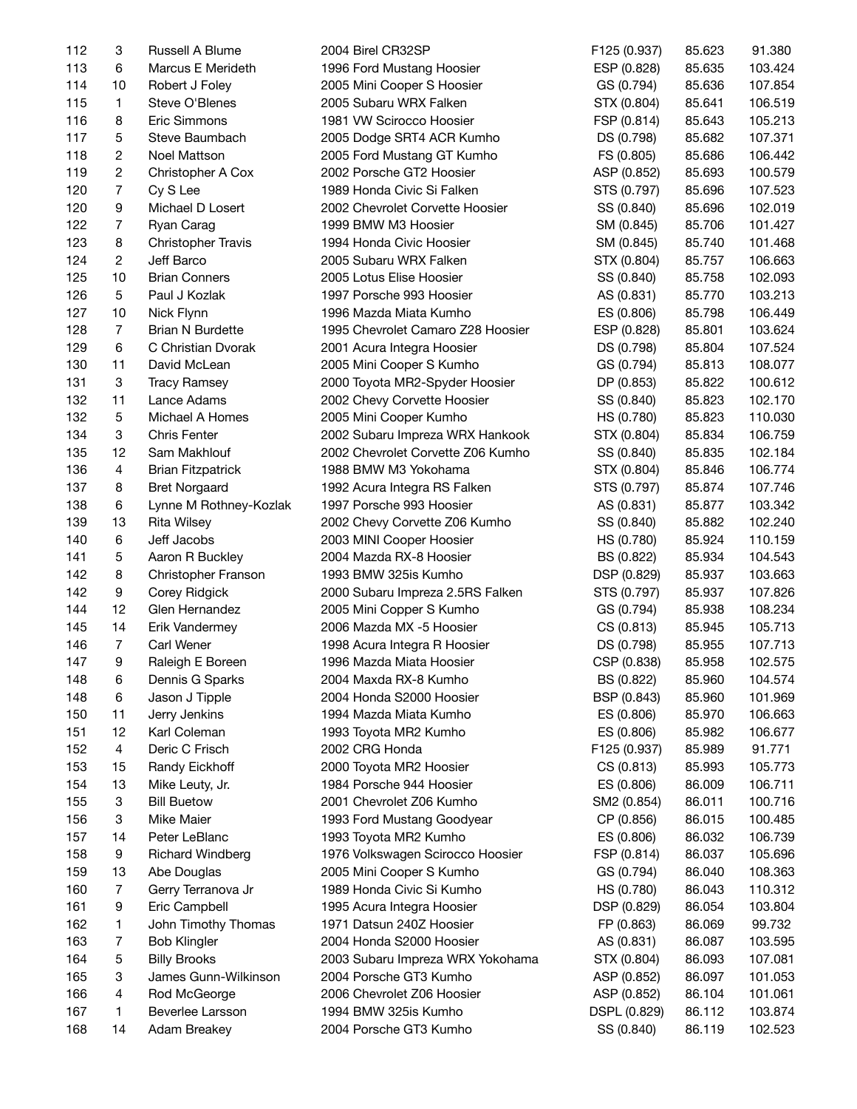| 112 | 3              | Russell A Blume           | 2004 Birel CR32SP                 | F125 (0.937) | 85.623 | 91.380             |
|-----|----------------|---------------------------|-----------------------------------|--------------|--------|--------------------|
| 113 | 6              | Marcus E Merideth         | 1996 Ford Mustang Hoosier         | ESP (0.828)  | 85.635 | 103.424            |
| 114 | 10             | Robert J Foley            | 2005 Mini Cooper S Hoosier        | GS (0.794)   | 85.636 | 107.854            |
| 115 | $\mathbf{1}$   | Steve O'Blenes            | 2005 Subaru WRX Falken            | STX (0.804)  | 85.641 | 106.519            |
| 116 | 8              | Eric Simmons              | 1981 VW Scirocco Hoosier          | FSP (0.814)  | 85.643 | 105.213            |
| 117 | 5              | Steve Baumbach            | 2005 Dodge SRT4 ACR Kumho         | DS (0.798)   | 85.682 | 107.371            |
| 118 | $\overline{c}$ | Noel Mattson              | 2005 Ford Mustang GT Kumho        | FS (0.805)   | 85.686 | 106.442            |
| 119 | $\overline{c}$ | Christopher A Cox         | 2002 Porsche GT2 Hoosier          | ASP (0.852)  | 85.693 | 100.579            |
| 120 | $\overline{7}$ | Cy S Lee                  | 1989 Honda Civic Si Falken        | STS (0.797)  | 85.696 | 107.523            |
| 120 | 9              | Michael D Losert          | 2002 Chevrolet Corvette Hoosier   | SS (0.840)   | 85.696 | 102.019            |
| 122 | $\overline{7}$ | Ryan Carag                | 1999 BMW M3 Hoosier               | SM (0.845)   | 85.706 | 101.427            |
| 123 | 8              | <b>Christopher Travis</b> | 1994 Honda Civic Hoosier          | SM (0.845)   | 85.740 | 101.468            |
| 124 | $\overline{2}$ | Jeff Barco                | 2005 Subaru WRX Falken            | STX (0.804)  | 85.757 | 106.663            |
| 125 | 10             | <b>Brian Conners</b>      | 2005 Lotus Elise Hoosier          | SS (0.840)   | 85.758 | 102.093            |
| 126 | 5              | Paul J Kozlak             | 1997 Porsche 993 Hoosier          | AS (0.831)   | 85.770 | 103.213            |
| 127 | 10             | Nick Flynn                | 1996 Mazda Miata Kumho            | ES (0.806)   | 85.798 | 106.449            |
| 128 | $\overline{7}$ | <b>Brian N Burdette</b>   | 1995 Chevrolet Camaro Z28 Hoosier | ESP (0.828)  | 85.801 | 103.624            |
| 129 | 6              | C Christian Dvorak        | 2001 Acura Integra Hoosier        | DS (0.798)   | 85.804 | 107.524            |
| 130 | 11             | David McLean              | 2005 Mini Cooper S Kumho          | GS (0.794)   | 85.813 | 108.077            |
| 131 | 3              | <b>Tracy Ramsey</b>       |                                   |              | 85.822 |                    |
|     |                |                           | 2000 Toyota MR2-Spyder Hoosier    | DP (0.853)   |        | 100.612<br>102.170 |
| 132 | 11             | Lance Adams               | 2002 Chevy Corvette Hoosier       | SS (0.840)   | 85.823 |                    |
| 132 | 5              | Michael A Homes           | 2005 Mini Cooper Kumho            | HS (0.780)   | 85.823 | 110.030            |
| 134 | 3              | <b>Chris Fenter</b>       | 2002 Subaru Impreza WRX Hankook   | STX (0.804)  | 85.834 | 106.759            |
| 135 | 12             | Sam Makhlouf              | 2002 Chevrolet Corvette Z06 Kumho | SS (0.840)   | 85.835 | 102.184            |
| 136 | 4              | <b>Brian Fitzpatrick</b>  | 1988 BMW M3 Yokohama              | STX (0.804)  | 85.846 | 106.774            |
| 137 | 8              | <b>Bret Norgaard</b>      | 1992 Acura Integra RS Falken      | STS (0.797)  | 85.874 | 107.746            |
| 138 | 6              | Lynne M Rothney-Kozlak    | 1997 Porsche 993 Hoosier          | AS (0.831)   | 85.877 | 103.342            |
| 139 | 13             | <b>Rita Wilsey</b>        | 2002 Chevy Corvette Z06 Kumho     | SS (0.840)   | 85.882 | 102.240            |
| 140 | $\,6\,$        | Jeff Jacobs               | 2003 MINI Cooper Hoosier          | HS (0.780)   | 85.924 | 110.159            |
| 141 | 5              | Aaron R Buckley           | 2004 Mazda RX-8 Hoosier           | BS (0.822)   | 85.934 | 104.543            |
| 142 | 8              | Christopher Franson       | 1993 BMW 325is Kumho              | DSP (0.829)  | 85.937 | 103.663            |
| 142 | 9              | Corey Ridgick             | 2000 Subaru Impreza 2.5RS Falken  | STS (0.797)  | 85.937 | 107.826            |
| 144 | 12             | Glen Hernandez            | 2005 Mini Copper S Kumho          | GS (0.794)   | 85.938 | 108.234            |
| 145 | 14             | Erik Vandermey            | 2006 Mazda MX -5 Hoosier          | CS (0.813)   | 85.945 | 105.713            |
| 146 | $\overline{7}$ | Carl Wener                | 1998 Acura Integra R Hoosier      | DS (0.798)   | 85.955 | 107.713            |
| 147 | 9              | Raleigh E Boreen          | 1996 Mazda Miata Hoosier          | CSP (0.838)  | 85.958 | 102.575            |
| 148 | 6              | Dennis G Sparks           | 2004 Maxda RX-8 Kumho             | BS (0.822)   | 85.960 | 104.574            |
| 148 | 6              | Jason J Tipple            | 2004 Honda S2000 Hoosier          | BSP (0.843)  | 85.960 | 101.969            |
| 150 | 11             | Jerry Jenkins             | 1994 Mazda Miata Kumho            | ES (0.806)   | 85.970 | 106.663            |
| 151 | 12             | Karl Coleman              | 1993 Toyota MR2 Kumho             | ES (0.806)   | 85.982 | 106.677            |
| 152 | 4              | Deric C Frisch            | 2002 CRG Honda                    | F125 (0.937) | 85.989 | 91.771             |
| 153 | 15             | Randy Eickhoff            | 2000 Toyota MR2 Hoosier           | CS (0.813)   | 85.993 | 105.773            |
| 154 | 13             | Mike Leuty, Jr.           | 1984 Porsche 944 Hoosier          | ES (0.806)   | 86.009 | 106.711            |
| 155 | 3              | <b>Bill Buetow</b>        | 2001 Chevrolet Z06 Kumho          | SM2 (0.854)  | 86.011 | 100.716            |
| 156 | 3              | Mike Maier                | 1993 Ford Mustang Goodyear        | CP (0.856)   | 86.015 | 100.485            |
| 157 | 14             | Peter LeBlanc             | 1993 Toyota MR2 Kumho             | ES (0.806)   | 86.032 | 106.739            |
| 158 | 9              | <b>Richard Windberg</b>   | 1976 Volkswagen Scirocco Hoosier  | FSP (0.814)  | 86.037 | 105.696            |
| 159 | 13             | Abe Douglas               | 2005 Mini Cooper S Kumho          | GS (0.794)   | 86.040 | 108.363            |
| 160 | 7              | Gerry Terranova Jr        | 1989 Honda Civic Si Kumho         | HS (0.780)   | 86.043 | 110.312            |
| 161 | 9              | Eric Campbell             | 1995 Acura Integra Hoosier        | DSP (0.829)  | 86.054 | 103.804            |
| 162 | 1              | John Timothy Thomas       | 1971 Datsun 240Z Hoosier          | FP (0.863)   | 86.069 | 99.732             |
| 163 | 7              | <b>Bob Klingler</b>       | 2004 Honda S2000 Hoosier          | AS (0.831)   | 86.087 | 103.595            |
| 164 | 5              | <b>Billy Brooks</b>       | 2003 Subaru Impreza WRX Yokohama  | STX (0.804)  | 86.093 | 107.081            |
| 165 | 3              | James Gunn-Wilkinson      | 2004 Porsche GT3 Kumho            | ASP (0.852)  | 86.097 | 101.053            |
| 166 | 4              | Rod McGeorge              | 2006 Chevrolet Z06 Hoosier        | ASP (0.852)  | 86.104 | 101.061            |
| 167 | 1              | Beverlee Larsson          | 1994 BMW 325is Kumho              | DSPL (0.829) | 86.112 | 103.874            |
| 168 | 14             | Adam Breakey              | 2004 Porsche GT3 Kumho            | SS (0.840)   | 86.119 | 102.523            |
|     |                |                           |                                   |              |        |                    |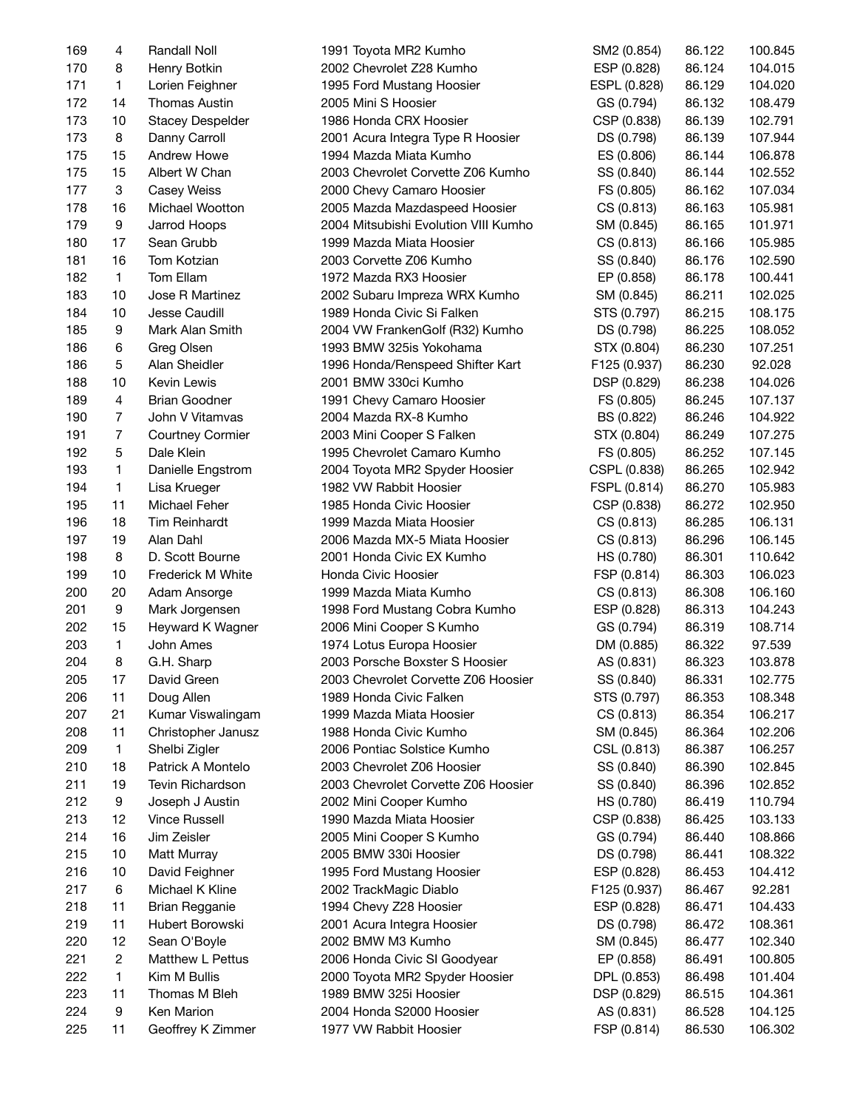| 169 | 4                | Randall Noll            | 1991 Toyota MR2 Kumho                | SM2 (0.854)  | 86.122 | 100.845 |
|-----|------------------|-------------------------|--------------------------------------|--------------|--------|---------|
| 170 | 8                | Henry Botkin            | 2002 Chevrolet Z28 Kumho             | ESP (0.828)  | 86.124 | 104.015 |
| 171 | $\mathbf{1}$     | Lorien Feighner         | 1995 Ford Mustang Hoosier            | ESPL (0.828) | 86.129 | 104.020 |
| 172 | 14               | <b>Thomas Austin</b>    | 2005 Mini S Hoosier                  | GS (0.794)   | 86.132 | 108.479 |
| 173 | 10               | <b>Stacey Despelder</b> | 1986 Honda CRX Hoosier               | CSP (0.838)  | 86.139 | 102.791 |
| 173 | 8                | Danny Carroll           | 2001 Acura Integra Type R Hoosier    | DS (0.798)   | 86.139 | 107.944 |
| 175 | 15               | Andrew Howe             | 1994 Mazda Miata Kumho               | ES (0.806)   | 86.144 | 106.878 |
| 175 | 15               | Albert W Chan           | 2003 Chevrolet Corvette Z06 Kumho    | SS (0.840)   | 86.144 | 102.552 |
| 177 | 3                | Casey Weiss             | 2000 Chevy Camaro Hoosier            | FS (0.805)   | 86.162 | 107.034 |
| 178 | 16               | Michael Wootton         | 2005 Mazda Mazdaspeed Hoosier        | CS (0.813)   | 86.163 | 105.981 |
| 179 | 9                | Jarrod Hoops            | 2004 Mitsubishi Evolution VIII Kumho | SM (0.845)   | 86.165 | 101.971 |
| 180 | 17               | Sean Grubb              | 1999 Mazda Miata Hoosier             | CS (0.813)   | 86.166 | 105.985 |
| 181 | 16               | Tom Kotzian             | 2003 Corvette Z06 Kumho              | SS (0.840)   | 86.176 | 102.590 |
| 182 | $\mathbf{1}$     | Tom Ellam               | 1972 Mazda RX3 Hoosier               | EP (0.858)   | 86.178 | 100.441 |
| 183 | 10               | Jose R Martinez         | 2002 Subaru Impreza WRX Kumho        | SM (0.845)   | 86.211 | 102.025 |
| 184 | 10               | Jesse Caudill           | 1989 Honda Civic Si Falken           | STS (0.797)  | 86.215 | 108.175 |
| 185 | 9                | Mark Alan Smith         | 2004 VW FrankenGolf (R32) Kumho      | DS (0.798)   | 86.225 | 108.052 |
| 186 | 6                | Greg Olsen              | 1993 BMW 325is Yokohama              | STX (0.804)  | 86.230 | 107.251 |
|     | 5                | Alan Sheidler           |                                      |              |        | 92.028  |
| 186 |                  |                         | 1996 Honda/Renspeed Shifter Kart     | F125 (0.937) | 86.230 |         |
| 188 | 10               | Kevin Lewis             | 2001 BMW 330ci Kumho                 | DSP (0.829)  | 86.238 | 104.026 |
| 189 | 4                | <b>Brian Goodner</b>    | 1991 Chevy Camaro Hoosier            | FS (0.805)   | 86.245 | 107.137 |
| 190 | 7                | John V Vitamvas         | 2004 Mazda RX-8 Kumho                | BS (0.822)   | 86.246 | 104.922 |
| 191 | 7                | <b>Courtney Cormier</b> | 2003 Mini Cooper S Falken            | STX (0.804)  | 86.249 | 107.275 |
| 192 | 5                | Dale Klein              | 1995 Chevrolet Camaro Kumho          | FS (0.805)   | 86.252 | 107.145 |
| 193 | 1                | Danielle Engstrom       | 2004 Toyota MR2 Spyder Hoosier       | CSPL (0.838) | 86.265 | 102.942 |
| 194 | $\mathbf{1}$     | Lisa Krueger            | 1982 VW Rabbit Hoosier               | FSPL (0.814) | 86.270 | 105.983 |
| 195 | 11               | Michael Feher           | 1985 Honda Civic Hoosier             | CSP (0.838)  | 86.272 | 102.950 |
| 196 | 18               | <b>Tim Reinhardt</b>    | 1999 Mazda Miata Hoosier             | CS (0.813)   | 86.285 | 106.131 |
| 197 | 19               | Alan Dahl               | 2006 Mazda MX-5 Miata Hoosier        | CS (0.813)   | 86.296 | 106.145 |
| 198 | 8                | D. Scott Bourne         | 2001 Honda Civic EX Kumho            | HS (0.780)   | 86.301 | 110.642 |
| 199 | 10               | Frederick M White       | Honda Civic Hoosier                  | FSP (0.814)  | 86.303 | 106.023 |
| 200 | 20               | Adam Ansorge            | 1999 Mazda Miata Kumho               | CS (0.813)   | 86.308 | 106.160 |
| 201 | $\boldsymbol{9}$ | Mark Jorgensen          | 1998 Ford Mustang Cobra Kumho        | ESP (0.828)  | 86.313 | 104.243 |
| 202 | 15               | Heyward K Wagner        | 2006 Mini Cooper S Kumho             | GS (0.794)   | 86.319 | 108.714 |
| 203 | 1                | John Ames               | 1974 Lotus Europa Hoosier            | DM (0.885)   | 86.322 | 97.539  |
| 204 | 8                | G.H. Sharp              | 2003 Porsche Boxster S Hoosier       | AS (0.831)   | 86.323 | 103.878 |
| 205 | 17               | David Green             | 2003 Chevrolet Corvette Z06 Hoosier  | SS (0.840)   | 86.331 | 102.775 |
| 206 | 11               | Doug Allen              | 1989 Honda Civic Falken              | STS (0.797)  | 86.353 | 108.348 |
| 207 | 21               | Kumar Viswalingam       | 1999 Mazda Miata Hoosier             | CS (0.813)   | 86.354 | 106.217 |
| 208 | 11               | Christopher Janusz      | 1988 Honda Civic Kumho               | SM (0.845)   | 86.364 | 102.206 |
| 209 | $\mathbf{1}$     | Shelbi Zigler           | 2006 Pontiac Solstice Kumho          | CSL (0.813)  | 86.387 | 106.257 |
| 210 | 18               | Patrick A Montelo       | 2003 Chevrolet Z06 Hoosier           | SS (0.840)   | 86.390 | 102.845 |
| 211 | 19               | Tevin Richardson        | 2003 Chevrolet Corvette Z06 Hoosier  | SS (0.840)   | 86.396 | 102.852 |
| 212 | 9                | Joseph J Austin         | 2002 Mini Cooper Kumho               | HS (0.780)   | 86.419 | 110.794 |
| 213 | 12               | <b>Vince Russell</b>    | 1990 Mazda Miata Hoosier             | CSP (0.838)  | 86.425 | 103.133 |
| 214 | 16               | Jim Zeisler             | 2005 Mini Cooper S Kumho             | GS (0.794)   | 86.440 | 108.866 |
| 215 | 10               | Matt Murray             | 2005 BMW 330i Hoosier                | DS (0.798)   | 86.441 | 108.322 |
| 216 | 10               | David Feighner          | 1995 Ford Mustang Hoosier            | ESP (0.828)  | 86.453 | 104.412 |
| 217 | 6                | Michael K Kline         | 2002 TrackMagic Diablo               | F125 (0.937) | 86.467 | 92.281  |
| 218 | 11               | <b>Brian Regganie</b>   | 1994 Chevy Z28 Hoosier               | ESP (0.828)  | 86.471 | 104.433 |
| 219 | 11               | Hubert Borowski         | 2001 Acura Integra Hoosier           | DS (0.798)   | 86.472 | 108.361 |
| 220 | 12               | Sean O'Boyle            | 2002 BMW M3 Kumho                    | SM (0.845)   | 86.477 | 102.340 |
|     | $\overline{c}$   | Matthew L Pettus        |                                      |              |        |         |
| 221 | $\mathbf{1}$     | Kim M Bullis            | 2006 Honda Civic SI Goodyear         | EP (0.858)   | 86.491 | 100.805 |
| 222 |                  |                         | 2000 Toyota MR2 Spyder Hoosier       | DPL (0.853)  | 86.498 | 101.404 |
| 223 | 11               | Thomas M Bleh           | 1989 BMW 325i Hoosier                | DSP (0.829)  | 86.515 | 104.361 |
| 224 | 9                | Ken Marion              | 2004 Honda S2000 Hoosier             | AS (0.831)   | 86.528 | 104.125 |
| 225 | 11               | Geoffrey K Zimmer       | 1977 VW Rabbit Hoosier               | FSP (0.814)  | 86.530 | 106.302 |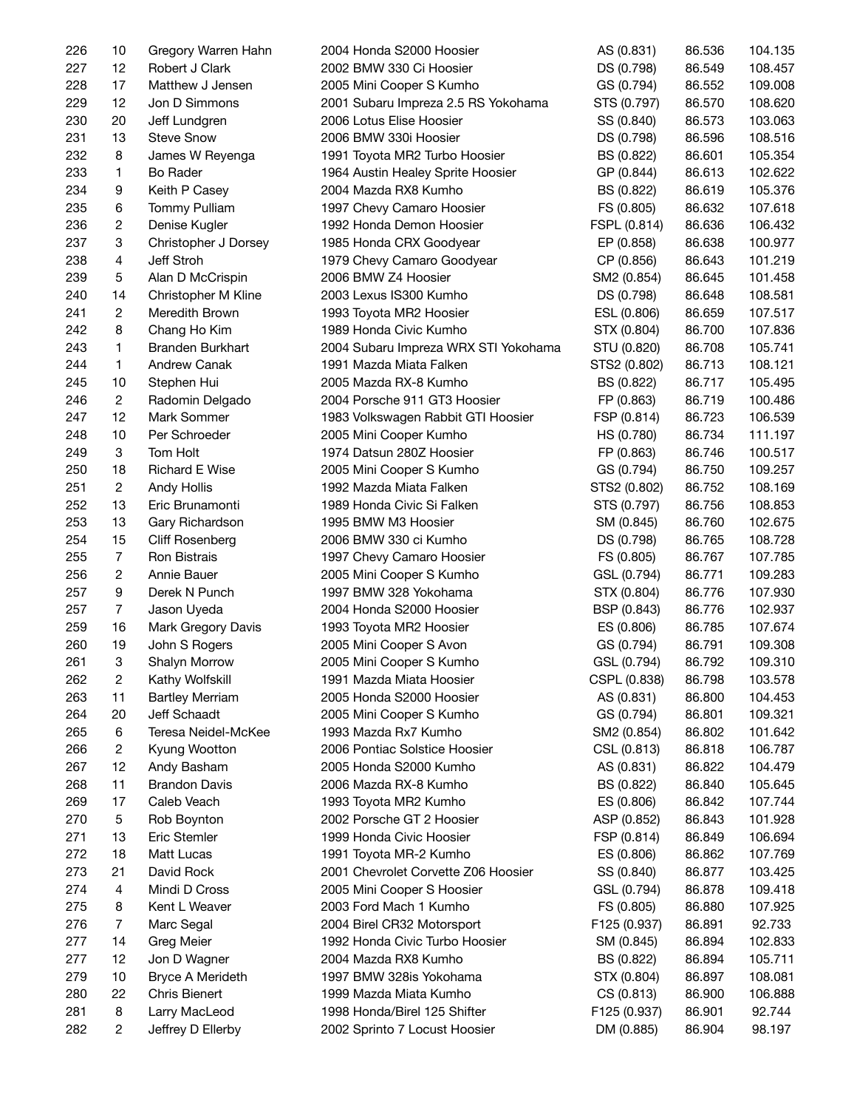| 226 | 10                      | Gregory Warren Hahn     | 2004 Honda S2000 Hoosier             | AS (0.831)   | 86.536 | 104.135 |
|-----|-------------------------|-------------------------|--------------------------------------|--------------|--------|---------|
| 227 | 12                      | Robert J Clark          | 2002 BMW 330 Ci Hoosier              | DS (0.798)   | 86.549 | 108.457 |
| 228 | 17                      | Matthew J Jensen        | 2005 Mini Cooper S Kumho             | GS (0.794)   | 86.552 | 109.008 |
| 229 | 12                      | Jon D Simmons           | 2001 Subaru Impreza 2.5 RS Yokohama  | STS (0.797)  | 86.570 | 108.620 |
| 230 | 20                      | Jeff Lundgren           | 2006 Lotus Elise Hoosier             | SS (0.840)   | 86.573 | 103.063 |
| 231 | 13                      | <b>Steve Snow</b>       | 2006 BMW 330i Hoosier                | DS (0.798)   | 86.596 | 108.516 |
| 232 | 8                       | James W Reyenga         | 1991 Toyota MR2 Turbo Hoosier        | BS (0.822)   | 86.601 | 105.354 |
| 233 | 1                       | Bo Rader                | 1964 Austin Healey Sprite Hoosier    | GP (0.844)   | 86.613 | 102.622 |
| 234 | 9                       | Keith P Casey           | 2004 Mazda RX8 Kumho                 | BS (0.822)   | 86.619 | 105.376 |
| 235 | 6                       | Tommy Pulliam           | 1997 Chevy Camaro Hoosier            | FS (0.805)   | 86.632 | 107.618 |
| 236 | 2                       | Denise Kugler           | 1992 Honda Demon Hoosier             | FSPL (0.814) | 86.636 | 106.432 |
| 237 | 3                       | Christopher J Dorsey    | 1985 Honda CRX Goodyear              | EP (0.858)   | 86.638 | 100.977 |
| 238 | 4                       | Jeff Stroh              | 1979 Chevy Camaro Goodyear           | CP (0.856)   | 86.643 | 101.219 |
| 239 | 5                       |                         | 2006 BMW Z4 Hoosier                  |              |        |         |
|     |                         | Alan D McCrispin        |                                      | SM2 (0.854)  | 86.645 | 101.458 |
| 240 | 14                      | Christopher M Kline     | 2003 Lexus IS300 Kumho               | DS (0.798)   | 86.648 | 108.581 |
| 241 | $\overline{\mathbf{c}}$ | Meredith Brown          | 1993 Toyota MR2 Hoosier              | ESL (0.806)  | 86.659 | 107.517 |
| 242 | 8                       | Chang Ho Kim            | 1989 Honda Civic Kumho               | STX (0.804)  | 86.700 | 107.836 |
| 243 | 1                       | <b>Branden Burkhart</b> | 2004 Subaru Impreza WRX STI Yokohama | STU (0.820)  | 86.708 | 105.741 |
| 244 | 1                       | Andrew Canak            | 1991 Mazda Miata Falken              | STS2 (0.802) | 86.713 | 108.121 |
| 245 | 10                      | Stephen Hui             | 2005 Mazda RX-8 Kumho                | BS (0.822)   | 86.717 | 105.495 |
| 246 | 2                       | Radomin Delgado         | 2004 Porsche 911 GT3 Hoosier         | FP (0.863)   | 86.719 | 100.486 |
| 247 | 12                      | Mark Sommer             | 1983 Volkswagen Rabbit GTI Hoosier   | FSP (0.814)  | 86.723 | 106.539 |
| 248 | 10                      | Per Schroeder           | 2005 Mini Cooper Kumho               | HS (0.780)   | 86.734 | 111.197 |
| 249 | 3                       | Tom Holt                | 1974 Datsun 280Z Hoosier             | FP (0.863)   | 86.746 | 100.517 |
| 250 | 18                      | <b>Richard E Wise</b>   | 2005 Mini Cooper S Kumho             | GS (0.794)   | 86.750 | 109.257 |
| 251 | $\sqrt{2}$              | Andy Hollis             | 1992 Mazda Miata Falken              | STS2 (0.802) | 86.752 | 108.169 |
| 252 | 13                      | Eric Brunamonti         | 1989 Honda Civic Si Falken           | STS (0.797)  | 86.756 | 108.853 |
| 253 | 13                      | Gary Richardson         | 1995 BMW M3 Hoosier                  | SM (0.845)   | 86.760 | 102.675 |
| 254 | 15                      | Cliff Rosenberg         | 2006 BMW 330 ci Kumho                | DS (0.798)   | 86.765 | 108.728 |
| 255 | $\overline{7}$          | Ron Bistrais            | 1997 Chevy Camaro Hoosier            | FS (0.805)   | 86.767 | 107.785 |
| 256 | 2                       | Annie Bauer             | 2005 Mini Cooper S Kumho             | GSL (0.794)  | 86.771 | 109.283 |
| 257 | 9                       | Derek N Punch           | 1997 BMW 328 Yokohama                | STX (0.804)  | 86.776 | 107.930 |
| 257 | $\overline{7}$          | Jason Uyeda             | 2004 Honda S2000 Hoosier             | BSP (0.843)  | 86.776 | 102.937 |
| 259 | 16                      | Mark Gregory Davis      | 1993 Toyota MR2 Hoosier              | ES (0.806)   | 86.785 | 107.674 |
| 260 | 19                      | John S Rogers           | 2005 Mini Cooper S Avon              | GS (0.794)   | 86.791 | 109.308 |
| 261 | 3                       | Shalyn Morrow           | 2005 Mini Cooper S Kumho             | GSL (0.794)  | 86.792 | 109.310 |
| 262 | 2                       | Kathy Wolfskill         | 1991 Mazda Miata Hoosier             | CSPL (0.838) | 86.798 | 103.578 |
| 263 | 11                      | <b>Bartley Merriam</b>  | 2005 Honda S2000 Hoosier             | AS (0.831)   | 86.800 | 104.453 |
| 264 | 20                      | Jeff Schaadt            | 2005 Mini Cooper S Kumho             | GS (0.794)   | 86.801 | 109.321 |
| 265 | 6                       | Teresa Neidel-McKee     | 1993 Mazda Rx7 Kumho                 | SM2 (0.854)  | 86.802 | 101.642 |
| 266 | 2                       | Kyung Wootton           | 2006 Pontiac Solstice Hoosier        | CSL (0.813)  | 86.818 | 106.787 |
| 267 | 12                      | Andy Basham             | 2005 Honda S2000 Kumho               | AS (0.831)   | 86.822 | 104.479 |
|     |                         |                         |                                      |              |        |         |
| 268 | 11                      | <b>Brandon Davis</b>    | 2006 Mazda RX-8 Kumho                | BS (0.822)   | 86.840 | 105.645 |
| 269 | 17                      | Caleb Veach             | 1993 Toyota MR2 Kumho                | ES (0.806)   | 86.842 | 107.744 |
| 270 | 5                       | Rob Boynton             | 2002 Porsche GT 2 Hoosier            | ASP (0.852)  | 86.843 | 101.928 |
| 271 | 13                      | Eric Stemler            | 1999 Honda Civic Hoosier             | FSP (0.814)  | 86.849 | 106.694 |
| 272 | 18                      | Matt Lucas              | 1991 Toyota MR-2 Kumho               | ES (0.806)   | 86.862 | 107.769 |
| 273 | 21                      | David Rock              | 2001 Chevrolet Corvette Z06 Hoosier  | SS (0.840)   | 86.877 | 103.425 |
| 274 | 4                       | Mindi D Cross           | 2005 Mini Cooper S Hoosier           | GSL (0.794)  | 86.878 | 109.418 |
| 275 | 8                       | Kent L Weaver           | 2003 Ford Mach 1 Kumho               | FS (0.805)   | 86.880 | 107.925 |
| 276 | $\overline{7}$          | Marc Segal              | 2004 Birel CR32 Motorsport           | F125 (0.937) | 86.891 | 92.733  |
| 277 | 14                      | Greg Meier              | 1992 Honda Civic Turbo Hoosier       | SM (0.845)   | 86.894 | 102.833 |
| 277 | 12                      | Jon D Wagner            | 2004 Mazda RX8 Kumho                 | BS (0.822)   | 86.894 | 105.711 |
| 279 | 10                      | Bryce A Merideth        | 1997 BMW 328is Yokohama              | STX (0.804)  | 86.897 | 108.081 |
| 280 | 22                      | Chris Bienert           | 1999 Mazda Miata Kumho               | CS (0.813)   | 86.900 | 106.888 |
| 281 | 8                       | Larry MacLeod           | 1998 Honda/Birel 125 Shifter         | F125 (0.937) | 86.901 | 92.744  |
| 282 | 2                       | Jeffrey D Ellerby       | 2002 Sprinto 7 Locust Hoosier        | DM (0.885)   | 86.904 | 98.197  |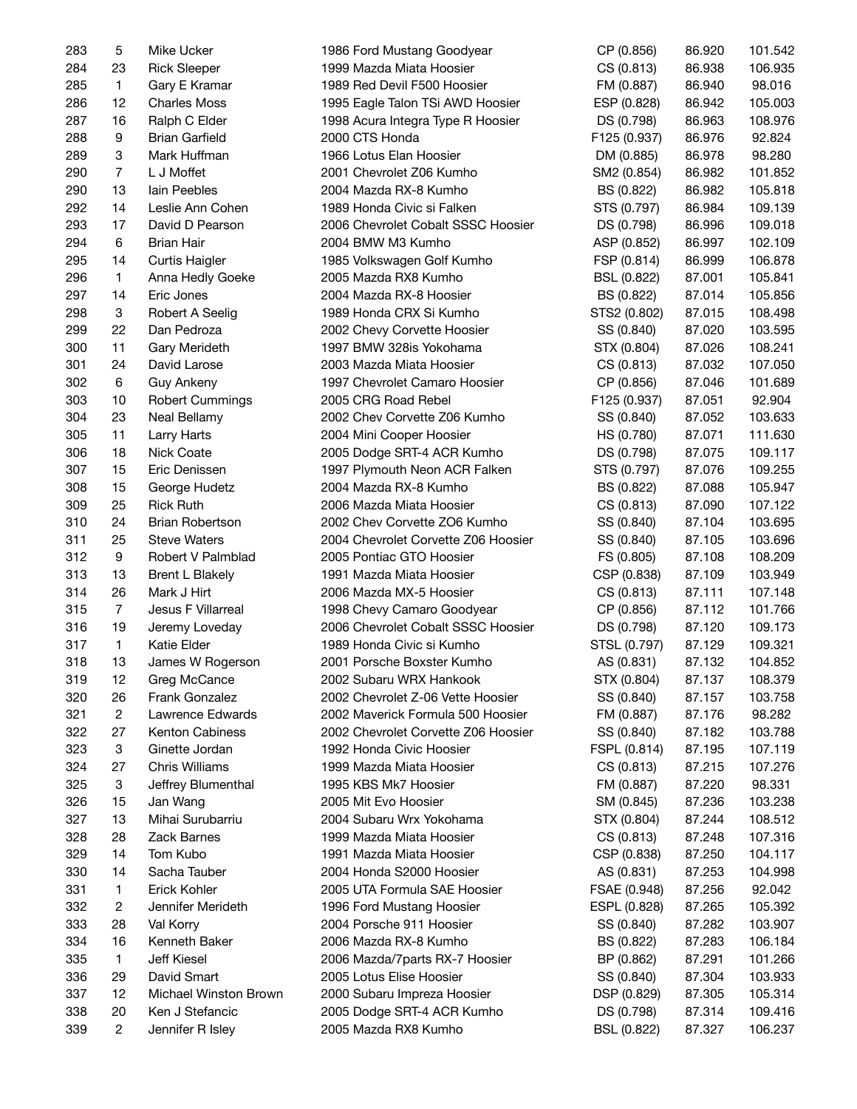| 283 | 5              | Mike Ucker             | 1986 Ford Mustang Goodyear          | CP (0.856)   | 86.920 | 101.542 |
|-----|----------------|------------------------|-------------------------------------|--------------|--------|---------|
| 284 | 23             | <b>Rick Sleeper</b>    | 1999 Mazda Miata Hoosier            | CS (0.813)   | 86.938 | 106.935 |
| 285 | $\mathbf{1}$   | Gary E Kramar          | 1989 Red Devil F500 Hoosier         | FM (0.887)   | 86.940 | 98.016  |
| 286 | 12             | <b>Charles Moss</b>    | 1995 Eagle Talon TSi AWD Hoosier    | ESP (0.828)  | 86.942 | 105.003 |
| 287 | 16             | Ralph C Elder          | 1998 Acura Integra Type R Hoosier   | DS (0.798)   | 86.963 | 108.976 |
| 288 | 9              | <b>Brian Garfield</b>  | 2000 CTS Honda                      | F125 (0.937) | 86.976 | 92.824  |
| 289 | 3              | Mark Huffman           | 1966 Lotus Elan Hoosier             | DM (0.885)   | 86.978 | 98.280  |
| 290 | $\overline{7}$ | L J Moffet             | 2001 Chevrolet Z06 Kumho            | SM2 (0.854)  | 86.982 | 101.852 |
| 290 | 13             | lain Peebles           | 2004 Mazda RX-8 Kumho               | BS (0.822)   | 86.982 | 105.818 |
| 292 | 14             | Leslie Ann Cohen       | 1989 Honda Civic si Falken          | STS (0.797)  | 86.984 | 109.139 |
| 293 | 17             | David D Pearson        | 2006 Chevrolet Cobalt SSSC Hoosier  | DS (0.798)   | 86.996 | 109.018 |
| 294 | 6              | <b>Brian Hair</b>      | 2004 BMW M3 Kumho                   | ASP (0.852)  | 86.997 | 102.109 |
| 295 | 14             | Curtis Haigler         | 1985 Volkswagen Golf Kumho          | FSP (0.814)  | 86.999 | 106.878 |
| 296 | $\mathbf{1}$   | Anna Hedly Goeke       | 2005 Mazda RX8 Kumho                | BSL (0.822)  | 87.001 | 105.841 |
| 297 | 14             | Eric Jones             | 2004 Mazda RX-8 Hoosier             | BS (0.822)   | 87.014 | 105.856 |
| 298 | 3              | Robert A Seelig        | 1989 Honda CRX Si Kumho             | STS2 (0.802) | 87.015 | 108.498 |
| 299 | 22             | Dan Pedroza            | 2002 Chevy Corvette Hoosier         | SS (0.840)   | 87.020 | 103.595 |
| 300 | 11             | Gary Merideth          | 1997 BMW 328is Yokohama             | STX (0.804)  | 87.026 | 108.241 |
| 301 | 24             | David Larose           | 2003 Mazda Miata Hoosier            | CS (0.813)   | 87.032 | 107.050 |
| 302 | 6              | Guy Ankeny             | 1997 Chevrolet Camaro Hoosier       | CP (0.856)   | 87.046 | 101.689 |
| 303 | 10             | <b>Robert Cummings</b> | 2005 CRG Road Rebel                 | F125 (0.937) | 87.051 | 92.904  |
| 304 | 23             | Neal Bellamy           | 2002 Chev Corvette Z06 Kumho        |              | 87.052 | 103.633 |
| 305 | 11             |                        |                                     | SS (0.840)   | 87.071 | 111.630 |
| 306 | 18             | Larry Harts            | 2004 Mini Cooper Hoosier            | HS (0.780)   |        | 109.117 |
|     |                | Nick Coate             | 2005 Dodge SRT-4 ACR Kumho          | DS (0.798)   | 87.075 |         |
| 307 | 15             | Eric Denissen          | 1997 Plymouth Neon ACR Falken       | STS (0.797)  | 87.076 | 109.255 |
| 308 | 15             | George Hudetz          | 2004 Mazda RX-8 Kumho               | BS (0.822)   | 87.088 | 105.947 |
| 309 | 25             | <b>Rick Ruth</b>       | 2006 Mazda Miata Hoosier            | CS (0.813)   | 87.090 | 107.122 |
| 310 | 24             | <b>Brian Robertson</b> | 2002 Chev Corvette ZO6 Kumho        | SS (0.840)   | 87.104 | 103.695 |
| 311 | 25             | <b>Steve Waters</b>    | 2004 Chevrolet Corvette Z06 Hoosier | SS (0.840)   | 87.105 | 103.696 |
| 312 | 9              | Robert V Palmblad      | 2005 Pontiac GTO Hoosier            | FS (0.805)   | 87.108 | 108.209 |
| 313 | 13             | <b>Brent L Blakely</b> | 1991 Mazda Miata Hoosier            | CSP (0.838)  | 87.109 | 103.949 |
| 314 | 26             | Mark J Hirt            | 2006 Mazda MX-5 Hoosier             | CS (0.813)   | 87.111 | 107.148 |
| 315 | $\overline{7}$ | Jesus F Villarreal     | 1998 Chevy Camaro Goodyear          | CP (0.856)   | 87.112 | 101.766 |
| 316 | 19             | Jeremy Loveday         | 2006 Chevrolet Cobalt SSSC Hoosier  | DS (0.798)   | 87.120 | 109.173 |
| 317 | $\mathbf{1}$   | Katie Elder            | 1989 Honda Civic si Kumho           | STSL (0.797) | 87.129 | 109.321 |
| 318 | 13             | James W Rogerson       | 2001 Porsche Boxster Kumho          | AS (0.831)   | 87.132 | 104.852 |
| 319 | 12             | Greg McCance           | 2002 Subaru WRX Hankook             | STX (0.804)  | 87.137 | 108.379 |
| 320 | 26             | Frank Gonzalez         | 2002 Chevrolet Z-06 Vette Hoosier   | SS (0.840)   | 87.157 | 103.758 |
| 321 | 2              | Lawrence Edwards       | 2002 Maverick Formula 500 Hoosier   | FM (0.887)   | 87.176 | 98.282  |
| 322 | 27             | Kenton Cabiness        | 2002 Chevrolet Corvette Z06 Hoosier | SS (0.840)   | 87.182 | 103.788 |
| 323 | 3              | Ginette Jordan         | 1992 Honda Civic Hoosier            | FSPL (0.814) | 87.195 | 107.119 |
| 324 | 27             | Chris Williams         | 1999 Mazda Miata Hoosier            | CS (0.813)   | 87.215 | 107.276 |
| 325 | 3              | Jeffrey Blumenthal     | 1995 KBS Mk7 Hoosier                | FM (0.887)   | 87.220 | 98.331  |
| 326 | 15             | Jan Wang               | 2005 Mit Evo Hoosier                | SM (0.845)   | 87.236 | 103.238 |
| 327 | 13             | Mihai Surubarriu       | 2004 Subaru Wrx Yokohama            | STX (0.804)  | 87.244 | 108.512 |
| 328 | 28             | Zack Barnes            | 1999 Mazda Miata Hoosier            | CS (0.813)   | 87.248 | 107.316 |
| 329 | 14             | Tom Kubo               | 1991 Mazda Miata Hoosier            | CSP (0.838)  | 87.250 | 104.117 |
| 330 | 14             | Sacha Tauber           | 2004 Honda S2000 Hoosier            | AS (0.831)   | 87.253 | 104.998 |
| 331 | 1              | Erick Kohler           | 2005 UTA Formula SAE Hoosier        | FSAE (0.948) | 87.256 | 92.042  |
| 332 | 2              | Jennifer Merideth      | 1996 Ford Mustang Hoosier           | ESPL (0.828) | 87.265 | 105.392 |
| 333 | 28             | Val Korry              | 2004 Porsche 911 Hoosier            | SS (0.840)   | 87.282 | 103.907 |
| 334 | 16             | Kenneth Baker          | 2006 Mazda RX-8 Kumho               | BS (0.822)   | 87.283 | 106.184 |
| 335 | $\mathbf{1}$   | Jeff Kiesel            | 2006 Mazda/7parts RX-7 Hoosier      | BP (0.862)   | 87.291 | 101.266 |
| 336 | 29             | David Smart            | 2005 Lotus Elise Hoosier            | SS (0.840)   | 87.304 | 103.933 |
| 337 | 12             | Michael Winston Brown  | 2000 Subaru Impreza Hoosier         | DSP (0.829)  | 87.305 | 105.314 |
| 338 | 20             | Ken J Stefancic        | 2005 Dodge SRT-4 ACR Kumho          | DS (0.798)   | 87.314 | 109.416 |
| 339 | 2              | Jennifer R Isley       | 2005 Mazda RX8 Kumho                | BSL (0.822)  | 87.327 | 106.237 |
|     |                |                        |                                     |              |        |         |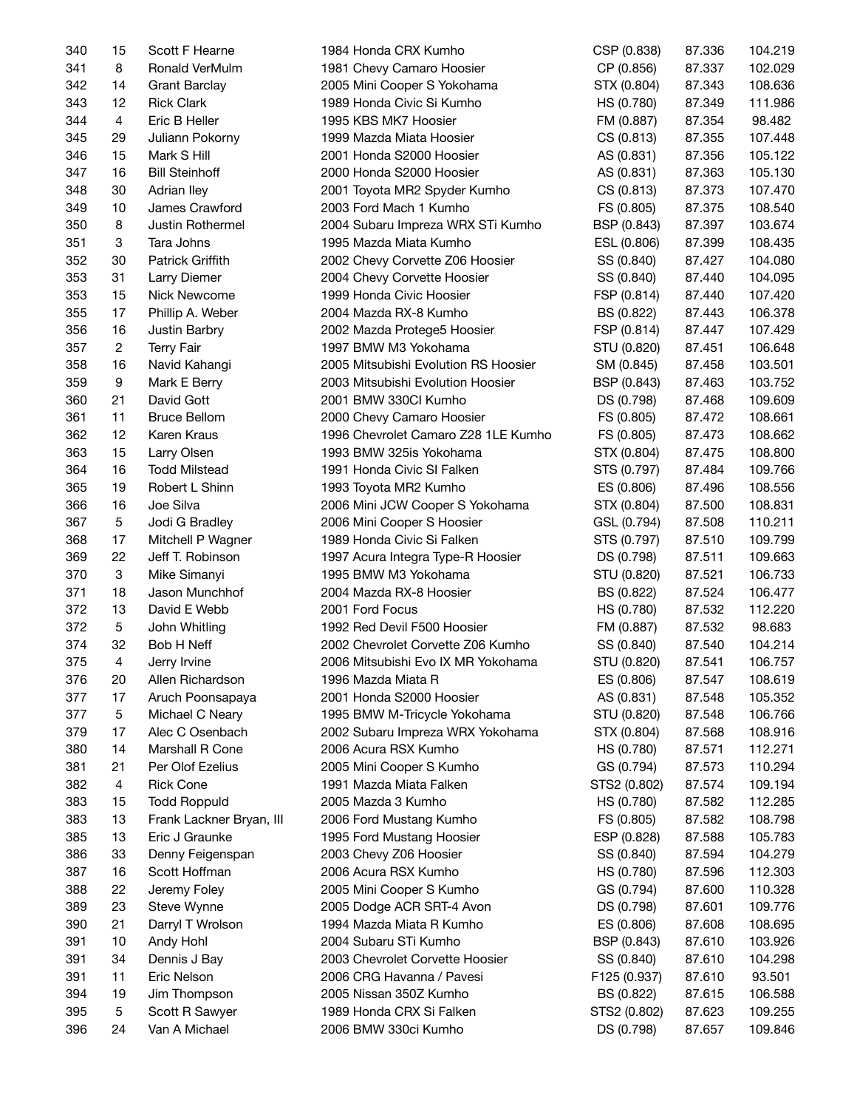| 341<br>8<br>Ronald VerMulm<br>CP (0.856)<br>1981 Chevy Camaro Hoosier<br>87.337<br>342<br>108.636<br>14<br><b>Grant Barclay</b><br>2005 Mini Cooper S Yokohama<br>STX (0.804)<br>87.343<br>343<br>12<br><b>Rick Clark</b><br>87.349<br>1989 Honda Civic Si Kumho<br>HS (0.780)<br>111.986<br>344<br>4<br>Eric B Heller<br>1995 KBS MK7 Hoosier<br>FM (0.887)<br>87.354<br>98.482<br>345<br>29<br>1999 Mazda Miata Hoosier<br>CS (0.813)<br>87.355<br>107.448<br>Juliann Pokorny<br>346<br>15<br>Mark S Hill<br>2001 Honda S2000 Hoosier<br>87.356<br>AS (0.831)<br>105.122<br>347<br>16<br>2000 Honda S2000 Hoosier<br>87.363<br>105.130<br><b>Bill Steinhoff</b><br>AS (0.831)<br>348<br>30<br>2001 Toyota MR2 Spyder Kumho<br>87.373<br>107.470<br>Adrian Iley<br>CS (0.813)<br>349<br>10<br>James Crawford<br>2003 Ford Mach 1 Kumho<br>87.375<br>108.540<br>FS (0.805)<br>350<br>8<br>Justin Rothermel<br>2004 Subaru Impreza WRX STi Kumho<br>87.397<br>103.674<br>BSP (0.843)<br>351<br>3<br>Tara Johns<br>1995 Mazda Miata Kumho<br>87.399<br>108.435<br>ESL (0.806)<br>352<br>30<br>Patrick Griffith<br>2002 Chevy Corvette Z06 Hoosier<br>87.427<br>104.080<br>SS (0.840)<br>353<br>31<br>Larry Diemer<br>2004 Chevy Corvette Hoosier<br>SS (0.840)<br>87.440<br>104.095<br>353<br>15<br>Nick Newcome<br>1999 Honda Civic Hoosier<br>FSP (0.814)<br>87.440<br>107.420<br>355<br>17<br>Phillip A. Weber<br>2004 Mazda RX-8 Kumho<br>106.378<br>BS (0.822)<br>87.443<br>356<br>16<br>2002 Mazda Protege5 Hoosier<br>FSP (0.814)<br>87.447<br>107.429<br>Justin Barbry<br>$\boldsymbol{2}$<br>357<br><b>Terry Fair</b><br>1997 BMW M3 Yokohama<br>STU (0.820)<br>87.451<br>106.648<br>358<br>16<br>Navid Kahangi<br>2005 Mitsubishi Evolution RS Hoosier<br>87.458<br>103.501<br>SM (0.845)<br>359<br>9<br>Mark E Berry<br>2003 Mitsubishi Evolution Hoosier<br>87.463<br>103.752<br>BSP (0.843)<br>360<br>21<br>David Gott<br>2001 BMW 330Cl Kumho<br>87.468<br>109.609<br>DS (0.798)<br>361<br>11<br><b>Bruce Bellom</b><br>2000 Chevy Camaro Hoosier<br>87.472<br>108.661<br>FS (0.805)<br>362<br>12<br>1996 Chevrolet Camaro Z28 1LE Kumho<br>Karen Kraus<br>87.473<br>108.662<br>FS (0.805)<br>363<br>15<br>1993 BMW 325is Yokohama<br>Larry Olsen<br>87.475<br>108.800<br>STX (0.804)<br>364<br>16<br><b>Todd Milstead</b><br>1991 Honda Civic SI Falken<br>109.766<br>STS (0.797)<br>87.484<br>365<br>19<br>Robert L Shinn<br>108.556<br>1993 Toyota MR2 Kumho<br>ES (0.806)<br>87.496<br>366<br>16<br>Joe Silva<br>108.831<br>2006 Mini JCW Cooper S Yokohama<br>STX (0.804)<br>87.500<br>5<br>367<br>Jodi G Bradley<br>2006 Mini Cooper S Hoosier<br>GSL (0.794)<br>87.508<br>110.211<br>368<br>17<br>Mitchell P Wagner<br>1989 Honda Civic Si Falken<br>STS (0.797)<br>87.510<br>109.799<br>369<br>22<br>Jeff T. Robinson<br>DS (0.798)<br>87.511<br>109.663<br>1997 Acura Integra Type-R Hoosier<br>$\ensuremath{\mathsf{3}}$<br>370<br>Mike Simanyi<br>1995 BMW M3 Yokohama<br>STU (0.820)<br>87.521<br>106.733<br>371<br>18<br>Jason Munchhof<br>2004 Mazda RX-8 Hoosier<br>BS (0.822)<br>87.524<br>106.477<br>372<br>13<br>David E Webb<br>2001 Ford Focus<br>112.220<br>87.532<br>HS (0.780)<br>372<br>5<br>1992 Red Devil F500 Hoosier<br>John Whitling<br>87.532<br>98.683<br>FM (0.887)<br>374<br>32<br>Bob H Neff<br>2002 Chevrolet Corvette Z06 Kumho<br>87.540<br>104.214<br>SS (0.840)<br>375<br>$\overline{4}$<br>106.757<br>2006 Mitsubishi Evo IX MR Yokohama<br>STU (0.820)<br>87.541<br>Jerry Irvine<br>376<br>ES (0.806)<br>87.547<br>108.619<br>Allen Richardson<br>1996 Mazda Miata R<br>20<br>377<br>17<br>Aruch Poonsapaya<br>2001 Honda S2000 Hoosier<br>AS (0.831)<br>87.548<br>105.352<br>5<br>377<br>Michael C Neary<br>1995 BMW M-Tricycle Yokohama<br>STU (0.820)<br>87.548<br>106.766<br>Alec C Osenbach<br>379<br>17<br>2002 Subaru Impreza WRX Yokohama<br>STX (0.804)<br>87.568<br>108.916<br>Marshall R Cone<br>2006 Acura RSX Kumho<br>380<br>14<br>HS (0.780)<br>87.571<br>112.271<br>381<br>21<br>Per Olof Ezelius<br>2005 Mini Cooper S Kumho<br>GS (0.794)<br>87.573<br>110.294<br>4<br><b>Rick Cone</b><br>382<br>1991 Mazda Miata Falken<br>STS2 (0.802)<br>87.574<br>109.194<br><b>Todd Roppuld</b><br>2005 Mazda 3 Kumho<br>383<br>15<br>HS (0.780)<br>87.582<br>112.285<br>13<br>383<br>Frank Lackner Bryan, III<br>2006 Ford Mustang Kumho<br>FS (0.805)<br>87.582<br>108.798<br>385<br>13<br>Eric J Graunke<br>1995 Ford Mustang Hoosier<br>ESP (0.828)<br>87.588<br>105.783<br>33<br>386<br>Denny Feigenspan<br>2003 Chevy Z06 Hoosier<br>SS (0.840)<br>87.594<br>104.279<br>387<br>16<br>Scott Hoffman<br>2006 Acura RSX Kumho<br>HS (0.780)<br>87.596<br>112.303<br>388<br>22<br>Jeremy Foley<br>2005 Mini Cooper S Kumho<br>GS (0.794)<br>87.600<br>110.328<br>87.601<br>389<br>23<br>Steve Wynne<br>2005 Dodge ACR SRT-4 Avon<br>DS (0.798)<br>109.776<br>390<br>21<br>108.695<br>Darryl T Wrolson<br>1994 Mazda Miata R Kumho<br>ES (0.806)<br>87.608<br>2004 Subaru STi Kumho<br>391<br>10<br>Andy Hohl<br>BSP (0.843)<br>87.610<br>103.926<br>391<br>34<br>Dennis J Bay<br>2003 Chevrolet Corvette Hoosier<br>SS (0.840)<br>87.610<br>104.298<br>11<br>Eric Nelson<br>2006 CRG Havanna / Pavesi<br>F125 (0.937)<br>391<br>87.610<br>93.501<br>394<br>19<br>Jim Thompson<br>2005 Nissan 350Z Kumho<br>BS (0.822)<br>87.615<br>106.588<br>395<br>5<br>Scott R Sawyer<br>1989 Honda CRX Si Falken<br>STS2 (0.802)<br>87.623<br>109.255 | 340 | 15 | Scott F Hearne | 1984 Honda CRX Kumho | CSP (0.838) | 87.336 | 104.219 |
|----------------------------------------------------------------------------------------------------------------------------------------------------------------------------------------------------------------------------------------------------------------------------------------------------------------------------------------------------------------------------------------------------------------------------------------------------------------------------------------------------------------------------------------------------------------------------------------------------------------------------------------------------------------------------------------------------------------------------------------------------------------------------------------------------------------------------------------------------------------------------------------------------------------------------------------------------------------------------------------------------------------------------------------------------------------------------------------------------------------------------------------------------------------------------------------------------------------------------------------------------------------------------------------------------------------------------------------------------------------------------------------------------------------------------------------------------------------------------------------------------------------------------------------------------------------------------------------------------------------------------------------------------------------------------------------------------------------------------------------------------------------------------------------------------------------------------------------------------------------------------------------------------------------------------------------------------------------------------------------------------------------------------------------------------------------------------------------------------------------------------------------------------------------------------------------------------------------------------------------------------------------------------------------------------------------------------------------------------------------------------------------------------------------------------------------------------------------------------------------------------------------------------------------------------------------------------------------------------------------------------------------------------------------------------------------------------------------------------------------------------------------------------------------------------------------------------------------------------------------------------------------------------------------------------------------------------------------------------------------------------------------------------------------------------------------------------------------------------------------------------------------------------------------------------------------------------------------------------------------------------------------------------------------------------------------------------------------------------------------------------------------------------------------------------------------------------------------------------------------------------------------------------------------------------------------------------------------------------------------------------------------------------------------------------------------------------------------------------------------------------------------------------------------------------------------------------------------------------------------------------------------------------------------------------------------------------------------------------------------------------------------------------------------------------------------------------------------------------------------------------------------------------------------------------------------------------------------------------------------------------------------------------------------------------------------------------------------------------------------------------------------------------------------------------------------------------------------------------------------------------------------------------------------------------------------------------------------------------------------------------------------------------------------------------------------------------------------------------------------------------------------------------------------------------------------------------------------------------------------------------------------------------------------------------------------------------------------------------------------------------------------------------------------------------------------------------------------------------------------------------------------------------------------------------------------------------------------------------------------------------------------------------------------------------------------------------------------------------------------------------------------------------------------------------------------------------------------------------------------------------------|-----|----|----------------|----------------------|-------------|--------|---------|
|                                                                                                                                                                                                                                                                                                                                                                                                                                                                                                                                                                                                                                                                                                                                                                                                                                                                                                                                                                                                                                                                                                                                                                                                                                                                                                                                                                                                                                                                                                                                                                                                                                                                                                                                                                                                                                                                                                                                                                                                                                                                                                                                                                                                                                                                                                                                                                                                                                                                                                                                                                                                                                                                                                                                                                                                                                                                                                                                                                                                                                                                                                                                                                                                                                                                                                                                                                                                                                                                                                                                                                                                                                                                                                                                                                                                                                                                                                                                                                                                                                                                                                                                                                                                                                                                                                                                                                                                                                                                                                                                                                                                                                                                                                                                                                                                                                                                                                                                                                                                                                                                                                                                                                                                                                                                                                                                                                                                                                                                                                          |     |    |                |                      |             |        | 102.029 |
|                                                                                                                                                                                                                                                                                                                                                                                                                                                                                                                                                                                                                                                                                                                                                                                                                                                                                                                                                                                                                                                                                                                                                                                                                                                                                                                                                                                                                                                                                                                                                                                                                                                                                                                                                                                                                                                                                                                                                                                                                                                                                                                                                                                                                                                                                                                                                                                                                                                                                                                                                                                                                                                                                                                                                                                                                                                                                                                                                                                                                                                                                                                                                                                                                                                                                                                                                                                                                                                                                                                                                                                                                                                                                                                                                                                                                                                                                                                                                                                                                                                                                                                                                                                                                                                                                                                                                                                                                                                                                                                                                                                                                                                                                                                                                                                                                                                                                                                                                                                                                                                                                                                                                                                                                                                                                                                                                                                                                                                                                                          |     |    |                |                      |             |        |         |
|                                                                                                                                                                                                                                                                                                                                                                                                                                                                                                                                                                                                                                                                                                                                                                                                                                                                                                                                                                                                                                                                                                                                                                                                                                                                                                                                                                                                                                                                                                                                                                                                                                                                                                                                                                                                                                                                                                                                                                                                                                                                                                                                                                                                                                                                                                                                                                                                                                                                                                                                                                                                                                                                                                                                                                                                                                                                                                                                                                                                                                                                                                                                                                                                                                                                                                                                                                                                                                                                                                                                                                                                                                                                                                                                                                                                                                                                                                                                                                                                                                                                                                                                                                                                                                                                                                                                                                                                                                                                                                                                                                                                                                                                                                                                                                                                                                                                                                                                                                                                                                                                                                                                                                                                                                                                                                                                                                                                                                                                                                          |     |    |                |                      |             |        |         |
|                                                                                                                                                                                                                                                                                                                                                                                                                                                                                                                                                                                                                                                                                                                                                                                                                                                                                                                                                                                                                                                                                                                                                                                                                                                                                                                                                                                                                                                                                                                                                                                                                                                                                                                                                                                                                                                                                                                                                                                                                                                                                                                                                                                                                                                                                                                                                                                                                                                                                                                                                                                                                                                                                                                                                                                                                                                                                                                                                                                                                                                                                                                                                                                                                                                                                                                                                                                                                                                                                                                                                                                                                                                                                                                                                                                                                                                                                                                                                                                                                                                                                                                                                                                                                                                                                                                                                                                                                                                                                                                                                                                                                                                                                                                                                                                                                                                                                                                                                                                                                                                                                                                                                                                                                                                                                                                                                                                                                                                                                                          |     |    |                |                      |             |        |         |
|                                                                                                                                                                                                                                                                                                                                                                                                                                                                                                                                                                                                                                                                                                                                                                                                                                                                                                                                                                                                                                                                                                                                                                                                                                                                                                                                                                                                                                                                                                                                                                                                                                                                                                                                                                                                                                                                                                                                                                                                                                                                                                                                                                                                                                                                                                                                                                                                                                                                                                                                                                                                                                                                                                                                                                                                                                                                                                                                                                                                                                                                                                                                                                                                                                                                                                                                                                                                                                                                                                                                                                                                                                                                                                                                                                                                                                                                                                                                                                                                                                                                                                                                                                                                                                                                                                                                                                                                                                                                                                                                                                                                                                                                                                                                                                                                                                                                                                                                                                                                                                                                                                                                                                                                                                                                                                                                                                                                                                                                                                          |     |    |                |                      |             |        |         |
|                                                                                                                                                                                                                                                                                                                                                                                                                                                                                                                                                                                                                                                                                                                                                                                                                                                                                                                                                                                                                                                                                                                                                                                                                                                                                                                                                                                                                                                                                                                                                                                                                                                                                                                                                                                                                                                                                                                                                                                                                                                                                                                                                                                                                                                                                                                                                                                                                                                                                                                                                                                                                                                                                                                                                                                                                                                                                                                                                                                                                                                                                                                                                                                                                                                                                                                                                                                                                                                                                                                                                                                                                                                                                                                                                                                                                                                                                                                                                                                                                                                                                                                                                                                                                                                                                                                                                                                                                                                                                                                                                                                                                                                                                                                                                                                                                                                                                                                                                                                                                                                                                                                                                                                                                                                                                                                                                                                                                                                                                                          |     |    |                |                      |             |        |         |
|                                                                                                                                                                                                                                                                                                                                                                                                                                                                                                                                                                                                                                                                                                                                                                                                                                                                                                                                                                                                                                                                                                                                                                                                                                                                                                                                                                                                                                                                                                                                                                                                                                                                                                                                                                                                                                                                                                                                                                                                                                                                                                                                                                                                                                                                                                                                                                                                                                                                                                                                                                                                                                                                                                                                                                                                                                                                                                                                                                                                                                                                                                                                                                                                                                                                                                                                                                                                                                                                                                                                                                                                                                                                                                                                                                                                                                                                                                                                                                                                                                                                                                                                                                                                                                                                                                                                                                                                                                                                                                                                                                                                                                                                                                                                                                                                                                                                                                                                                                                                                                                                                                                                                                                                                                                                                                                                                                                                                                                                                                          |     |    |                |                      |             |        |         |
|                                                                                                                                                                                                                                                                                                                                                                                                                                                                                                                                                                                                                                                                                                                                                                                                                                                                                                                                                                                                                                                                                                                                                                                                                                                                                                                                                                                                                                                                                                                                                                                                                                                                                                                                                                                                                                                                                                                                                                                                                                                                                                                                                                                                                                                                                                                                                                                                                                                                                                                                                                                                                                                                                                                                                                                                                                                                                                                                                                                                                                                                                                                                                                                                                                                                                                                                                                                                                                                                                                                                                                                                                                                                                                                                                                                                                                                                                                                                                                                                                                                                                                                                                                                                                                                                                                                                                                                                                                                                                                                                                                                                                                                                                                                                                                                                                                                                                                                                                                                                                                                                                                                                                                                                                                                                                                                                                                                                                                                                                                          |     |    |                |                      |             |        |         |
|                                                                                                                                                                                                                                                                                                                                                                                                                                                                                                                                                                                                                                                                                                                                                                                                                                                                                                                                                                                                                                                                                                                                                                                                                                                                                                                                                                                                                                                                                                                                                                                                                                                                                                                                                                                                                                                                                                                                                                                                                                                                                                                                                                                                                                                                                                                                                                                                                                                                                                                                                                                                                                                                                                                                                                                                                                                                                                                                                                                                                                                                                                                                                                                                                                                                                                                                                                                                                                                                                                                                                                                                                                                                                                                                                                                                                                                                                                                                                                                                                                                                                                                                                                                                                                                                                                                                                                                                                                                                                                                                                                                                                                                                                                                                                                                                                                                                                                                                                                                                                                                                                                                                                                                                                                                                                                                                                                                                                                                                                                          |     |    |                |                      |             |        |         |
|                                                                                                                                                                                                                                                                                                                                                                                                                                                                                                                                                                                                                                                                                                                                                                                                                                                                                                                                                                                                                                                                                                                                                                                                                                                                                                                                                                                                                                                                                                                                                                                                                                                                                                                                                                                                                                                                                                                                                                                                                                                                                                                                                                                                                                                                                                                                                                                                                                                                                                                                                                                                                                                                                                                                                                                                                                                                                                                                                                                                                                                                                                                                                                                                                                                                                                                                                                                                                                                                                                                                                                                                                                                                                                                                                                                                                                                                                                                                                                                                                                                                                                                                                                                                                                                                                                                                                                                                                                                                                                                                                                                                                                                                                                                                                                                                                                                                                                                                                                                                                                                                                                                                                                                                                                                                                                                                                                                                                                                                                                          |     |    |                |                      |             |        |         |
|                                                                                                                                                                                                                                                                                                                                                                                                                                                                                                                                                                                                                                                                                                                                                                                                                                                                                                                                                                                                                                                                                                                                                                                                                                                                                                                                                                                                                                                                                                                                                                                                                                                                                                                                                                                                                                                                                                                                                                                                                                                                                                                                                                                                                                                                                                                                                                                                                                                                                                                                                                                                                                                                                                                                                                                                                                                                                                                                                                                                                                                                                                                                                                                                                                                                                                                                                                                                                                                                                                                                                                                                                                                                                                                                                                                                                                                                                                                                                                                                                                                                                                                                                                                                                                                                                                                                                                                                                                                                                                                                                                                                                                                                                                                                                                                                                                                                                                                                                                                                                                                                                                                                                                                                                                                                                                                                                                                                                                                                                                          |     |    |                |                      |             |        |         |
|                                                                                                                                                                                                                                                                                                                                                                                                                                                                                                                                                                                                                                                                                                                                                                                                                                                                                                                                                                                                                                                                                                                                                                                                                                                                                                                                                                                                                                                                                                                                                                                                                                                                                                                                                                                                                                                                                                                                                                                                                                                                                                                                                                                                                                                                                                                                                                                                                                                                                                                                                                                                                                                                                                                                                                                                                                                                                                                                                                                                                                                                                                                                                                                                                                                                                                                                                                                                                                                                                                                                                                                                                                                                                                                                                                                                                                                                                                                                                                                                                                                                                                                                                                                                                                                                                                                                                                                                                                                                                                                                                                                                                                                                                                                                                                                                                                                                                                                                                                                                                                                                                                                                                                                                                                                                                                                                                                                                                                                                                                          |     |    |                |                      |             |        |         |
|                                                                                                                                                                                                                                                                                                                                                                                                                                                                                                                                                                                                                                                                                                                                                                                                                                                                                                                                                                                                                                                                                                                                                                                                                                                                                                                                                                                                                                                                                                                                                                                                                                                                                                                                                                                                                                                                                                                                                                                                                                                                                                                                                                                                                                                                                                                                                                                                                                                                                                                                                                                                                                                                                                                                                                                                                                                                                                                                                                                                                                                                                                                                                                                                                                                                                                                                                                                                                                                                                                                                                                                                                                                                                                                                                                                                                                                                                                                                                                                                                                                                                                                                                                                                                                                                                                                                                                                                                                                                                                                                                                                                                                                                                                                                                                                                                                                                                                                                                                                                                                                                                                                                                                                                                                                                                                                                                                                                                                                                                                          |     |    |                |                      |             |        |         |
|                                                                                                                                                                                                                                                                                                                                                                                                                                                                                                                                                                                                                                                                                                                                                                                                                                                                                                                                                                                                                                                                                                                                                                                                                                                                                                                                                                                                                                                                                                                                                                                                                                                                                                                                                                                                                                                                                                                                                                                                                                                                                                                                                                                                                                                                                                                                                                                                                                                                                                                                                                                                                                                                                                                                                                                                                                                                                                                                                                                                                                                                                                                                                                                                                                                                                                                                                                                                                                                                                                                                                                                                                                                                                                                                                                                                                                                                                                                                                                                                                                                                                                                                                                                                                                                                                                                                                                                                                                                                                                                                                                                                                                                                                                                                                                                                                                                                                                                                                                                                                                                                                                                                                                                                                                                                                                                                                                                                                                                                                                          |     |    |                |                      |             |        |         |
|                                                                                                                                                                                                                                                                                                                                                                                                                                                                                                                                                                                                                                                                                                                                                                                                                                                                                                                                                                                                                                                                                                                                                                                                                                                                                                                                                                                                                                                                                                                                                                                                                                                                                                                                                                                                                                                                                                                                                                                                                                                                                                                                                                                                                                                                                                                                                                                                                                                                                                                                                                                                                                                                                                                                                                                                                                                                                                                                                                                                                                                                                                                                                                                                                                                                                                                                                                                                                                                                                                                                                                                                                                                                                                                                                                                                                                                                                                                                                                                                                                                                                                                                                                                                                                                                                                                                                                                                                                                                                                                                                                                                                                                                                                                                                                                                                                                                                                                                                                                                                                                                                                                                                                                                                                                                                                                                                                                                                                                                                                          |     |    |                |                      |             |        |         |
|                                                                                                                                                                                                                                                                                                                                                                                                                                                                                                                                                                                                                                                                                                                                                                                                                                                                                                                                                                                                                                                                                                                                                                                                                                                                                                                                                                                                                                                                                                                                                                                                                                                                                                                                                                                                                                                                                                                                                                                                                                                                                                                                                                                                                                                                                                                                                                                                                                                                                                                                                                                                                                                                                                                                                                                                                                                                                                                                                                                                                                                                                                                                                                                                                                                                                                                                                                                                                                                                                                                                                                                                                                                                                                                                                                                                                                                                                                                                                                                                                                                                                                                                                                                                                                                                                                                                                                                                                                                                                                                                                                                                                                                                                                                                                                                                                                                                                                                                                                                                                                                                                                                                                                                                                                                                                                                                                                                                                                                                                                          |     |    |                |                      |             |        |         |
|                                                                                                                                                                                                                                                                                                                                                                                                                                                                                                                                                                                                                                                                                                                                                                                                                                                                                                                                                                                                                                                                                                                                                                                                                                                                                                                                                                                                                                                                                                                                                                                                                                                                                                                                                                                                                                                                                                                                                                                                                                                                                                                                                                                                                                                                                                                                                                                                                                                                                                                                                                                                                                                                                                                                                                                                                                                                                                                                                                                                                                                                                                                                                                                                                                                                                                                                                                                                                                                                                                                                                                                                                                                                                                                                                                                                                                                                                                                                                                                                                                                                                                                                                                                                                                                                                                                                                                                                                                                                                                                                                                                                                                                                                                                                                                                                                                                                                                                                                                                                                                                                                                                                                                                                                                                                                                                                                                                                                                                                                                          |     |    |                |                      |             |        |         |
|                                                                                                                                                                                                                                                                                                                                                                                                                                                                                                                                                                                                                                                                                                                                                                                                                                                                                                                                                                                                                                                                                                                                                                                                                                                                                                                                                                                                                                                                                                                                                                                                                                                                                                                                                                                                                                                                                                                                                                                                                                                                                                                                                                                                                                                                                                                                                                                                                                                                                                                                                                                                                                                                                                                                                                                                                                                                                                                                                                                                                                                                                                                                                                                                                                                                                                                                                                                                                                                                                                                                                                                                                                                                                                                                                                                                                                                                                                                                                                                                                                                                                                                                                                                                                                                                                                                                                                                                                                                                                                                                                                                                                                                                                                                                                                                                                                                                                                                                                                                                                                                                                                                                                                                                                                                                                                                                                                                                                                                                                                          |     |    |                |                      |             |        |         |
|                                                                                                                                                                                                                                                                                                                                                                                                                                                                                                                                                                                                                                                                                                                                                                                                                                                                                                                                                                                                                                                                                                                                                                                                                                                                                                                                                                                                                                                                                                                                                                                                                                                                                                                                                                                                                                                                                                                                                                                                                                                                                                                                                                                                                                                                                                                                                                                                                                                                                                                                                                                                                                                                                                                                                                                                                                                                                                                                                                                                                                                                                                                                                                                                                                                                                                                                                                                                                                                                                                                                                                                                                                                                                                                                                                                                                                                                                                                                                                                                                                                                                                                                                                                                                                                                                                                                                                                                                                                                                                                                                                                                                                                                                                                                                                                                                                                                                                                                                                                                                                                                                                                                                                                                                                                                                                                                                                                                                                                                                                          |     |    |                |                      |             |        |         |
|                                                                                                                                                                                                                                                                                                                                                                                                                                                                                                                                                                                                                                                                                                                                                                                                                                                                                                                                                                                                                                                                                                                                                                                                                                                                                                                                                                                                                                                                                                                                                                                                                                                                                                                                                                                                                                                                                                                                                                                                                                                                                                                                                                                                                                                                                                                                                                                                                                                                                                                                                                                                                                                                                                                                                                                                                                                                                                                                                                                                                                                                                                                                                                                                                                                                                                                                                                                                                                                                                                                                                                                                                                                                                                                                                                                                                                                                                                                                                                                                                                                                                                                                                                                                                                                                                                                                                                                                                                                                                                                                                                                                                                                                                                                                                                                                                                                                                                                                                                                                                                                                                                                                                                                                                                                                                                                                                                                                                                                                                                          |     |    |                |                      |             |        |         |
|                                                                                                                                                                                                                                                                                                                                                                                                                                                                                                                                                                                                                                                                                                                                                                                                                                                                                                                                                                                                                                                                                                                                                                                                                                                                                                                                                                                                                                                                                                                                                                                                                                                                                                                                                                                                                                                                                                                                                                                                                                                                                                                                                                                                                                                                                                                                                                                                                                                                                                                                                                                                                                                                                                                                                                                                                                                                                                                                                                                                                                                                                                                                                                                                                                                                                                                                                                                                                                                                                                                                                                                                                                                                                                                                                                                                                                                                                                                                                                                                                                                                                                                                                                                                                                                                                                                                                                                                                                                                                                                                                                                                                                                                                                                                                                                                                                                                                                                                                                                                                                                                                                                                                                                                                                                                                                                                                                                                                                                                                                          |     |    |                |                      |             |        |         |
|                                                                                                                                                                                                                                                                                                                                                                                                                                                                                                                                                                                                                                                                                                                                                                                                                                                                                                                                                                                                                                                                                                                                                                                                                                                                                                                                                                                                                                                                                                                                                                                                                                                                                                                                                                                                                                                                                                                                                                                                                                                                                                                                                                                                                                                                                                                                                                                                                                                                                                                                                                                                                                                                                                                                                                                                                                                                                                                                                                                                                                                                                                                                                                                                                                                                                                                                                                                                                                                                                                                                                                                                                                                                                                                                                                                                                                                                                                                                                                                                                                                                                                                                                                                                                                                                                                                                                                                                                                                                                                                                                                                                                                                                                                                                                                                                                                                                                                                                                                                                                                                                                                                                                                                                                                                                                                                                                                                                                                                                                                          |     |    |                |                      |             |        |         |
|                                                                                                                                                                                                                                                                                                                                                                                                                                                                                                                                                                                                                                                                                                                                                                                                                                                                                                                                                                                                                                                                                                                                                                                                                                                                                                                                                                                                                                                                                                                                                                                                                                                                                                                                                                                                                                                                                                                                                                                                                                                                                                                                                                                                                                                                                                                                                                                                                                                                                                                                                                                                                                                                                                                                                                                                                                                                                                                                                                                                                                                                                                                                                                                                                                                                                                                                                                                                                                                                                                                                                                                                                                                                                                                                                                                                                                                                                                                                                                                                                                                                                                                                                                                                                                                                                                                                                                                                                                                                                                                                                                                                                                                                                                                                                                                                                                                                                                                                                                                                                                                                                                                                                                                                                                                                                                                                                                                                                                                                                                          |     |    |                |                      |             |        |         |
|                                                                                                                                                                                                                                                                                                                                                                                                                                                                                                                                                                                                                                                                                                                                                                                                                                                                                                                                                                                                                                                                                                                                                                                                                                                                                                                                                                                                                                                                                                                                                                                                                                                                                                                                                                                                                                                                                                                                                                                                                                                                                                                                                                                                                                                                                                                                                                                                                                                                                                                                                                                                                                                                                                                                                                                                                                                                                                                                                                                                                                                                                                                                                                                                                                                                                                                                                                                                                                                                                                                                                                                                                                                                                                                                                                                                                                                                                                                                                                                                                                                                                                                                                                                                                                                                                                                                                                                                                                                                                                                                                                                                                                                                                                                                                                                                                                                                                                                                                                                                                                                                                                                                                                                                                                                                                                                                                                                                                                                                                                          |     |    |                |                      |             |        |         |
|                                                                                                                                                                                                                                                                                                                                                                                                                                                                                                                                                                                                                                                                                                                                                                                                                                                                                                                                                                                                                                                                                                                                                                                                                                                                                                                                                                                                                                                                                                                                                                                                                                                                                                                                                                                                                                                                                                                                                                                                                                                                                                                                                                                                                                                                                                                                                                                                                                                                                                                                                                                                                                                                                                                                                                                                                                                                                                                                                                                                                                                                                                                                                                                                                                                                                                                                                                                                                                                                                                                                                                                                                                                                                                                                                                                                                                                                                                                                                                                                                                                                                                                                                                                                                                                                                                                                                                                                                                                                                                                                                                                                                                                                                                                                                                                                                                                                                                                                                                                                                                                                                                                                                                                                                                                                                                                                                                                                                                                                                                          |     |    |                |                      |             |        |         |
|                                                                                                                                                                                                                                                                                                                                                                                                                                                                                                                                                                                                                                                                                                                                                                                                                                                                                                                                                                                                                                                                                                                                                                                                                                                                                                                                                                                                                                                                                                                                                                                                                                                                                                                                                                                                                                                                                                                                                                                                                                                                                                                                                                                                                                                                                                                                                                                                                                                                                                                                                                                                                                                                                                                                                                                                                                                                                                                                                                                                                                                                                                                                                                                                                                                                                                                                                                                                                                                                                                                                                                                                                                                                                                                                                                                                                                                                                                                                                                                                                                                                                                                                                                                                                                                                                                                                                                                                                                                                                                                                                                                                                                                                                                                                                                                                                                                                                                                                                                                                                                                                                                                                                                                                                                                                                                                                                                                                                                                                                                          |     |    |                |                      |             |        |         |
|                                                                                                                                                                                                                                                                                                                                                                                                                                                                                                                                                                                                                                                                                                                                                                                                                                                                                                                                                                                                                                                                                                                                                                                                                                                                                                                                                                                                                                                                                                                                                                                                                                                                                                                                                                                                                                                                                                                                                                                                                                                                                                                                                                                                                                                                                                                                                                                                                                                                                                                                                                                                                                                                                                                                                                                                                                                                                                                                                                                                                                                                                                                                                                                                                                                                                                                                                                                                                                                                                                                                                                                                                                                                                                                                                                                                                                                                                                                                                                                                                                                                                                                                                                                                                                                                                                                                                                                                                                                                                                                                                                                                                                                                                                                                                                                                                                                                                                                                                                                                                                                                                                                                                                                                                                                                                                                                                                                                                                                                                                          |     |    |                |                      |             |        |         |
|                                                                                                                                                                                                                                                                                                                                                                                                                                                                                                                                                                                                                                                                                                                                                                                                                                                                                                                                                                                                                                                                                                                                                                                                                                                                                                                                                                                                                                                                                                                                                                                                                                                                                                                                                                                                                                                                                                                                                                                                                                                                                                                                                                                                                                                                                                                                                                                                                                                                                                                                                                                                                                                                                                                                                                                                                                                                                                                                                                                                                                                                                                                                                                                                                                                                                                                                                                                                                                                                                                                                                                                                                                                                                                                                                                                                                                                                                                                                                                                                                                                                                                                                                                                                                                                                                                                                                                                                                                                                                                                                                                                                                                                                                                                                                                                                                                                                                                                                                                                                                                                                                                                                                                                                                                                                                                                                                                                                                                                                                                          |     |    |                |                      |             |        |         |
|                                                                                                                                                                                                                                                                                                                                                                                                                                                                                                                                                                                                                                                                                                                                                                                                                                                                                                                                                                                                                                                                                                                                                                                                                                                                                                                                                                                                                                                                                                                                                                                                                                                                                                                                                                                                                                                                                                                                                                                                                                                                                                                                                                                                                                                                                                                                                                                                                                                                                                                                                                                                                                                                                                                                                                                                                                                                                                                                                                                                                                                                                                                                                                                                                                                                                                                                                                                                                                                                                                                                                                                                                                                                                                                                                                                                                                                                                                                                                                                                                                                                                                                                                                                                                                                                                                                                                                                                                                                                                                                                                                                                                                                                                                                                                                                                                                                                                                                                                                                                                                                                                                                                                                                                                                                                                                                                                                                                                                                                                                          |     |    |                |                      |             |        |         |
|                                                                                                                                                                                                                                                                                                                                                                                                                                                                                                                                                                                                                                                                                                                                                                                                                                                                                                                                                                                                                                                                                                                                                                                                                                                                                                                                                                                                                                                                                                                                                                                                                                                                                                                                                                                                                                                                                                                                                                                                                                                                                                                                                                                                                                                                                                                                                                                                                                                                                                                                                                                                                                                                                                                                                                                                                                                                                                                                                                                                                                                                                                                                                                                                                                                                                                                                                                                                                                                                                                                                                                                                                                                                                                                                                                                                                                                                                                                                                                                                                                                                                                                                                                                                                                                                                                                                                                                                                                                                                                                                                                                                                                                                                                                                                                                                                                                                                                                                                                                                                                                                                                                                                                                                                                                                                                                                                                                                                                                                                                          |     |    |                |                      |             |        |         |
|                                                                                                                                                                                                                                                                                                                                                                                                                                                                                                                                                                                                                                                                                                                                                                                                                                                                                                                                                                                                                                                                                                                                                                                                                                                                                                                                                                                                                                                                                                                                                                                                                                                                                                                                                                                                                                                                                                                                                                                                                                                                                                                                                                                                                                                                                                                                                                                                                                                                                                                                                                                                                                                                                                                                                                                                                                                                                                                                                                                                                                                                                                                                                                                                                                                                                                                                                                                                                                                                                                                                                                                                                                                                                                                                                                                                                                                                                                                                                                                                                                                                                                                                                                                                                                                                                                                                                                                                                                                                                                                                                                                                                                                                                                                                                                                                                                                                                                                                                                                                                                                                                                                                                                                                                                                                                                                                                                                                                                                                                                          |     |    |                |                      |             |        |         |
|                                                                                                                                                                                                                                                                                                                                                                                                                                                                                                                                                                                                                                                                                                                                                                                                                                                                                                                                                                                                                                                                                                                                                                                                                                                                                                                                                                                                                                                                                                                                                                                                                                                                                                                                                                                                                                                                                                                                                                                                                                                                                                                                                                                                                                                                                                                                                                                                                                                                                                                                                                                                                                                                                                                                                                                                                                                                                                                                                                                                                                                                                                                                                                                                                                                                                                                                                                                                                                                                                                                                                                                                                                                                                                                                                                                                                                                                                                                                                                                                                                                                                                                                                                                                                                                                                                                                                                                                                                                                                                                                                                                                                                                                                                                                                                                                                                                                                                                                                                                                                                                                                                                                                                                                                                                                                                                                                                                                                                                                                                          |     |    |                |                      |             |        |         |
|                                                                                                                                                                                                                                                                                                                                                                                                                                                                                                                                                                                                                                                                                                                                                                                                                                                                                                                                                                                                                                                                                                                                                                                                                                                                                                                                                                                                                                                                                                                                                                                                                                                                                                                                                                                                                                                                                                                                                                                                                                                                                                                                                                                                                                                                                                                                                                                                                                                                                                                                                                                                                                                                                                                                                                                                                                                                                                                                                                                                                                                                                                                                                                                                                                                                                                                                                                                                                                                                                                                                                                                                                                                                                                                                                                                                                                                                                                                                                                                                                                                                                                                                                                                                                                                                                                                                                                                                                                                                                                                                                                                                                                                                                                                                                                                                                                                                                                                                                                                                                                                                                                                                                                                                                                                                                                                                                                                                                                                                                                          |     |    |                |                      |             |        |         |
|                                                                                                                                                                                                                                                                                                                                                                                                                                                                                                                                                                                                                                                                                                                                                                                                                                                                                                                                                                                                                                                                                                                                                                                                                                                                                                                                                                                                                                                                                                                                                                                                                                                                                                                                                                                                                                                                                                                                                                                                                                                                                                                                                                                                                                                                                                                                                                                                                                                                                                                                                                                                                                                                                                                                                                                                                                                                                                                                                                                                                                                                                                                                                                                                                                                                                                                                                                                                                                                                                                                                                                                                                                                                                                                                                                                                                                                                                                                                                                                                                                                                                                                                                                                                                                                                                                                                                                                                                                                                                                                                                                                                                                                                                                                                                                                                                                                                                                                                                                                                                                                                                                                                                                                                                                                                                                                                                                                                                                                                                                          |     |    |                |                      |             |        |         |
|                                                                                                                                                                                                                                                                                                                                                                                                                                                                                                                                                                                                                                                                                                                                                                                                                                                                                                                                                                                                                                                                                                                                                                                                                                                                                                                                                                                                                                                                                                                                                                                                                                                                                                                                                                                                                                                                                                                                                                                                                                                                                                                                                                                                                                                                                                                                                                                                                                                                                                                                                                                                                                                                                                                                                                                                                                                                                                                                                                                                                                                                                                                                                                                                                                                                                                                                                                                                                                                                                                                                                                                                                                                                                                                                                                                                                                                                                                                                                                                                                                                                                                                                                                                                                                                                                                                                                                                                                                                                                                                                                                                                                                                                                                                                                                                                                                                                                                                                                                                                                                                                                                                                                                                                                                                                                                                                                                                                                                                                                                          |     |    |                |                      |             |        |         |
|                                                                                                                                                                                                                                                                                                                                                                                                                                                                                                                                                                                                                                                                                                                                                                                                                                                                                                                                                                                                                                                                                                                                                                                                                                                                                                                                                                                                                                                                                                                                                                                                                                                                                                                                                                                                                                                                                                                                                                                                                                                                                                                                                                                                                                                                                                                                                                                                                                                                                                                                                                                                                                                                                                                                                                                                                                                                                                                                                                                                                                                                                                                                                                                                                                                                                                                                                                                                                                                                                                                                                                                                                                                                                                                                                                                                                                                                                                                                                                                                                                                                                                                                                                                                                                                                                                                                                                                                                                                                                                                                                                                                                                                                                                                                                                                                                                                                                                                                                                                                                                                                                                                                                                                                                                                                                                                                                                                                                                                                                                          |     |    |                |                      |             |        |         |
|                                                                                                                                                                                                                                                                                                                                                                                                                                                                                                                                                                                                                                                                                                                                                                                                                                                                                                                                                                                                                                                                                                                                                                                                                                                                                                                                                                                                                                                                                                                                                                                                                                                                                                                                                                                                                                                                                                                                                                                                                                                                                                                                                                                                                                                                                                                                                                                                                                                                                                                                                                                                                                                                                                                                                                                                                                                                                                                                                                                                                                                                                                                                                                                                                                                                                                                                                                                                                                                                                                                                                                                                                                                                                                                                                                                                                                                                                                                                                                                                                                                                                                                                                                                                                                                                                                                                                                                                                                                                                                                                                                                                                                                                                                                                                                                                                                                                                                                                                                                                                                                                                                                                                                                                                                                                                                                                                                                                                                                                                                          |     |    |                |                      |             |        |         |
|                                                                                                                                                                                                                                                                                                                                                                                                                                                                                                                                                                                                                                                                                                                                                                                                                                                                                                                                                                                                                                                                                                                                                                                                                                                                                                                                                                                                                                                                                                                                                                                                                                                                                                                                                                                                                                                                                                                                                                                                                                                                                                                                                                                                                                                                                                                                                                                                                                                                                                                                                                                                                                                                                                                                                                                                                                                                                                                                                                                                                                                                                                                                                                                                                                                                                                                                                                                                                                                                                                                                                                                                                                                                                                                                                                                                                                                                                                                                                                                                                                                                                                                                                                                                                                                                                                                                                                                                                                                                                                                                                                                                                                                                                                                                                                                                                                                                                                                                                                                                                                                                                                                                                                                                                                                                                                                                                                                                                                                                                                          |     |    |                |                      |             |        |         |
|                                                                                                                                                                                                                                                                                                                                                                                                                                                                                                                                                                                                                                                                                                                                                                                                                                                                                                                                                                                                                                                                                                                                                                                                                                                                                                                                                                                                                                                                                                                                                                                                                                                                                                                                                                                                                                                                                                                                                                                                                                                                                                                                                                                                                                                                                                                                                                                                                                                                                                                                                                                                                                                                                                                                                                                                                                                                                                                                                                                                                                                                                                                                                                                                                                                                                                                                                                                                                                                                                                                                                                                                                                                                                                                                                                                                                                                                                                                                                                                                                                                                                                                                                                                                                                                                                                                                                                                                                                                                                                                                                                                                                                                                                                                                                                                                                                                                                                                                                                                                                                                                                                                                                                                                                                                                                                                                                                                                                                                                                                          |     |    |                |                      |             |        |         |
|                                                                                                                                                                                                                                                                                                                                                                                                                                                                                                                                                                                                                                                                                                                                                                                                                                                                                                                                                                                                                                                                                                                                                                                                                                                                                                                                                                                                                                                                                                                                                                                                                                                                                                                                                                                                                                                                                                                                                                                                                                                                                                                                                                                                                                                                                                                                                                                                                                                                                                                                                                                                                                                                                                                                                                                                                                                                                                                                                                                                                                                                                                                                                                                                                                                                                                                                                                                                                                                                                                                                                                                                                                                                                                                                                                                                                                                                                                                                                                                                                                                                                                                                                                                                                                                                                                                                                                                                                                                                                                                                                                                                                                                                                                                                                                                                                                                                                                                                                                                                                                                                                                                                                                                                                                                                                                                                                                                                                                                                                                          |     |    |                |                      |             |        |         |
|                                                                                                                                                                                                                                                                                                                                                                                                                                                                                                                                                                                                                                                                                                                                                                                                                                                                                                                                                                                                                                                                                                                                                                                                                                                                                                                                                                                                                                                                                                                                                                                                                                                                                                                                                                                                                                                                                                                                                                                                                                                                                                                                                                                                                                                                                                                                                                                                                                                                                                                                                                                                                                                                                                                                                                                                                                                                                                                                                                                                                                                                                                                                                                                                                                                                                                                                                                                                                                                                                                                                                                                                                                                                                                                                                                                                                                                                                                                                                                                                                                                                                                                                                                                                                                                                                                                                                                                                                                                                                                                                                                                                                                                                                                                                                                                                                                                                                                                                                                                                                                                                                                                                                                                                                                                                                                                                                                                                                                                                                                          |     |    |                |                      |             |        |         |
|                                                                                                                                                                                                                                                                                                                                                                                                                                                                                                                                                                                                                                                                                                                                                                                                                                                                                                                                                                                                                                                                                                                                                                                                                                                                                                                                                                                                                                                                                                                                                                                                                                                                                                                                                                                                                                                                                                                                                                                                                                                                                                                                                                                                                                                                                                                                                                                                                                                                                                                                                                                                                                                                                                                                                                                                                                                                                                                                                                                                                                                                                                                                                                                                                                                                                                                                                                                                                                                                                                                                                                                                                                                                                                                                                                                                                                                                                                                                                                                                                                                                                                                                                                                                                                                                                                                                                                                                                                                                                                                                                                                                                                                                                                                                                                                                                                                                                                                                                                                                                                                                                                                                                                                                                                                                                                                                                                                                                                                                                                          |     |    |                |                      |             |        |         |
|                                                                                                                                                                                                                                                                                                                                                                                                                                                                                                                                                                                                                                                                                                                                                                                                                                                                                                                                                                                                                                                                                                                                                                                                                                                                                                                                                                                                                                                                                                                                                                                                                                                                                                                                                                                                                                                                                                                                                                                                                                                                                                                                                                                                                                                                                                                                                                                                                                                                                                                                                                                                                                                                                                                                                                                                                                                                                                                                                                                                                                                                                                                                                                                                                                                                                                                                                                                                                                                                                                                                                                                                                                                                                                                                                                                                                                                                                                                                                                                                                                                                                                                                                                                                                                                                                                                                                                                                                                                                                                                                                                                                                                                                                                                                                                                                                                                                                                                                                                                                                                                                                                                                                                                                                                                                                                                                                                                                                                                                                                          |     |    |                |                      |             |        |         |
|                                                                                                                                                                                                                                                                                                                                                                                                                                                                                                                                                                                                                                                                                                                                                                                                                                                                                                                                                                                                                                                                                                                                                                                                                                                                                                                                                                                                                                                                                                                                                                                                                                                                                                                                                                                                                                                                                                                                                                                                                                                                                                                                                                                                                                                                                                                                                                                                                                                                                                                                                                                                                                                                                                                                                                                                                                                                                                                                                                                                                                                                                                                                                                                                                                                                                                                                                                                                                                                                                                                                                                                                                                                                                                                                                                                                                                                                                                                                                                                                                                                                                                                                                                                                                                                                                                                                                                                                                                                                                                                                                                                                                                                                                                                                                                                                                                                                                                                                                                                                                                                                                                                                                                                                                                                                                                                                                                                                                                                                                                          |     |    |                |                      |             |        |         |
|                                                                                                                                                                                                                                                                                                                                                                                                                                                                                                                                                                                                                                                                                                                                                                                                                                                                                                                                                                                                                                                                                                                                                                                                                                                                                                                                                                                                                                                                                                                                                                                                                                                                                                                                                                                                                                                                                                                                                                                                                                                                                                                                                                                                                                                                                                                                                                                                                                                                                                                                                                                                                                                                                                                                                                                                                                                                                                                                                                                                                                                                                                                                                                                                                                                                                                                                                                                                                                                                                                                                                                                                                                                                                                                                                                                                                                                                                                                                                                                                                                                                                                                                                                                                                                                                                                                                                                                                                                                                                                                                                                                                                                                                                                                                                                                                                                                                                                                                                                                                                                                                                                                                                                                                                                                                                                                                                                                                                                                                                                          |     |    |                |                      |             |        |         |
|                                                                                                                                                                                                                                                                                                                                                                                                                                                                                                                                                                                                                                                                                                                                                                                                                                                                                                                                                                                                                                                                                                                                                                                                                                                                                                                                                                                                                                                                                                                                                                                                                                                                                                                                                                                                                                                                                                                                                                                                                                                                                                                                                                                                                                                                                                                                                                                                                                                                                                                                                                                                                                                                                                                                                                                                                                                                                                                                                                                                                                                                                                                                                                                                                                                                                                                                                                                                                                                                                                                                                                                                                                                                                                                                                                                                                                                                                                                                                                                                                                                                                                                                                                                                                                                                                                                                                                                                                                                                                                                                                                                                                                                                                                                                                                                                                                                                                                                                                                                                                                                                                                                                                                                                                                                                                                                                                                                                                                                                                                          |     |    |                |                      |             |        |         |
|                                                                                                                                                                                                                                                                                                                                                                                                                                                                                                                                                                                                                                                                                                                                                                                                                                                                                                                                                                                                                                                                                                                                                                                                                                                                                                                                                                                                                                                                                                                                                                                                                                                                                                                                                                                                                                                                                                                                                                                                                                                                                                                                                                                                                                                                                                                                                                                                                                                                                                                                                                                                                                                                                                                                                                                                                                                                                                                                                                                                                                                                                                                                                                                                                                                                                                                                                                                                                                                                                                                                                                                                                                                                                                                                                                                                                                                                                                                                                                                                                                                                                                                                                                                                                                                                                                                                                                                                                                                                                                                                                                                                                                                                                                                                                                                                                                                                                                                                                                                                                                                                                                                                                                                                                                                                                                                                                                                                                                                                                                          |     |    |                |                      |             |        |         |
|                                                                                                                                                                                                                                                                                                                                                                                                                                                                                                                                                                                                                                                                                                                                                                                                                                                                                                                                                                                                                                                                                                                                                                                                                                                                                                                                                                                                                                                                                                                                                                                                                                                                                                                                                                                                                                                                                                                                                                                                                                                                                                                                                                                                                                                                                                                                                                                                                                                                                                                                                                                                                                                                                                                                                                                                                                                                                                                                                                                                                                                                                                                                                                                                                                                                                                                                                                                                                                                                                                                                                                                                                                                                                                                                                                                                                                                                                                                                                                                                                                                                                                                                                                                                                                                                                                                                                                                                                                                                                                                                                                                                                                                                                                                                                                                                                                                                                                                                                                                                                                                                                                                                                                                                                                                                                                                                                                                                                                                                                                          |     |    |                |                      |             |        |         |
|                                                                                                                                                                                                                                                                                                                                                                                                                                                                                                                                                                                                                                                                                                                                                                                                                                                                                                                                                                                                                                                                                                                                                                                                                                                                                                                                                                                                                                                                                                                                                                                                                                                                                                                                                                                                                                                                                                                                                                                                                                                                                                                                                                                                                                                                                                                                                                                                                                                                                                                                                                                                                                                                                                                                                                                                                                                                                                                                                                                                                                                                                                                                                                                                                                                                                                                                                                                                                                                                                                                                                                                                                                                                                                                                                                                                                                                                                                                                                                                                                                                                                                                                                                                                                                                                                                                                                                                                                                                                                                                                                                                                                                                                                                                                                                                                                                                                                                                                                                                                                                                                                                                                                                                                                                                                                                                                                                                                                                                                                                          |     |    |                |                      |             |        |         |
|                                                                                                                                                                                                                                                                                                                                                                                                                                                                                                                                                                                                                                                                                                                                                                                                                                                                                                                                                                                                                                                                                                                                                                                                                                                                                                                                                                                                                                                                                                                                                                                                                                                                                                                                                                                                                                                                                                                                                                                                                                                                                                                                                                                                                                                                                                                                                                                                                                                                                                                                                                                                                                                                                                                                                                                                                                                                                                                                                                                                                                                                                                                                                                                                                                                                                                                                                                                                                                                                                                                                                                                                                                                                                                                                                                                                                                                                                                                                                                                                                                                                                                                                                                                                                                                                                                                                                                                                                                                                                                                                                                                                                                                                                                                                                                                                                                                                                                                                                                                                                                                                                                                                                                                                                                                                                                                                                                                                                                                                                                          |     |    |                |                      |             |        |         |
|                                                                                                                                                                                                                                                                                                                                                                                                                                                                                                                                                                                                                                                                                                                                                                                                                                                                                                                                                                                                                                                                                                                                                                                                                                                                                                                                                                                                                                                                                                                                                                                                                                                                                                                                                                                                                                                                                                                                                                                                                                                                                                                                                                                                                                                                                                                                                                                                                                                                                                                                                                                                                                                                                                                                                                                                                                                                                                                                                                                                                                                                                                                                                                                                                                                                                                                                                                                                                                                                                                                                                                                                                                                                                                                                                                                                                                                                                                                                                                                                                                                                                                                                                                                                                                                                                                                                                                                                                                                                                                                                                                                                                                                                                                                                                                                                                                                                                                                                                                                                                                                                                                                                                                                                                                                                                                                                                                                                                                                                                                          |     |    |                |                      |             |        |         |
|                                                                                                                                                                                                                                                                                                                                                                                                                                                                                                                                                                                                                                                                                                                                                                                                                                                                                                                                                                                                                                                                                                                                                                                                                                                                                                                                                                                                                                                                                                                                                                                                                                                                                                                                                                                                                                                                                                                                                                                                                                                                                                                                                                                                                                                                                                                                                                                                                                                                                                                                                                                                                                                                                                                                                                                                                                                                                                                                                                                                                                                                                                                                                                                                                                                                                                                                                                                                                                                                                                                                                                                                                                                                                                                                                                                                                                                                                                                                                                                                                                                                                                                                                                                                                                                                                                                                                                                                                                                                                                                                                                                                                                                                                                                                                                                                                                                                                                                                                                                                                                                                                                                                                                                                                                                                                                                                                                                                                                                                                                          |     |    |                |                      |             |        |         |
|                                                                                                                                                                                                                                                                                                                                                                                                                                                                                                                                                                                                                                                                                                                                                                                                                                                                                                                                                                                                                                                                                                                                                                                                                                                                                                                                                                                                                                                                                                                                                                                                                                                                                                                                                                                                                                                                                                                                                                                                                                                                                                                                                                                                                                                                                                                                                                                                                                                                                                                                                                                                                                                                                                                                                                                                                                                                                                                                                                                                                                                                                                                                                                                                                                                                                                                                                                                                                                                                                                                                                                                                                                                                                                                                                                                                                                                                                                                                                                                                                                                                                                                                                                                                                                                                                                                                                                                                                                                                                                                                                                                                                                                                                                                                                                                                                                                                                                                                                                                                                                                                                                                                                                                                                                                                                                                                                                                                                                                                                                          |     |    |                |                      |             |        |         |
|                                                                                                                                                                                                                                                                                                                                                                                                                                                                                                                                                                                                                                                                                                                                                                                                                                                                                                                                                                                                                                                                                                                                                                                                                                                                                                                                                                                                                                                                                                                                                                                                                                                                                                                                                                                                                                                                                                                                                                                                                                                                                                                                                                                                                                                                                                                                                                                                                                                                                                                                                                                                                                                                                                                                                                                                                                                                                                                                                                                                                                                                                                                                                                                                                                                                                                                                                                                                                                                                                                                                                                                                                                                                                                                                                                                                                                                                                                                                                                                                                                                                                                                                                                                                                                                                                                                                                                                                                                                                                                                                                                                                                                                                                                                                                                                                                                                                                                                                                                                                                                                                                                                                                                                                                                                                                                                                                                                                                                                                                                          |     |    |                |                      |             |        |         |
|                                                                                                                                                                                                                                                                                                                                                                                                                                                                                                                                                                                                                                                                                                                                                                                                                                                                                                                                                                                                                                                                                                                                                                                                                                                                                                                                                                                                                                                                                                                                                                                                                                                                                                                                                                                                                                                                                                                                                                                                                                                                                                                                                                                                                                                                                                                                                                                                                                                                                                                                                                                                                                                                                                                                                                                                                                                                                                                                                                                                                                                                                                                                                                                                                                                                                                                                                                                                                                                                                                                                                                                                                                                                                                                                                                                                                                                                                                                                                                                                                                                                                                                                                                                                                                                                                                                                                                                                                                                                                                                                                                                                                                                                                                                                                                                                                                                                                                                                                                                                                                                                                                                                                                                                                                                                                                                                                                                                                                                                                                          |     |    |                |                      |             |        |         |
|                                                                                                                                                                                                                                                                                                                                                                                                                                                                                                                                                                                                                                                                                                                                                                                                                                                                                                                                                                                                                                                                                                                                                                                                                                                                                                                                                                                                                                                                                                                                                                                                                                                                                                                                                                                                                                                                                                                                                                                                                                                                                                                                                                                                                                                                                                                                                                                                                                                                                                                                                                                                                                                                                                                                                                                                                                                                                                                                                                                                                                                                                                                                                                                                                                                                                                                                                                                                                                                                                                                                                                                                                                                                                                                                                                                                                                                                                                                                                                                                                                                                                                                                                                                                                                                                                                                                                                                                                                                                                                                                                                                                                                                                                                                                                                                                                                                                                                                                                                                                                                                                                                                                                                                                                                                                                                                                                                                                                                                                                                          |     |    |                |                      |             |        |         |
|                                                                                                                                                                                                                                                                                                                                                                                                                                                                                                                                                                                                                                                                                                                                                                                                                                                                                                                                                                                                                                                                                                                                                                                                                                                                                                                                                                                                                                                                                                                                                                                                                                                                                                                                                                                                                                                                                                                                                                                                                                                                                                                                                                                                                                                                                                                                                                                                                                                                                                                                                                                                                                                                                                                                                                                                                                                                                                                                                                                                                                                                                                                                                                                                                                                                                                                                                                                                                                                                                                                                                                                                                                                                                                                                                                                                                                                                                                                                                                                                                                                                                                                                                                                                                                                                                                                                                                                                                                                                                                                                                                                                                                                                                                                                                                                                                                                                                                                                                                                                                                                                                                                                                                                                                                                                                                                                                                                                                                                                                                          | 396 | 24 | Van A Michael  | 2006 BMW 330ci Kumho | DS (0.798)  | 87.657 | 109.846 |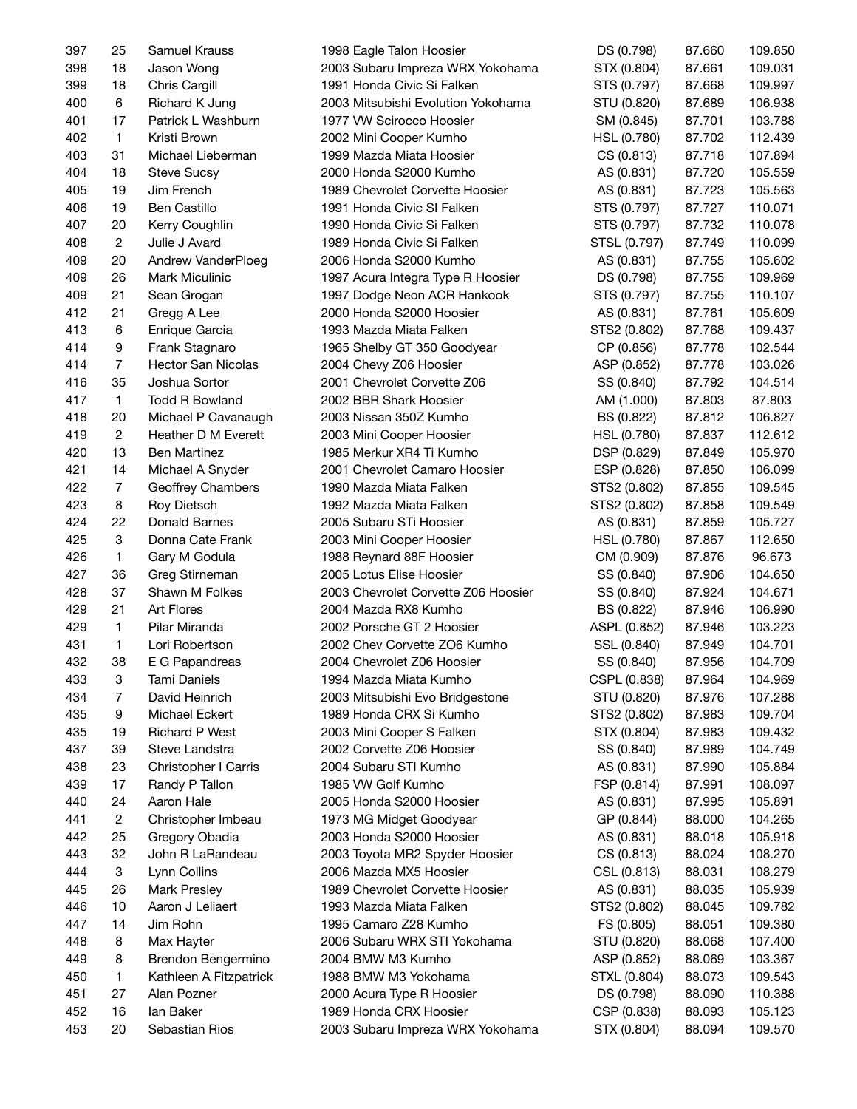| 397 | 25                        | Samuel Krauss             | 1998 Eagle Talon Hoosier            | DS (0.798)   | 87.660 | 109.850 |
|-----|---------------------------|---------------------------|-------------------------------------|--------------|--------|---------|
| 398 | 18                        | Jason Wong                | 2003 Subaru Impreza WRX Yokohama    | STX (0.804)  | 87.661 | 109.031 |
| 399 | 18                        | Chris Cargill             | 1991 Honda Civic Si Falken          | STS (0.797)  | 87.668 | 109.997 |
| 400 | 6                         | Richard K Jung            | 2003 Mitsubishi Evolution Yokohama  | STU (0.820)  | 87.689 | 106.938 |
| 401 | 17                        | Patrick L Washburn        | 1977 VW Scirocco Hoosier            | SM (0.845)   | 87.701 | 103.788 |
| 402 | $\mathbf{1}$              | Kristi Brown              | 2002 Mini Cooper Kumho              | HSL (0.780)  | 87.702 | 112.439 |
| 403 | 31                        | Michael Lieberman         | 1999 Mazda Miata Hoosier            | CS (0.813)   | 87.718 | 107.894 |
| 404 | 18                        | <b>Steve Sucsy</b>        | 2000 Honda S2000 Kumho              | AS (0.831)   | 87.720 | 105.559 |
| 405 | 19                        | Jim French                | 1989 Chevrolet Corvette Hoosier     | AS (0.831)   | 87.723 | 105.563 |
| 406 | 19                        | Ben Castillo              | 1991 Honda Civic SI Falken          | STS (0.797)  | 87.727 | 110.071 |
| 407 | 20                        | Kerry Coughlin            | 1990 Honda Civic Si Falken          | STS (0.797)  | 87.732 | 110.078 |
| 408 | $\overline{c}$            | Julie J Avard             | 1989 Honda Civic Si Falken          | STSL (0.797) | 87.749 | 110.099 |
| 409 | 20                        | Andrew VanderPloeg        | 2006 Honda S2000 Kumho              | AS (0.831)   | 87.755 | 105.602 |
| 409 | 26                        | <b>Mark Miculinic</b>     | 1997 Acura Integra Type R Hoosier   | DS (0.798)   | 87.755 | 109.969 |
| 409 | 21                        | Sean Grogan               | 1997 Dodge Neon ACR Hankook         | STS (0.797)  | 87.755 | 110.107 |
| 412 | 21                        | Gregg A Lee               | 2000 Honda S2000 Hoosier            | AS (0.831)   | 87.761 | 105.609 |
| 413 | 6                         | Enrique Garcia            | 1993 Mazda Miata Falken             | STS2 (0.802) | 87.768 | 109.437 |
| 414 | 9                         | Frank Stagnaro            | 1965 Shelby GT 350 Goodyear         | CP (0.856)   | 87.778 | 102.544 |
| 414 | $\overline{7}$            | <b>Hector San Nicolas</b> | 2004 Chevy Z06 Hoosier              |              | 87.778 | 103.026 |
|     | 35                        | Joshua Sortor             |                                     | ASP (0.852)  |        |         |
| 416 |                           |                           | 2001 Chevrolet Corvette Z06         | SS (0.840)   | 87.792 | 104.514 |
| 417 | $\mathbf{1}$              | <b>Todd R Bowland</b>     | 2002 BBR Shark Hoosier              | AM (1.000)   | 87.803 | 87.803  |
| 418 | 20                        | Michael P Cavanaugh       | 2003 Nissan 350Z Kumho              | BS (0.822)   | 87.812 | 106.827 |
| 419 | $\overline{c}$            | Heather D M Everett       | 2003 Mini Cooper Hoosier            | HSL (0.780)  | 87.837 | 112.612 |
| 420 | 13                        | Ben Martinez              | 1985 Merkur XR4 Ti Kumho            | DSP (0.829)  | 87.849 | 105.970 |
| 421 | 14                        | Michael A Snyder          | 2001 Chevrolet Camaro Hoosier       | ESP (0.828)  | 87.850 | 106.099 |
| 422 | $\overline{7}$            | Geoffrey Chambers         | 1990 Mazda Miata Falken             | STS2 (0.802) | 87.855 | 109.545 |
| 423 | 8                         | Roy Dietsch               | 1992 Mazda Miata Falken             | STS2 (0.802) | 87.858 | 109.549 |
| 424 | 22                        | Donald Barnes             | 2005 Subaru STi Hoosier             | AS (0.831)   | 87.859 | 105.727 |
| 425 | $\ensuremath{\mathsf{3}}$ | Donna Cate Frank          | 2003 Mini Cooper Hoosier            | HSL (0.780)  | 87.867 | 112.650 |
| 426 | $\mathbf{1}$              | Gary M Godula             | 1988 Reynard 88F Hoosier            | CM (0.909)   | 87.876 | 96.673  |
| 427 | 36                        | Greg Stirneman            | 2005 Lotus Elise Hoosier            | SS (0.840)   | 87.906 | 104.650 |
| 428 | 37                        | Shawn M Folkes            | 2003 Chevrolet Corvette Z06 Hoosier | SS (0.840)   | 87.924 | 104.671 |
| 429 | 21                        | <b>Art Flores</b>         | 2004 Mazda RX8 Kumho                | BS (0.822)   | 87.946 | 106.990 |
| 429 | 1                         | Pilar Miranda             | 2002 Porsche GT 2 Hoosier           | ASPL (0.852) | 87.946 | 103.223 |
| 431 | $\mathbf{1}$              | Lori Robertson            | 2002 Chev Corvette ZO6 Kumho        | SSL (0.840)  | 87.949 | 104.701 |
| 432 | 38                        | E G Papandreas            | 2004 Chevrolet Z06 Hoosier          | SS (0.840)   | 87.956 | 104.709 |
| 433 | 3                         | Tami Daniels              | 1994 Mazda Miata Kumho              | CSPL (0.838) | 87.964 | 104.969 |
| 434 | $\overline{7}$            | David Heinrich            | 2003 Mitsubishi Evo Bridgestone     | STU (0.820)  | 87.976 | 107.288 |
| 435 | 9                         | Michael Eckert            | 1989 Honda CRX Si Kumho             | STS2 (0.802) | 87.983 | 109.704 |
| 435 | 19                        | <b>Richard P West</b>     | 2003 Mini Cooper S Falken           | STX (0.804)  | 87.983 | 109.432 |
| 437 | 39                        | Steve Landstra            | 2002 Corvette Z06 Hoosier           | SS (0.840)   | 87.989 | 104.749 |
| 438 | 23                        | Christopher I Carris      | 2004 Subaru STI Kumho               | AS (0.831)   | 87.990 | 105.884 |
| 439 | 17                        | Randy P Tallon            | 1985 VW Golf Kumho                  | FSP (0.814)  | 87.991 | 108.097 |
| 440 | 24                        | Aaron Hale                | 2005 Honda S2000 Hoosier            | AS (0.831)   | 87.995 | 105.891 |
| 441 | $\overline{c}$            | Christopher Imbeau        | 1973 MG Midget Goodyear             | GP (0.844)   | 88.000 | 104.265 |
| 442 | 25                        | Gregory Obadia            | 2003 Honda S2000 Hoosier            | AS (0.831)   | 88.018 | 105.918 |
| 443 | 32                        | John R LaRandeau          | 2003 Toyota MR2 Spyder Hoosier      | CS (0.813)   | 88.024 | 108.270 |
| 444 | 3                         | Lynn Collins              | 2006 Mazda MX5 Hoosier              | CSL (0.813)  | 88.031 | 108.279 |
| 445 | 26                        | Mark Presley              | 1989 Chevrolet Corvette Hoosier     | AS (0.831)   | 88.035 | 105.939 |
| 446 | 10                        | Aaron J Leliaert          | 1993 Mazda Miata Falken             | STS2 (0.802) | 88.045 | 109.782 |
| 447 | 14                        | Jim Rohn                  | 1995 Camaro Z28 Kumho               | FS (0.805)   | 88.051 | 109.380 |
| 448 | 8                         | Max Hayter                | 2006 Subaru WRX STI Yokohama        | STU (0.820)  | 88.068 | 107.400 |
| 449 | 8                         | Brendon Bengermino        | 2004 BMW M3 Kumho                   | ASP (0.852)  | 88.069 | 103.367 |
| 450 | 1                         | Kathleen A Fitzpatrick    | 1988 BMW M3 Yokohama                | STXL (0.804) | 88.073 | 109.543 |
| 451 | 27                        | Alan Pozner               | 2000 Acura Type R Hoosier           | DS (0.798)   | 88.090 | 110.388 |
| 452 | 16                        | lan Baker                 | 1989 Honda CRX Hoosier              | CSP (0.838)  | 88.093 | 105.123 |
| 453 | 20                        | Sebastian Rios            | 2003 Subaru Impreza WRX Yokohama    | STX (0.804)  | 88.094 | 109.570 |
|     |                           |                           |                                     |              |        |         |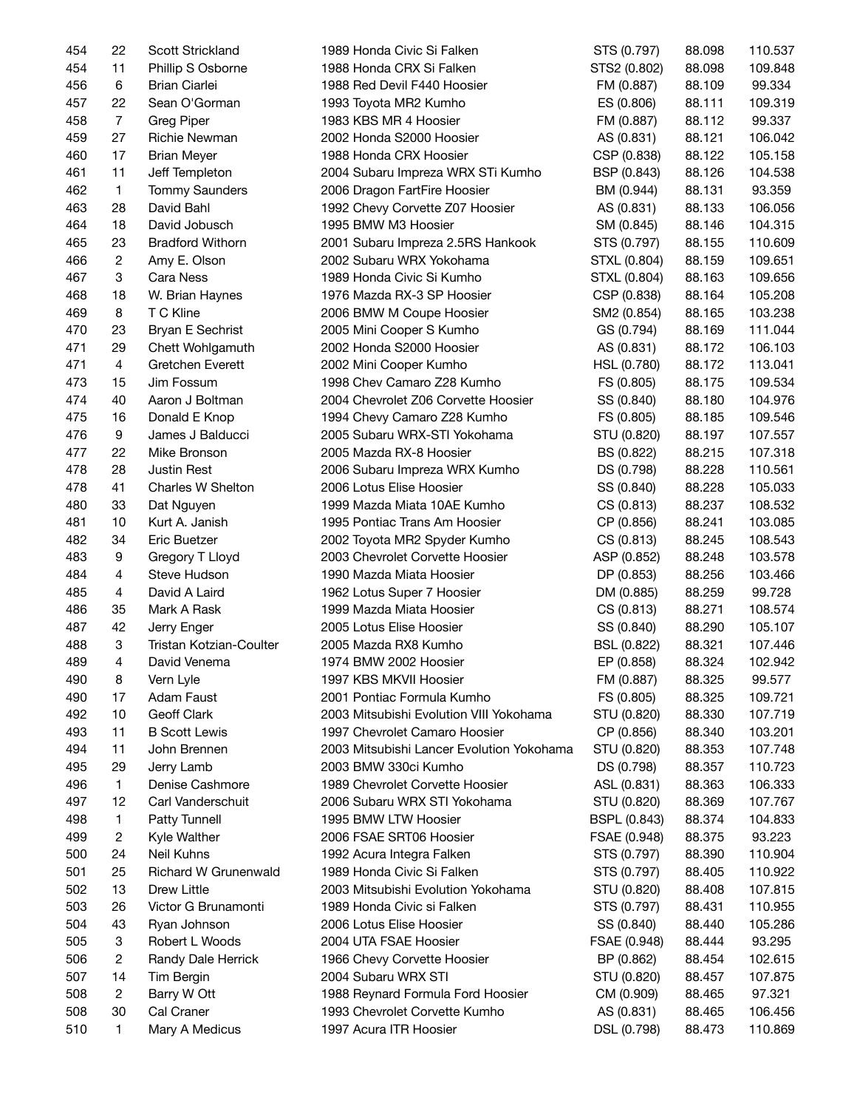| 454 | 22             | Scott Strickland        | 1989 Honda Civic Si Falken                | STS (0.797)               | 88.098 | 110.537 |
|-----|----------------|-------------------------|-------------------------------------------|---------------------------|--------|---------|
| 454 | 11             | Phillip S Osborne       | 1988 Honda CRX Si Falken                  | STS2 (0.802)              | 88.098 | 109.848 |
| 456 | 6              | <b>Brian Ciarlei</b>    | 1988 Red Devil F440 Hoosier               | FM (0.887)                | 88.109 | 99.334  |
| 457 | 22             | Sean O'Gorman           | 1993 Toyota MR2 Kumho                     | ES (0.806)                | 88.111 | 109.319 |
| 458 | $\overline{7}$ | <b>Greg Piper</b>       | 1983 KBS MR 4 Hoosier                     | FM (0.887)                | 88.112 | 99.337  |
| 459 | 27             | Richie Newman           | 2002 Honda S2000 Hoosier                  | AS (0.831)                | 88.121 | 106.042 |
| 460 | 17             | <b>Brian Meyer</b>      | 1988 Honda CRX Hoosier                    | CSP (0.838)               | 88.122 | 105.158 |
| 461 | 11             | Jeff Templeton          | 2004 Subaru Impreza WRX STi Kumho         | BSP (0.843)               | 88.126 | 104.538 |
| 462 | $\mathbf{1}$   | <b>Tommy Saunders</b>   | 2006 Dragon FartFire Hoosier              | BM (0.944)                | 88.131 | 93.359  |
| 463 | 28             | David Bahl              | 1992 Chevy Corvette Z07 Hoosier           | AS (0.831)                | 88.133 | 106.056 |
| 464 | 18             | David Jobusch           | 1995 BMW M3 Hoosier                       | SM (0.845)                | 88.146 | 104.315 |
| 465 | 23             | <b>Bradford Withorn</b> | 2001 Subaru Impreza 2.5RS Hankook         | STS (0.797)               | 88.155 | 110.609 |
| 466 | $\overline{c}$ | Amy E. Olson            | 2002 Subaru WRX Yokohama                  | STXL (0.804)              | 88.159 | 109.651 |
| 467 | 3              | Cara Ness               | 1989 Honda Civic Si Kumho                 |                           |        |         |
|     |                |                         |                                           | STXL (0.804)              | 88.163 | 109.656 |
| 468 | 18             | W. Brian Haynes         | 1976 Mazda RX-3 SP Hoosier                | CSP (0.838)               | 88.164 | 105.208 |
| 469 | $\bf8$         | T C Kline               | 2006 BMW M Coupe Hoosier                  | SM2 (0.854)               | 88.165 | 103.238 |
| 470 | 23             | Bryan E Sechrist        | 2005 Mini Cooper S Kumho                  | GS (0.794)                | 88.169 | 111.044 |
| 471 | 29             | Chett Wohlgamuth        | 2002 Honda S2000 Hoosier                  | AS (0.831)                | 88.172 | 106.103 |
| 471 | 4              | Gretchen Everett        | 2002 Mini Cooper Kumho                    | HSL (0.780)               | 88.172 | 113.041 |
| 473 | 15             | Jim Fossum              | 1998 Chev Camaro Z28 Kumho                | FS (0.805)                | 88.175 | 109.534 |
| 474 | 40             | Aaron J Boltman         | 2004 Chevrolet Z06 Corvette Hoosier       | SS (0.840)                | 88.180 | 104.976 |
| 475 | 16             | Donald E Knop           | 1994 Chevy Camaro Z28 Kumho               | FS (0.805)                | 88.185 | 109.546 |
| 476 | 9              | James J Balducci        | 2005 Subaru WRX-STI Yokohama              | STU (0.820)               | 88.197 | 107.557 |
| 477 | 22             | Mike Bronson            | 2005 Mazda RX-8 Hoosier                   | BS (0.822)                | 88.215 | 107.318 |
| 478 | 28             | <b>Justin Rest</b>      | 2006 Subaru Impreza WRX Kumho             | DS (0.798)                | 88.228 | 110.561 |
| 478 | 41             | Charles W Shelton       | 2006 Lotus Elise Hoosier                  | SS (0.840)                | 88.228 | 105.033 |
| 480 | 33             | Dat Nguyen              | 1999 Mazda Miata 10AE Kumho               | CS (0.813)                | 88.237 | 108.532 |
| 481 | 10             | Kurt A. Janish          | 1995 Pontiac Trans Am Hoosier             | CP (0.856)                | 88.241 | 103.085 |
| 482 | 34             | Eric Buetzer            | 2002 Toyota MR2 Spyder Kumho              | CS (0.813)                | 88.245 | 108.543 |
| 483 | 9              | Gregory T Lloyd         | 2003 Chevrolet Corvette Hoosier           | ASP (0.852)               | 88.248 | 103.578 |
| 484 | 4              | Steve Hudson            | 1990 Mazda Miata Hoosier                  | DP (0.853)                | 88.256 | 103.466 |
| 485 | 4              | David A Laird           | 1962 Lotus Super 7 Hoosier                | DM (0.885)                | 88.259 | 99.728  |
| 486 | 35             | Mark A Rask             | 1999 Mazda Miata Hoosier                  | CS (0.813)                | 88.271 | 108.574 |
| 487 | 42             | Jerry Enger             | 2005 Lotus Elise Hoosier                  | SS (0.840)                | 88.290 | 105.107 |
| 488 | 3              | Tristan Kotzian-Coulter | 2005 Mazda RX8 Kumho                      | BSL (0.822)               | 88.321 | 107.446 |
| 489 | $\overline{4}$ | David Venema            | 1974 BMW 2002 Hoosier                     | EP (0.858)                | 88.324 | 102.942 |
| 490 | 8              | Vern Lyle               | 1997 KBS MKVII Hoosier                    | FM (0.887)                | 88.325 | 99.577  |
| 490 | 17             | Adam Faust              | 2001 Pontiac Formula Kumho                | FS (0.805)                | 88.325 | 109.721 |
| 492 | 10             | Geoff Clark             | 2003 Mitsubishi Evolution VIII Yokohama   | STU (0.820)               | 88.330 | 107.719 |
|     |                |                         | 1997 Chevrolet Camaro Hoosier             |                           |        |         |
| 493 | 11             | <b>B</b> Scott Lewis    | 2003 Mitsubishi Lancer Evolution Yokohama | CP (0.856)<br>STU (0.820) | 88.340 | 103.201 |
| 494 | 11             | John Brennen            | 2003 BMW 330ci Kumho                      |                           | 88.353 | 107.748 |
| 495 | 29             | Jerry Lamb              |                                           | DS (0.798)                | 88.357 | 110.723 |
| 496 | 1              | Denise Cashmore         | 1989 Chevrolet Corvette Hoosier           | ASL (0.831)               | 88.363 | 106.333 |
| 497 | 12             | Carl Vanderschuit       | 2006 Subaru WRX STI Yokohama              | STU (0.820)               | 88.369 | 107.767 |
| 498 | 1              | Patty Tunnell           | 1995 BMW LTW Hoosier                      | <b>BSPL (0.843)</b>       | 88.374 | 104.833 |
| 499 | $\overline{2}$ | Kyle Walther            | 2006 FSAE SRT06 Hoosier                   | FSAE (0.948)              | 88.375 | 93.223  |
| 500 | 24             | Neil Kuhns              | 1992 Acura Integra Falken                 | STS (0.797)               | 88.390 | 110.904 |
| 501 | 25             | Richard W Grunenwald    | 1989 Honda Civic Si Falken                | STS (0.797)               | 88.405 | 110.922 |
| 502 | 13             | Drew Little             | 2003 Mitsubishi Evolution Yokohama        | STU (0.820)               | 88.408 | 107.815 |
| 503 | 26             | Victor G Brunamonti     | 1989 Honda Civic si Falken                | STS (0.797)               | 88.431 | 110.955 |
| 504 | 43             | Ryan Johnson            | 2006 Lotus Elise Hoosier                  | SS (0.840)                | 88.440 | 105.286 |
| 505 | 3              | Robert L Woods          | 2004 UTA FSAE Hoosier                     | FSAE (0.948)              | 88.444 | 93.295  |
| 506 | $\overline{c}$ | Randy Dale Herrick      | 1966 Chevy Corvette Hoosier               | BP (0.862)                | 88.454 | 102.615 |
| 507 | 14             | Tim Bergin              | 2004 Subaru WRX STI                       | STU (0.820)               | 88.457 | 107.875 |
| 508 | $\overline{c}$ | Barry W Ott             | 1988 Reynard Formula Ford Hoosier         | CM (0.909)                | 88.465 | 97.321  |
| 508 | 30             | Cal Craner              | 1993 Chevrolet Corvette Kumho             | AS (0.831)                | 88.465 | 106.456 |
| 510 | 1              | Mary A Medicus          | 1997 Acura ITR Hoosier                    | DSL (0.798)               | 88.473 | 110.869 |
|     |                |                         |                                           |                           |        |         |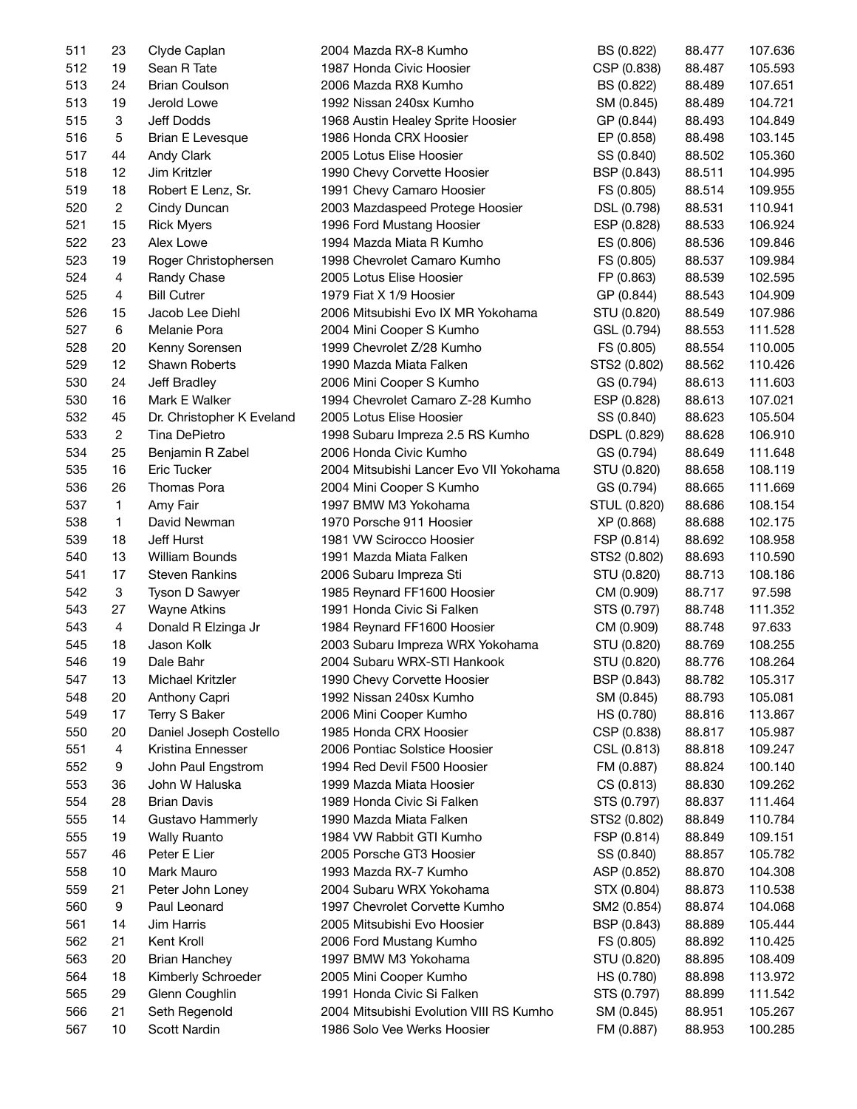| 511 | 23                        | Clyde Caplan              | 2004 Mazda RX-8 Kumho                                      | BS (0.822)   | 88.477           | 107.636 |
|-----|---------------------------|---------------------------|------------------------------------------------------------|--------------|------------------|---------|
| 512 | 19                        | Sean R Tate               | 1987 Honda Civic Hoosier                                   | CSP (0.838)  | 88.487           | 105.593 |
| 513 | 24                        | <b>Brian Coulson</b>      | 2006 Mazda RX8 Kumho                                       | BS (0.822)   | 88.489           | 107.651 |
| 513 | 19                        | Jerold Lowe               | 1992 Nissan 240sx Kumho                                    | SM (0.845)   | 88.489           | 104.721 |
| 515 | 3                         | Jeff Dodds                | 1968 Austin Healey Sprite Hoosier                          | GP (0.844)   | 88.493           | 104.849 |
| 516 | 5                         | Brian E Levesque          | 1986 Honda CRX Hoosier                                     | EP (0.858)   | 88.498           | 103.145 |
| 517 | 44                        | Andy Clark                | 2005 Lotus Elise Hoosier                                   | SS (0.840)   | 88.502           | 105.360 |
| 518 | 12                        | Jim Kritzler              | 1990 Chevy Corvette Hoosier                                | BSP (0.843)  | 88.511           | 104.995 |
| 519 | 18                        | Robert E Lenz, Sr.        | 1991 Chevy Camaro Hoosier                                  | FS (0.805)   | 88.514           | 109.955 |
| 520 | $\overline{2}$            | Cindy Duncan              | 2003 Mazdaspeed Protege Hoosier                            | DSL (0.798)  | 88.531           | 110.941 |
| 521 | 15                        | <b>Rick Myers</b>         | 1996 Ford Mustang Hoosier                                  | ESP (0.828)  | 88.533           | 106.924 |
| 522 | 23                        | Alex Lowe                 | 1994 Mazda Miata R Kumho                                   | ES (0.806)   | 88.536           | 109.846 |
| 523 | 19                        | Roger Christophersen      | 1998 Chevrolet Camaro Kumho                                | FS (0.805)   | 88.537           | 109.984 |
| 524 | $\overline{4}$            | Randy Chase               | 2005 Lotus Elise Hoosier                                   | FP (0.863)   | 88.539           | 102.595 |
| 525 | 4                         | <b>Bill Cutrer</b>        | 1979 Fiat X 1/9 Hoosier                                    | GP (0.844)   | 88.543           | 104.909 |
| 526 | 15                        | Jacob Lee Diehl           | 2006 Mitsubishi Evo IX MR Yokohama                         | STU (0.820)  | 88.549           | 107.986 |
| 527 | 6                         | Melanie Pora              | 2004 Mini Cooper S Kumho                                   | GSL (0.794)  | 88.553           | 111.528 |
| 528 | 20                        | Kenny Sorensen            | 1999 Chevrolet Z/28 Kumho                                  | FS (0.805)   | 88.554           | 110.005 |
| 529 | 12                        | <b>Shawn Roberts</b>      | 1990 Mazda Miata Falken                                    | STS2 (0.802) | 88.562           | 110.426 |
| 530 | 24                        | Jeff Bradley              | 2006 Mini Cooper S Kumho                                   | GS (0.794)   | 88.613           | 111.603 |
| 530 | 16                        | Mark E Walker             | 1994 Chevrolet Camaro Z-28 Kumho                           | ESP (0.828)  | 88.613           | 107.021 |
| 532 | 45                        | Dr. Christopher K Eveland | 2005 Lotus Elise Hoosier                                   |              | 88.623           | 105.504 |
| 533 | $\overline{2}$            | <b>Tina DePietro</b>      |                                                            | SS (0.840)   |                  | 106.910 |
| 534 | 25                        |                           | 1998 Subaru Impreza 2.5 RS Kumho<br>2006 Honda Civic Kumho | DSPL (0.829) | 88.628<br>88.649 |         |
|     |                           | Benjamin R Zabel          |                                                            | GS (0.794)   |                  | 111.648 |
| 535 | 16                        | Eric Tucker               | 2004 Mitsubishi Lancer Evo VII Yokohama                    | STU (0.820)  | 88.658           | 108.119 |
| 536 | 26                        | Thomas Pora               | 2004 Mini Cooper S Kumho                                   | GS (0.794)   | 88.665           | 111.669 |
| 537 | $\mathbf{1}$              | Amy Fair                  | 1997 BMW M3 Yokohama                                       | STUL (0.820) | 88.686           | 108.154 |
| 538 | $\mathbf{1}$              | David Newman              | 1970 Porsche 911 Hoosier                                   | XP (0.868)   | 88.688           | 102.175 |
| 539 | 18                        | Jeff Hurst                | 1981 VW Scirocco Hoosier                                   | FSP (0.814)  | 88.692           | 108.958 |
| 540 | 13                        | William Bounds            | 1991 Mazda Miata Falken                                    | STS2 (0.802) | 88.693           | 110.590 |
| 541 | 17                        | <b>Steven Rankins</b>     | 2006 Subaru Impreza Sti                                    | STU (0.820)  | 88.713           | 108.186 |
| 542 | $\ensuremath{\mathsf{3}}$ | Tyson D Sawyer            | 1985 Reynard FF1600 Hoosier                                | CM (0.909)   | 88.717           | 97.598  |
| 543 | 27                        | <b>Wayne Atkins</b>       | 1991 Honda Civic Si Falken                                 | STS (0.797)  | 88.748           | 111.352 |
| 543 | 4                         | Donald R Elzinga Jr       | 1984 Reynard FF1600 Hoosier                                | CM (0.909)   | 88.748           | 97.633  |
| 545 | 18                        | Jason Kolk                | 2003 Subaru Impreza WRX Yokohama                           | STU (0.820)  | 88.769           | 108.255 |
| 546 | 19                        | Dale Bahr                 | 2004 Subaru WRX-STI Hankook                                | STU (0.820)  | 88.776           | 108.264 |
| 547 | 13                        | Michael Kritzler          | 1990 Chevy Corvette Hoosier                                | BSP (0.843)  | 88.782           | 105.317 |
| 548 | 20                        | Anthony Capri             | 1992 Nissan 240sx Kumho                                    | SM (0.845)   | 88.793           | 105.081 |
| 549 | 17                        | Terry S Baker             | 2006 Mini Cooper Kumho                                     | HS (0.780)   | 88.816           | 113.867 |
| 550 | 20                        | Daniel Joseph Costello    | 1985 Honda CRX Hoosier                                     | CSP (0.838)  | 88.817           | 105.987 |
| 551 | 4                         | Kristina Ennesser         | 2006 Pontiac Solstice Hoosier                              | CSL (0.813)  | 88.818           | 109.247 |
| 552 | 9                         | John Paul Engstrom        | 1994 Red Devil F500 Hoosier                                | FM (0.887)   | 88.824           | 100.140 |
| 553 | 36                        | John W Haluska            | 1999 Mazda Miata Hoosier                                   | CS (0.813)   | 88.830           | 109.262 |
| 554 | 28                        | <b>Brian Davis</b>        | 1989 Honda Civic Si Falken                                 | STS (0.797)  | 88.837           | 111.464 |
| 555 | 14                        | Gustavo Hammerly          | 1990 Mazda Miata Falken                                    | STS2 (0.802) | 88.849           | 110.784 |
| 555 | 19                        | <b>Wally Ruanto</b>       | 1984 VW Rabbit GTI Kumho                                   | FSP (0.814)  | 88.849           | 109.151 |
| 557 | 46                        | Peter E Lier              | 2005 Porsche GT3 Hoosier                                   | SS (0.840)   | 88.857           | 105.782 |
| 558 | 10                        | Mark Mauro                | 1993 Mazda RX-7 Kumho                                      | ASP (0.852)  | 88.870           | 104.308 |
| 559 | 21                        | Peter John Loney          | 2004 Subaru WRX Yokohama                                   | STX (0.804)  | 88.873           | 110.538 |
| 560 | 9                         | Paul Leonard              | 1997 Chevrolet Corvette Kumho                              | SM2 (0.854)  | 88.874           | 104.068 |
| 561 | 14                        | Jim Harris                | 2005 Mitsubishi Evo Hoosier                                | BSP (0.843)  | 88.889           | 105.444 |
| 562 | 21                        | Kent Kroll                | 2006 Ford Mustang Kumho                                    | FS (0.805)   | 88.892           | 110.425 |
| 563 | 20                        | <b>Brian Hanchey</b>      | 1997 BMW M3 Yokohama                                       | STU (0.820)  | 88.895           | 108.409 |
| 564 | 18                        | Kimberly Schroeder        | 2005 Mini Cooper Kumho                                     | HS (0.780)   | 88.898           | 113.972 |
| 565 | 29                        | Glenn Coughlin            | 1991 Honda Civic Si Falken                                 | STS (0.797)  | 88.899           | 111.542 |
| 566 | 21                        | Seth Regenold             | 2004 Mitsubishi Evolution VIII RS Kumho                    | SM (0.845)   | 88.951           | 105.267 |
| 567 | 10                        | Scott Nardin              | 1986 Solo Vee Werks Hoosier                                | FM (0.887)   | 88.953           | 100.285 |
|     |                           |                           |                                                            |              |                  |         |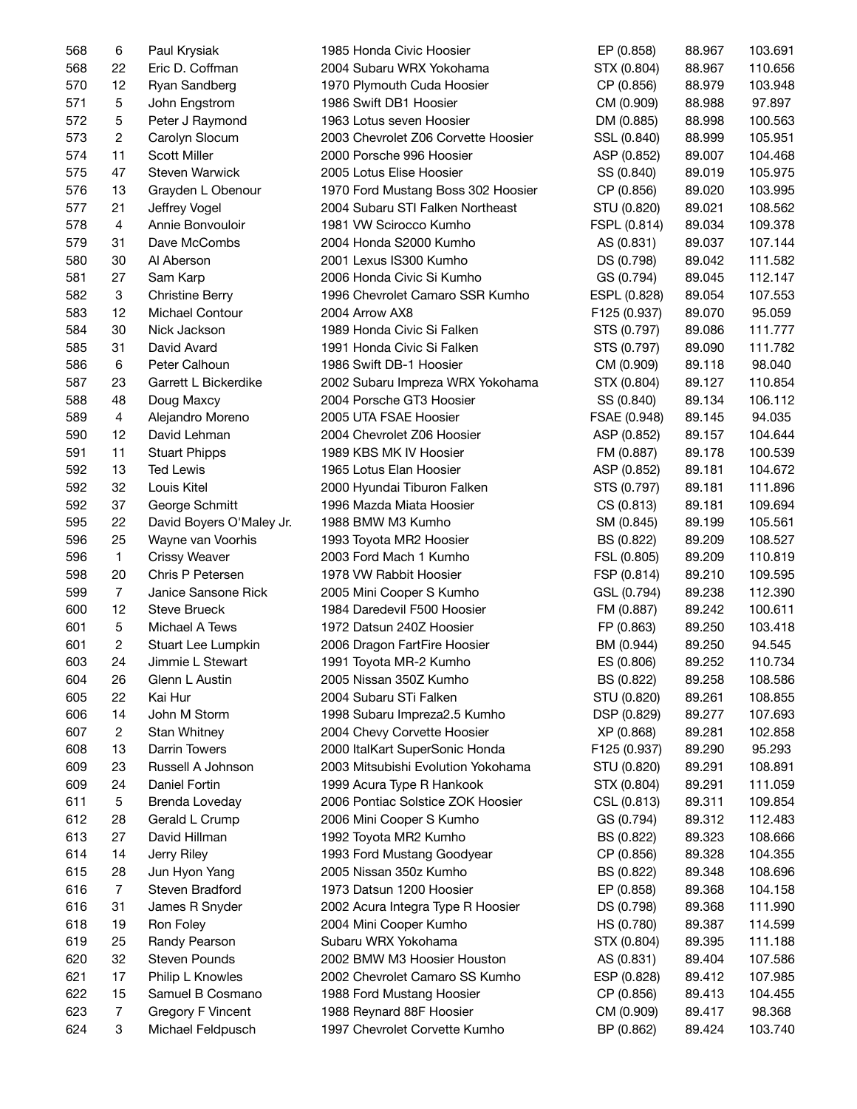| 568 | 6                         | Paul Krysiak             | 1985 Honda Civic Hoosier                             | EP (0.858)   | 88.967 | 103.691 |
|-----|---------------------------|--------------------------|------------------------------------------------------|--------------|--------|---------|
| 568 | 22                        | Eric D. Coffman          | 2004 Subaru WRX Yokohama                             | STX (0.804)  | 88.967 | 110.656 |
| 570 | 12                        | Ryan Sandberg            | 1970 Plymouth Cuda Hoosier                           | CP (0.856)   | 88.979 | 103.948 |
| 571 | $\mathbf 5$               | John Engstrom            | 1986 Swift DB1 Hoosier                               | CM (0.909)   | 88.988 | 97.897  |
| 572 | 5                         | Peter J Raymond          | 1963 Lotus seven Hoosier                             | DM (0.885)   | 88.998 | 100.563 |
| 573 | $\overline{2}$            | Carolyn Slocum           | 2003 Chevrolet Z06 Corvette Hoosier                  | SSL (0.840)  | 88.999 | 105.951 |
| 574 | 11                        | <b>Scott Miller</b>      | 2000 Porsche 996 Hoosier                             | ASP (0.852)  | 89.007 | 104.468 |
| 575 | 47                        | Steven Warwick           | 2005 Lotus Elise Hoosier                             | SS (0.840)   | 89.019 | 105.975 |
| 576 | 13                        | Grayden L Obenour        | 1970 Ford Mustang Boss 302 Hoosier                   | CP (0.856)   | 89.020 | 103.995 |
| 577 | 21                        | Jeffrey Vogel            | 2004 Subaru STI Falken Northeast                     | STU (0.820)  | 89.021 | 108.562 |
| 578 | $\overline{4}$            | Annie Bonvouloir         | 1981 VW Scirocco Kumho                               | FSPL (0.814) | 89.034 | 109.378 |
| 579 | 31                        | Dave McCombs             | 2004 Honda S2000 Kumho                               | AS (0.831)   | 89.037 | 107.144 |
| 580 | 30                        | Al Aberson               | 2001 Lexus IS300 Kumho                               | DS (0.798)   | 89.042 | 111.582 |
| 581 | 27                        | Sam Karp                 | 2006 Honda Civic Si Kumho                            | GS (0.794)   | 89.045 | 112.147 |
| 582 | $\ensuremath{\mathsf{3}}$ | <b>Christine Berry</b>   | 1996 Chevrolet Camaro SSR Kumho                      | ESPL (0.828) | 89.054 | 107.553 |
| 583 | 12                        | Michael Contour          |                                                      |              |        |         |
|     |                           |                          | 2004 Arrow AX8                                       | F125 (0.937) | 89.070 | 95.059  |
| 584 | 30                        | Nick Jackson             | 1989 Honda Civic Si Falken                           | STS (0.797)  | 89.086 | 111.777 |
| 585 | 31                        | David Avard              | 1991 Honda Civic Si Falken                           | STS (0.797)  | 89.090 | 111.782 |
| 586 | 6                         | Peter Calhoun            | 1986 Swift DB-1 Hoosier                              | CM (0.909)   | 89.118 | 98.040  |
| 587 | 23                        | Garrett L Bickerdike     | 2002 Subaru Impreza WRX Yokohama                     | STX (0.804)  | 89.127 | 110.854 |
| 588 | 48                        | Doug Maxcy               | 2004 Porsche GT3 Hoosier                             | SS (0.840)   | 89.134 | 106.112 |
| 589 | 4                         | Alejandro Moreno         | 2005 UTA FSAE Hoosier                                | FSAE (0.948) | 89.145 | 94.035  |
| 590 | 12                        | David Lehman             | 2004 Chevrolet Z06 Hoosier                           | ASP (0.852)  | 89.157 | 104.644 |
| 591 | 11                        | <b>Stuart Phipps</b>     | 1989 KBS MK IV Hoosier                               | FM (0.887)   | 89.178 | 100.539 |
| 592 | 13                        | <b>Ted Lewis</b>         | 1965 Lotus Elan Hoosier                              | ASP (0.852)  | 89.181 | 104.672 |
| 592 | 32                        | Louis Kitel              | 2000 Hyundai Tiburon Falken                          | STS (0.797)  | 89.181 | 111.896 |
| 592 | 37                        | George Schmitt           | 1996 Mazda Miata Hoosier                             | CS (0.813)   | 89.181 | 109.694 |
| 595 | 22                        | David Boyers O'Maley Jr. | 1988 BMW M3 Kumho                                    | SM (0.845)   | 89.199 | 105.561 |
| 596 | 25                        | Wayne van Voorhis        | 1993 Toyota MR2 Hoosier                              | BS (0.822)   | 89.209 | 108.527 |
| 596 | $\mathbf{1}$              | <b>Crissy Weaver</b>     | 2003 Ford Mach 1 Kumho                               | FSL (0.805)  | 89.209 | 110.819 |
| 598 | 20                        | Chris P Petersen         | 1978 VW Rabbit Hoosier                               | FSP (0.814)  | 89.210 | 109.595 |
| 599 | $\overline{7}$            | Janice Sansone Rick      | 2005 Mini Cooper S Kumho                             | GSL (0.794)  | 89.238 | 112.390 |
| 600 | 12                        | <b>Steve Brueck</b>      | 1984 Daredevil F500 Hoosier                          | FM (0.887)   | 89.242 | 100.611 |
| 601 | 5                         | Michael A Tews           | 1972 Datsun 240Z Hoosier                             | FP (0.863)   | 89.250 | 103.418 |
| 601 | $\overline{c}$            | Stuart Lee Lumpkin       | 2006 Dragon FartFire Hoosier                         | BM (0.944)   | 89.250 | 94.545  |
| 603 | 24                        | Jimmie L Stewart         | 1991 Toyota MR-2 Kumho                               | ES (0.806)   | 89.252 | 110.734 |
| 604 | 26                        | Glenn L Austin           | 2005 Nissan 350Z Kumho                               | BS (0.822)   | 89.258 | 108.586 |
| 605 | 22                        | Kai Hur                  | 2004 Subaru STi Falken                               | STU (0.820)  | 89.261 | 108.855 |
| 606 | 14                        | John M Storm             | 1998 Subaru Impreza2.5 Kumho                         | DSP (0.829)  | 89.277 | 107.693 |
| 607 | $\overline{c}$            | Stan Whitney             | 2004 Chevy Corvette Hoosier                          | XP (0.868)   | 89.281 | 102.858 |
| 608 | 13                        | Darrin Towers            | 2000 ItalKart SuperSonic Honda                       | F125 (0.937) | 89.290 | 95.293  |
| 609 | 23                        | Russell A Johnson        | 2003 Mitsubishi Evolution Yokohama                   | STU (0.820)  | 89.291 | 108.891 |
| 609 | 24                        | Daniel Fortin            | 1999 Acura Type R Hankook                            | STX (0.804)  | 89.291 | 111.059 |
| 611 | 5                         | Brenda Loveday           | 2006 Pontiac Solstice ZOK Hoosier                    | CSL (0.813)  | 89.311 | 109.854 |
| 612 | 28                        | Gerald L Crump           | 2006 Mini Cooper S Kumho                             | GS (0.794)   | 89.312 | 112.483 |
| 613 | 27                        | David Hillman            | 1992 Toyota MR2 Kumho                                | BS (0.822)   | 89.323 | 108.666 |
|     |                           | Jerry Riley              |                                                      | CP (0.856)   |        |         |
| 614 | 14                        |                          | 1993 Ford Mustang Goodyear<br>2005 Nissan 350z Kumho |              | 89.328 | 104.355 |
| 615 | 28                        | Jun Hyon Yang            |                                                      | BS (0.822)   | 89.348 | 108.696 |
| 616 | 7                         | Steven Bradford          | 1973 Datsun 1200 Hoosier                             | EP (0.858)   | 89.368 | 104.158 |
| 616 | 31                        | James R Snyder           | 2002 Acura Integra Type R Hoosier                    | DS (0.798)   | 89.368 | 111.990 |
| 618 | 19                        | Ron Foley                | 2004 Mini Cooper Kumho                               | HS (0.780)   | 89.387 | 114.599 |
| 619 | 25                        | Randy Pearson            | Subaru WRX Yokohama                                  | STX (0.804)  | 89.395 | 111.188 |
| 620 | 32                        | <b>Steven Pounds</b>     | 2002 BMW M3 Hoosier Houston                          | AS (0.831)   | 89.404 | 107.586 |
| 621 | 17                        | Philip L Knowles         | 2002 Chevrolet Camaro SS Kumho                       | ESP (0.828)  | 89.412 | 107.985 |
| 622 | 15                        | Samuel B Cosmano         | 1988 Ford Mustang Hoosier                            | CP (0.856)   | 89.413 | 104.455 |
| 623 | $\overline{7}$            | <b>Gregory F Vincent</b> | 1988 Reynard 88F Hoosier                             | CM (0.909)   | 89.417 | 98.368  |
| 624 | 3                         | Michael Feldpusch        | 1997 Chevrolet Corvette Kumho                        | BP (0.862)   | 89.424 | 103.740 |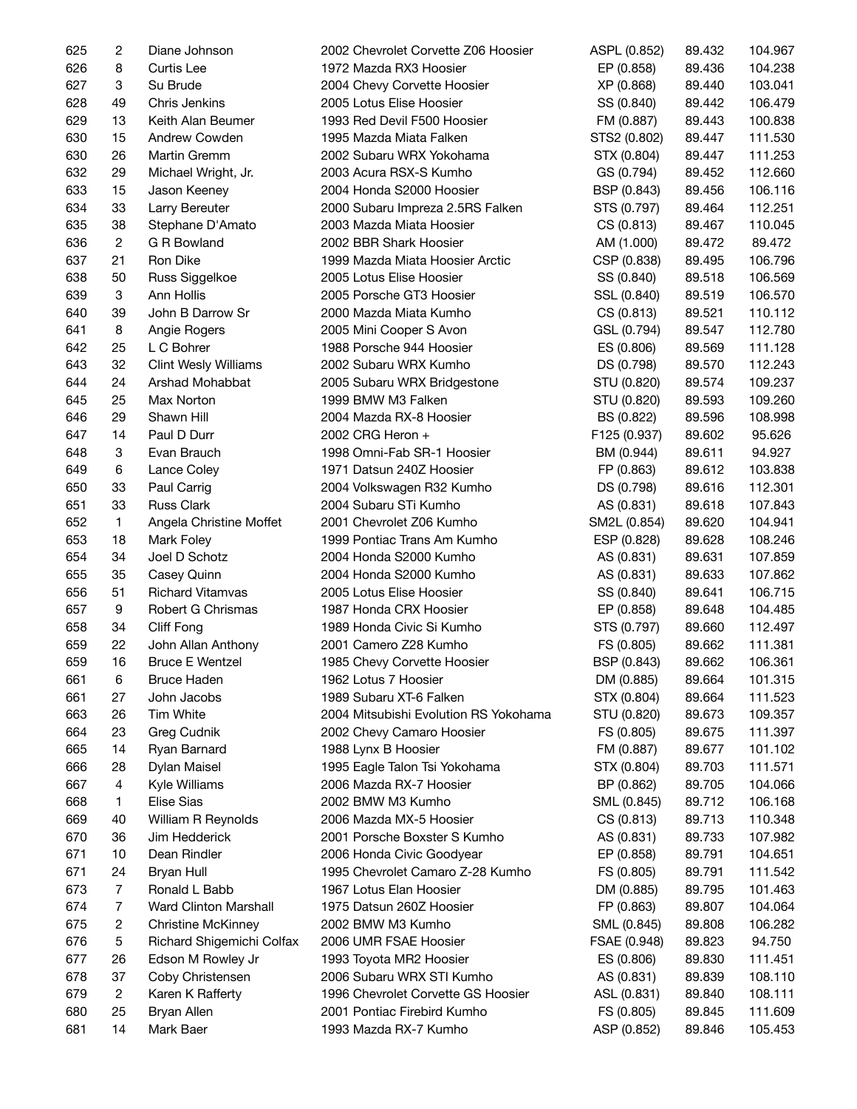| 625 | 2              | Diane Johnson               | 2002 Chevrolet Corvette Z06 Hoosier   | ASPL (0.852) | 89.432 | 104.967 |
|-----|----------------|-----------------------------|---------------------------------------|--------------|--------|---------|
| 626 | 8              | Curtis Lee                  | 1972 Mazda RX3 Hoosier                | EP (0.858)   | 89.436 | 104.238 |
| 627 | 3              | Su Brude                    | 2004 Chevy Corvette Hoosier           | XP (0.868)   | 89.440 | 103.041 |
| 628 | 49             | Chris Jenkins               | 2005 Lotus Elise Hoosier              | SS (0.840)   | 89.442 | 106.479 |
| 629 | 13             | Keith Alan Beumer           | 1993 Red Devil F500 Hoosier           | FM (0.887)   | 89.443 | 100.838 |
| 630 | 15             | Andrew Cowden               | 1995 Mazda Miata Falken               | STS2 (0.802) | 89.447 | 111.530 |
| 630 | 26             | Martin Gremm                | 2002 Subaru WRX Yokohama              | STX (0.804)  | 89.447 | 111.253 |
| 632 | 29             | Michael Wright, Jr.         | 2003 Acura RSX-S Kumho                | GS (0.794)   | 89.452 | 112.660 |
| 633 | 15             | Jason Keeney                | 2004 Honda S2000 Hoosier              | BSP (0.843)  | 89.456 | 106.116 |
| 634 | 33             | Larry Bereuter              | 2000 Subaru Impreza 2.5RS Falken      | STS (0.797)  | 89.464 | 112.251 |
| 635 | 38             | Stephane D'Amato            | 2003 Mazda Miata Hoosier              | CS (0.813)   | 89.467 | 110.045 |
| 636 | $\overline{c}$ | G R Bowland                 | 2002 BBR Shark Hoosier                | AM (1.000)   | 89.472 | 89.472  |
| 637 | 21             | Ron Dike                    | 1999 Mazda Miata Hoosier Arctic       | CSP (0.838)  | 89.495 | 106.796 |
| 638 | 50             | Russ Siggelkoe              | 2005 Lotus Elise Hoosier              | SS (0.840)   | 89.518 | 106.569 |
| 639 | 3              | Ann Hollis                  | 2005 Porsche GT3 Hoosier              | SSL (0.840)  | 89.519 | 106.570 |
| 640 | 39             | John B Darrow Sr            | 2000 Mazda Miata Kumho                | CS (0.813)   | 89.521 | 110.112 |
| 641 | 8              | Angie Rogers                | 2005 Mini Cooper S Avon               | GSL (0.794)  | 89.547 | 112.780 |
| 642 | 25             | L C Bohrer                  | 1988 Porsche 944 Hoosier              | ES (0.806)   | 89.569 | 111.128 |
| 643 | 32             | <b>Clint Wesly Williams</b> | 2002 Subaru WRX Kumho                 | DS (0.798)   | 89.570 | 112.243 |
| 644 | 24             | Arshad Mohabbat             | 2005 Subaru WRX Bridgestone           | STU (0.820)  | 89.574 | 109.237 |
| 645 | 25             |                             | 1999 BMW M3 Falken                    |              |        | 109.260 |
|     |                | Max Norton                  |                                       | STU (0.820)  | 89.593 | 108.998 |
| 646 | 29             | Shawn Hill                  | 2004 Mazda RX-8 Hoosier               | BS (0.822)   | 89.596 |         |
| 647 | 14             | Paul D Durr                 | 2002 CRG Heron +                      | F125 (0.937) | 89.602 | 95.626  |
| 648 | 3              | Evan Brauch                 | 1998 Omni-Fab SR-1 Hoosier            | BM (0.944)   | 89.611 | 94.927  |
| 649 | 6              | Lance Coley                 | 1971 Datsun 240Z Hoosier              | FP (0.863)   | 89.612 | 103.838 |
| 650 | 33             | Paul Carrig                 | 2004 Volkswagen R32 Kumho             | DS (0.798)   | 89.616 | 112.301 |
| 651 | 33             | <b>Russ Clark</b>           | 2004 Subaru STi Kumho                 | AS (0.831)   | 89.618 | 107.843 |
| 652 | $\mathbf{1}$   | Angela Christine Moffet     | 2001 Chevrolet Z06 Kumho              | SM2L (0.854) | 89.620 | 104.941 |
| 653 | 18             | Mark Foley                  | 1999 Pontiac Trans Am Kumho           | ESP (0.828)  | 89.628 | 108.246 |
| 654 | 34             | Joel D Schotz               | 2004 Honda S2000 Kumho                | AS (0.831)   | 89.631 | 107.859 |
| 655 | 35             | Casey Quinn                 | 2004 Honda S2000 Kumho                | AS (0.831)   | 89.633 | 107.862 |
| 656 | 51             | <b>Richard Vitamvas</b>     | 2005 Lotus Elise Hoosier              | SS (0.840)   | 89.641 | 106.715 |
| 657 | 9              | Robert G Chrismas           | 1987 Honda CRX Hoosier                | EP (0.858)   | 89.648 | 104.485 |
| 658 | 34             | Cliff Fong                  | 1989 Honda Civic Si Kumho             | STS (0.797)  | 89.660 | 112.497 |
| 659 | 22             | John Allan Anthony          | 2001 Camero Z28 Kumho                 | FS (0.805)   | 89.662 | 111.381 |
| 659 | 16             | <b>Bruce E Wentzel</b>      | 1985 Chevy Corvette Hoosier           | BSP (0.843)  | 89.662 | 106.361 |
| 661 | 6              | <b>Bruce Haden</b>          | 1962 Lotus 7 Hoosier                  | DM (0.885)   | 89.664 | 101.315 |
| 661 | 27             | John Jacobs                 | 1989 Subaru XT-6 Falken               | STX (0.804)  | 89.664 | 111.523 |
| 663 | 26             | Tim White                   | 2004 Mitsubishi Evolution RS Yokohama | STU (0.820)  | 89.673 | 109.357 |
| 664 | 23             | Greg Cudnik                 | 2002 Chevy Camaro Hoosier             | FS (0.805)   | 89.675 | 111.397 |
| 665 | 14             | Ryan Barnard                | 1988 Lynx B Hoosier                   | FM (0.887)   | 89.677 | 101.102 |
| 666 | 28             | Dylan Maisel                | 1995 Eagle Talon Tsi Yokohama         | STX (0.804)  | 89.703 | 111.571 |
| 667 | 4              | Kyle Williams               | 2006 Mazda RX-7 Hoosier               | BP (0.862)   | 89.705 | 104.066 |
| 668 | 1              | Elise Sias                  | 2002 BMW M3 Kumho                     | SML (0.845)  | 89.712 | 106.168 |
| 669 | 40             | William R Reynolds          | 2006 Mazda MX-5 Hoosier               | CS (0.813)   | 89.713 | 110.348 |
| 670 | 36             | Jim Hedderick               | 2001 Porsche Boxster S Kumho          | AS (0.831)   | 89.733 | 107.982 |
| 671 | 10             | Dean Rindler                | 2006 Honda Civic Goodyear             | EP (0.858)   | 89.791 | 104.651 |
| 671 | 24             | <b>Bryan Hull</b>           | 1995 Chevrolet Camaro Z-28 Kumho      | FS (0.805)   | 89.791 | 111.542 |
| 673 | $\overline{7}$ | Ronald L Babb               | 1967 Lotus Elan Hoosier               | DM (0.885)   | 89.795 | 101.463 |
| 674 | $\overline{7}$ | Ward Clinton Marshall       | 1975 Datsun 260Z Hoosier              | FP (0.863)   | 89.807 | 104.064 |
| 675 | 2              | <b>Christine McKinney</b>   | 2002 BMW M3 Kumho                     | SML (0.845)  | 89.808 | 106.282 |
| 676 | 5              | Richard Shigemichi Colfax   | 2006 UMR FSAE Hoosier                 | FSAE (0.948) | 89.823 | 94.750  |
| 677 | 26             | Edson M Rowley Jr           | 1993 Toyota MR2 Hoosier               | ES (0.806)   | 89.830 | 111.451 |
| 678 | 37             | Coby Christensen            | 2006 Subaru WRX STI Kumho             | AS (0.831)   | 89.839 | 108.110 |
| 679 | $\overline{c}$ | Karen K Rafferty            | 1996 Chevrolet Corvette GS Hoosier    | ASL (0.831)  | 89.840 | 108.111 |
| 680 | 25             | Bryan Allen                 | 2001 Pontiac Firebird Kumho           | FS (0.805)   | 89.845 | 111.609 |
| 681 | 14             | Mark Baer                   | 1993 Mazda RX-7 Kumho                 | ASP (0.852)  | 89.846 | 105.453 |
|     |                |                             |                                       |              |        |         |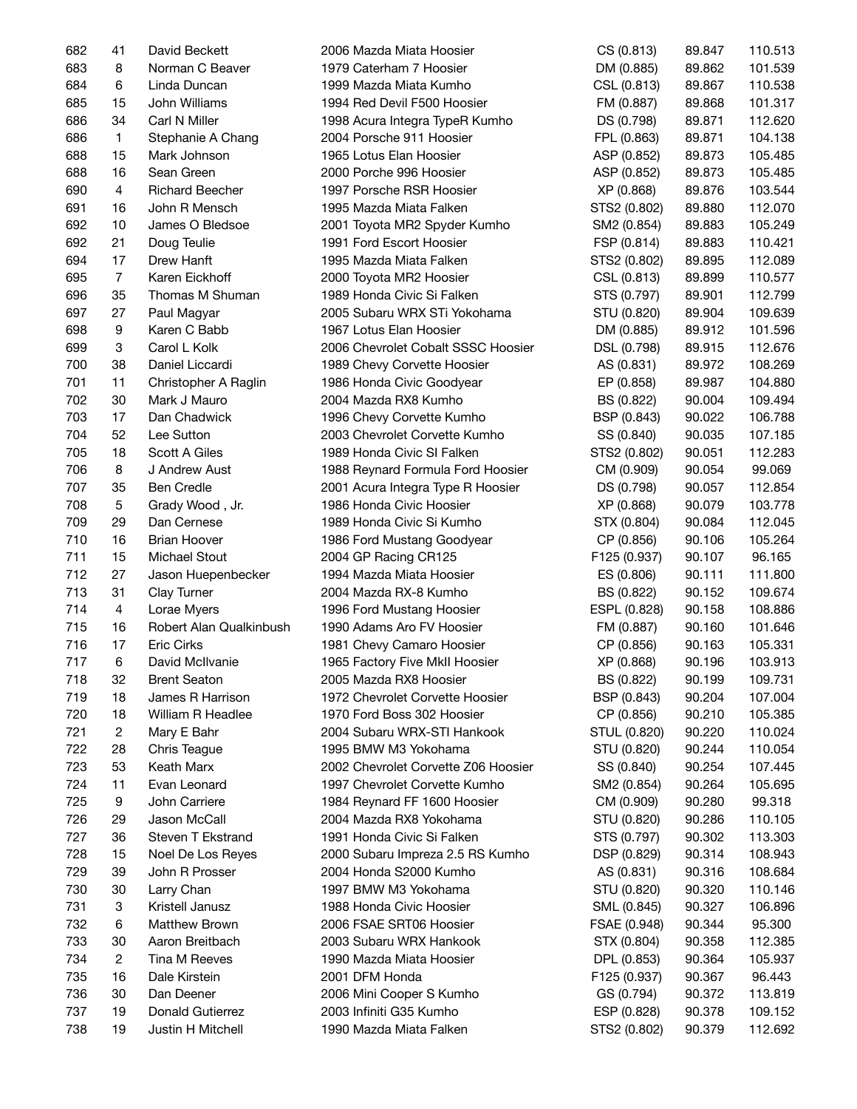| 682 | 41             | David Beckett           | 2006 Mazda Miata Hoosier            | CS (0.813)   | 89.847 | 110.513 |
|-----|----------------|-------------------------|-------------------------------------|--------------|--------|---------|
| 683 | 8              | Norman C Beaver         | 1979 Caterham 7 Hoosier             | DM (0.885)   | 89.862 | 101.539 |
| 684 | 6              | Linda Duncan            | 1999 Mazda Miata Kumho              | CSL (0.813)  | 89.867 | 110.538 |
| 685 | 15             | John Williams           | 1994 Red Devil F500 Hoosier         | FM (0.887)   | 89.868 | 101.317 |
| 686 | 34             | Carl N Miller           | 1998 Acura Integra TypeR Kumho      | DS (0.798)   | 89.871 | 112.620 |
| 686 | $\mathbf{1}$   | Stephanie A Chang       | 2004 Porsche 911 Hoosier            | FPL (0.863)  | 89.871 | 104.138 |
| 688 | 15             | Mark Johnson            | 1965 Lotus Elan Hoosier             | ASP (0.852)  | 89.873 | 105.485 |
| 688 | 16             | Sean Green              | 2000 Porche 996 Hoosier             | ASP (0.852)  | 89.873 | 105.485 |
| 690 | 4              | <b>Richard Beecher</b>  | 1997 Porsche RSR Hoosier            | XP (0.868)   | 89.876 | 103.544 |
| 691 | 16             | John R Mensch           | 1995 Mazda Miata Falken             | STS2 (0.802) | 89.880 | 112.070 |
| 692 | 10             | James O Bledsoe         | 2001 Toyota MR2 Spyder Kumho        | SM2 (0.854)  | 89.883 | 105.249 |
| 692 | 21             | Doug Teulie             | 1991 Ford Escort Hoosier            | FSP (0.814)  | 89.883 | 110.421 |
| 694 | 17             | Drew Hanft              | 1995 Mazda Miata Falken             | STS2 (0.802) | 89.895 | 112.089 |
| 695 | $\overline{7}$ | Karen Eickhoff          | 2000 Toyota MR2 Hoosier             | CSL (0.813)  | 89.899 | 110.577 |
| 696 | 35             | Thomas M Shuman         | 1989 Honda Civic Si Falken          | STS (0.797)  | 89.901 | 112.799 |
| 697 | 27             | Paul Magyar             | 2005 Subaru WRX STi Yokohama        | STU (0.820)  | 89.904 | 109.639 |
|     | 9              |                         |                                     |              | 89.912 |         |
| 698 |                | Karen C Babb            | 1967 Lotus Elan Hoosier             | DM (0.885)   |        | 101.596 |
| 699 | 3              | Carol L Kolk            | 2006 Chevrolet Cobalt SSSC Hoosier  | DSL (0.798)  | 89.915 | 112.676 |
| 700 | 38             | Daniel Liccardi         | 1989 Chevy Corvette Hoosier         | AS (0.831)   | 89.972 | 108.269 |
| 701 | 11             | Christopher A Raglin    | 1986 Honda Civic Goodyear           | EP (0.858)   | 89.987 | 104.880 |
| 702 | 30             | Mark J Mauro            | 2004 Mazda RX8 Kumho                | BS (0.822)   | 90.004 | 109.494 |
| 703 | 17             | Dan Chadwick            | 1996 Chevy Corvette Kumho           | BSP (0.843)  | 90.022 | 106.788 |
| 704 | 52             | Lee Sutton              | 2003 Chevrolet Corvette Kumho       | SS (0.840)   | 90.035 | 107.185 |
| 705 | 18             | Scott A Giles           | 1989 Honda Civic SI Falken          | STS2 (0.802) | 90.051 | 112.283 |
| 706 | 8              | J Andrew Aust           | 1988 Reynard Formula Ford Hoosier   | CM (0.909)   | 90.054 | 99.069  |
| 707 | 35             | <b>Ben Credle</b>       | 2001 Acura Integra Type R Hoosier   | DS (0.798)   | 90.057 | 112.854 |
| 708 | 5              | Grady Wood, Jr.         | 1986 Honda Civic Hoosier            | XP (0.868)   | 90.079 | 103.778 |
| 709 | 29             | Dan Cernese             | 1989 Honda Civic Si Kumho           | STX (0.804)  | 90.084 | 112.045 |
| 710 | 16             | <b>Brian Hoover</b>     | 1986 Ford Mustang Goodyear          | CP (0.856)   | 90.106 | 105.264 |
| 711 | 15             | Michael Stout           | 2004 GP Racing CR125                | F125 (0.937) | 90.107 | 96.165  |
| 712 | 27             | Jason Huepenbecker      | 1994 Mazda Miata Hoosier            | ES (0.806)   | 90.111 | 111.800 |
| 713 | 31             | Clay Turner             | 2004 Mazda RX-8 Kumho               | BS (0.822)   | 90.152 | 109.674 |
| 714 | 4              | Lorae Myers             | 1996 Ford Mustang Hoosier           | ESPL (0.828) | 90.158 | 108.886 |
| 715 | 16             | Robert Alan Qualkinbush | 1990 Adams Aro FV Hoosier           | FM (0.887)   | 90.160 | 101.646 |
| 716 | 17             | <b>Eric Cirks</b>       | 1981 Chevy Camaro Hoosier           | CP (0.856)   | 90.163 | 105.331 |
| 717 | 6              | David McIlvanie         | 1965 Factory Five MkII Hoosier      | XP (0.868)   | 90.196 | 103.913 |
| 718 | 32             | <b>Brent Seaton</b>     | 2005 Mazda RX8 Hoosier              | BS (0.822)   | 90.199 | 109.731 |
| 719 | 18             | James R Harrison        | 1972 Chevrolet Corvette Hoosier     | BSP (0.843)  | 90.204 | 107.004 |
| 720 | 18             | William R Headlee       | 1970 Ford Boss 302 Hoosier          | CP (0.856)   | 90.210 | 105.385 |
| 721 | $\overline{c}$ | Mary E Bahr             | 2004 Subaru WRX-STI Hankook         | STUL (0.820) | 90.220 | 110.024 |
| 722 | 28             | Chris Teague            | 1995 BMW M3 Yokohama                | STU (0.820)  | 90.244 | 110.054 |
| 723 | 53             | Keath Marx              | 2002 Chevrolet Corvette Z06 Hoosier | SS (0.840)   | 90.254 | 107.445 |
| 724 | 11             | Evan Leonard            | 1997 Chevrolet Corvette Kumho       | SM2 (0.854)  | 90.264 | 105.695 |
| 725 | 9              | John Carriere           | 1984 Reynard FF 1600 Hoosier        | CM (0.909)   | 90.280 | 99.318  |
| 726 | 29             | Jason McCall            | 2004 Mazda RX8 Yokohama             | STU (0.820)  | 90.286 | 110.105 |
| 727 | 36             | Steven T Ekstrand       | 1991 Honda Civic Si Falken          | STS (0.797)  | 90.302 | 113.303 |
| 728 | 15             | Noel De Los Reyes       | 2000 Subaru Impreza 2.5 RS Kumho    | DSP (0.829)  | 90.314 | 108.943 |
| 729 | 39             | John R Prosser          | 2004 Honda S2000 Kumho              | AS (0.831)   | 90.316 | 108.684 |
| 730 | 30             | Larry Chan              | 1997 BMW M3 Yokohama                | STU (0.820)  | 90.320 | 110.146 |
| 731 | 3              | Kristell Janusz         | 1988 Honda Civic Hoosier            | SML (0.845)  | 90.327 | 106.896 |
|     |                |                         |                                     |              |        |         |
| 732 | 6              | <b>Matthew Brown</b>    | 2006 FSAE SRT06 Hoosier             | FSAE (0.948) | 90.344 | 95.300  |
| 733 | 30             | Aaron Breitbach         | 2003 Subaru WRX Hankook             | STX (0.804)  | 90.358 | 112.385 |
| 734 | $\overline{c}$ | Tina M Reeves           | 1990 Mazda Miata Hoosier            | DPL (0.853)  | 90.364 | 105.937 |
| 735 | 16             | Dale Kirstein           | 2001 DFM Honda                      | F125 (0.937) | 90.367 | 96.443  |
| 736 | 30             | Dan Deener              | 2006 Mini Cooper S Kumho            | GS (0.794)   | 90.372 | 113.819 |
| 737 | 19             | Donald Gutierrez        | 2003 Infiniti G35 Kumho             | ESP (0.828)  | 90.378 | 109.152 |
| 738 | 19             | Justin H Mitchell       | 1990 Mazda Miata Falken             | STS2 (0.802) | 90.379 | 112.692 |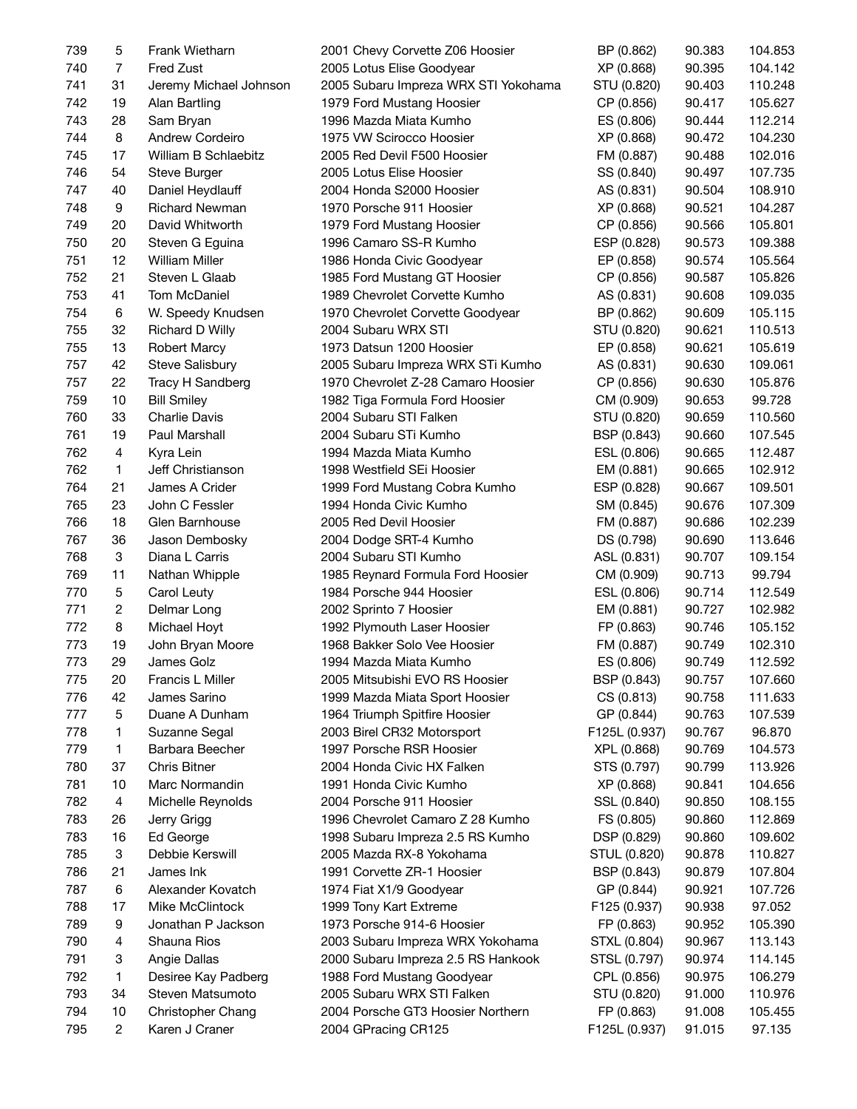| 739 | 5                         | Frank Wietharn         | 2001 Chevy Corvette Z06 Hoosier      | BP (0.862)    | 90.383 | 104.853 |
|-----|---------------------------|------------------------|--------------------------------------|---------------|--------|---------|
| 740 | $\overline{7}$            | Fred Zust              | 2005 Lotus Elise Goodyear            | XP (0.868)    | 90.395 | 104.142 |
| 741 | 31                        | Jeremy Michael Johnson | 2005 Subaru Impreza WRX STI Yokohama | STU (0.820)   | 90.403 | 110.248 |
| 742 | 19                        | Alan Bartling          | 1979 Ford Mustang Hoosier            | CP (0.856)    | 90.417 | 105.627 |
| 743 | 28                        | Sam Bryan              | 1996 Mazda Miata Kumho               | ES (0.806)    | 90.444 | 112.214 |
| 744 | 8                         | Andrew Cordeiro        | 1975 VW Scirocco Hoosier             | XP (0.868)    | 90.472 | 104.230 |
| 745 | 17                        | William B Schlaebitz   | 2005 Red Devil F500 Hoosier          | FM (0.887)    | 90.488 | 102.016 |
| 746 | 54                        | Steve Burger           | 2005 Lotus Elise Hoosier             | SS (0.840)    | 90.497 | 107.735 |
| 747 | 40                        | Daniel Heydlauff       | 2004 Honda S2000 Hoosier             | AS (0.831)    | 90.504 | 108.910 |
| 748 | 9                         | <b>Richard Newman</b>  | 1970 Porsche 911 Hoosier             | XP (0.868)    | 90.521 | 104.287 |
| 749 | 20                        | David Whitworth        | 1979 Ford Mustang Hoosier            | CP (0.856)    | 90.566 | 105.801 |
| 750 | 20                        | Steven G Eguina        | 1996 Camaro SS-R Kumho               | ESP (0.828)   | 90.573 | 109.388 |
| 751 | 12                        | <b>William Miller</b>  | 1986 Honda Civic Goodyear            | EP (0.858)    | 90.574 | 105.564 |
| 752 | 21                        | Steven L Glaab         | 1985 Ford Mustang GT Hoosier         | CP (0.856)    | 90.587 | 105.826 |
| 753 | 41                        | <b>Tom McDaniel</b>    | 1989 Chevrolet Corvette Kumho        | AS (0.831)    | 90.608 | 109.035 |
| 754 | 6                         | W. Speedy Knudsen      | 1970 Chevrolet Corvette Goodyear     | BP (0.862)    | 90.609 | 105.115 |
| 755 | 32                        | Richard D Willy        | 2004 Subaru WRX STI                  | STU (0.820)   | 90.621 | 110.513 |
| 755 | 13                        | <b>Robert Marcy</b>    | 1973 Datsun 1200 Hoosier             | EP (0.858)    | 90.621 | 105.619 |
| 757 | 42                        | <b>Steve Salisbury</b> | 2005 Subaru Impreza WRX STi Kumho    | AS (0.831)    | 90.630 | 109.061 |
| 757 | 22                        | Tracy H Sandberg       | 1970 Chevrolet Z-28 Camaro Hoosier   | CP (0.856)    | 90.630 | 105.876 |
| 759 | 10                        | <b>Bill Smiley</b>     | 1982 Tiga Formula Ford Hoosier       |               | 90.653 | 99.728  |
| 760 | 33                        | <b>Charlie Davis</b>   | 2004 Subaru STI Falken               | CM (0.909)    |        | 110.560 |
| 761 | 19                        |                        | 2004 Subaru STi Kumho                | STU (0.820)   | 90.659 | 107.545 |
|     |                           | Paul Marshall          |                                      | BSP (0.843)   | 90.660 |         |
| 762 | 4                         | Kyra Lein              | 1994 Mazda Miata Kumho               | ESL (0.806)   | 90.665 | 112.487 |
| 762 | $\mathbf{1}$              | Jeff Christianson      | 1998 Westfield SEi Hoosier           | EM (0.881)    | 90.665 | 102.912 |
| 764 | 21                        | James A Crider         | 1999 Ford Mustang Cobra Kumho        | ESP (0.828)   | 90.667 | 109.501 |
| 765 | 23                        | John C Fessler         | 1994 Honda Civic Kumho               | SM (0.845)    | 90.676 | 107.309 |
| 766 | 18                        | Glen Barnhouse         | 2005 Red Devil Hoosier               | FM (0.887)    | 90.686 | 102.239 |
| 767 | 36                        | Jason Dembosky         | 2004 Dodge SRT-4 Kumho               | DS (0.798)    | 90.690 | 113.646 |
| 768 | $\ensuremath{\mathsf{3}}$ | Diana L Carris         | 2004 Subaru STI Kumho                | ASL (0.831)   | 90.707 | 109.154 |
| 769 | 11                        | Nathan Whipple         | 1985 Reynard Formula Ford Hoosier    | CM (0.909)    | 90.713 | 99.794  |
| 770 | 5                         | Carol Leuty            | 1984 Porsche 944 Hoosier             | ESL (0.806)   | 90.714 | 112.549 |
| 771 | $\overline{c}$            | Delmar Long            | 2002 Sprinto 7 Hoosier               | EM (0.881)    | 90.727 | 102.982 |
| 772 | 8                         | Michael Hoyt           | 1992 Plymouth Laser Hoosier          | FP (0.863)    | 90.746 | 105.152 |
| 773 | 19                        | John Bryan Moore       | 1968 Bakker Solo Vee Hoosier         | FM (0.887)    | 90.749 | 102.310 |
| 773 | 29                        | James Golz             | 1994 Mazda Miata Kumho               | ES (0.806)    | 90.749 | 112.592 |
| 775 | 20                        | Francis L Miller       | 2005 Mitsubishi EVO RS Hoosier       | BSP (0.843)   | 90.757 | 107.660 |
| 776 | 42                        | James Sarino           | 1999 Mazda Miata Sport Hoosier       | CS (0.813)    | 90.758 | 111.633 |
| 777 | 5                         | Duane A Dunham         | 1964 Triumph Spitfire Hoosier        | GP (0.844)    | 90.763 | 107.539 |
| 778 | 1                         | Suzanne Segal          | 2003 Birel CR32 Motorsport           | F125L (0.937) | 90.767 | 96.870  |
| 779 | $\mathbf{1}$              | Barbara Beecher        | 1997 Porsche RSR Hoosier             | XPL (0.868)   | 90.769 | 104.573 |
| 780 | 37                        | Chris Bitner           | 2004 Honda Civic HX Falken           | STS (0.797)   | 90.799 | 113.926 |
| 781 | 10                        | Marc Normandin         | 1991 Honda Civic Kumho               | XP (0.868)    | 90.841 | 104.656 |
| 782 | 4                         | Michelle Reynolds      | 2004 Porsche 911 Hoosier             | SSL (0.840)   | 90.850 | 108.155 |
| 783 | 26                        | Jerry Grigg            | 1996 Chevrolet Camaro Z 28 Kumho     | FS (0.805)    | 90.860 | 112.869 |
| 783 | 16                        | Ed George              | 1998 Subaru Impreza 2.5 RS Kumho     | DSP (0.829)   | 90.860 | 109.602 |
| 785 | 3                         | Debbie Kerswill        | 2005 Mazda RX-8 Yokohama             | STUL (0.820)  | 90.878 | 110.827 |
| 786 | 21                        | James Ink              | 1991 Corvette ZR-1 Hoosier           | BSP (0.843)   | 90.879 | 107.804 |
| 787 | 6                         | Alexander Kovatch      | 1974 Fiat X1/9 Goodyear              | GP (0.844)    | 90.921 | 107.726 |
| 788 | 17                        | Mike McClintock        | 1999 Tony Kart Extreme               | F125 (0.937)  | 90.938 | 97.052  |
| 789 | 9                         | Jonathan P Jackson     | 1973 Porsche 914-6 Hoosier           | FP (0.863)    | 90.952 | 105.390 |
| 790 | 4                         | Shauna Rios            | 2003 Subaru Impreza WRX Yokohama     | STXL (0.804)  | 90.967 | 113.143 |
| 791 | 3                         | Angie Dallas           | 2000 Subaru Impreza 2.5 RS Hankook   | STSL (0.797)  | 90.974 | 114.145 |
| 792 | 1                         | Desiree Kay Padberg    | 1988 Ford Mustang Goodyear           | CPL (0.856)   | 90.975 | 106.279 |
| 793 | 34                        | Steven Matsumoto       | 2005 Subaru WRX STI Falken           | STU (0.820)   | 91.000 | 110.976 |
| 794 | 10                        | Christopher Chang      | 2004 Porsche GT3 Hoosier Northern    | FP (0.863)    | 91.008 | 105.455 |
| 795 | $\overline{2}$            | Karen J Craner         | 2004 GPracing CR125                  | F125L (0.937) | 91.015 | 97.135  |
|     |                           |                        |                                      |               |        |         |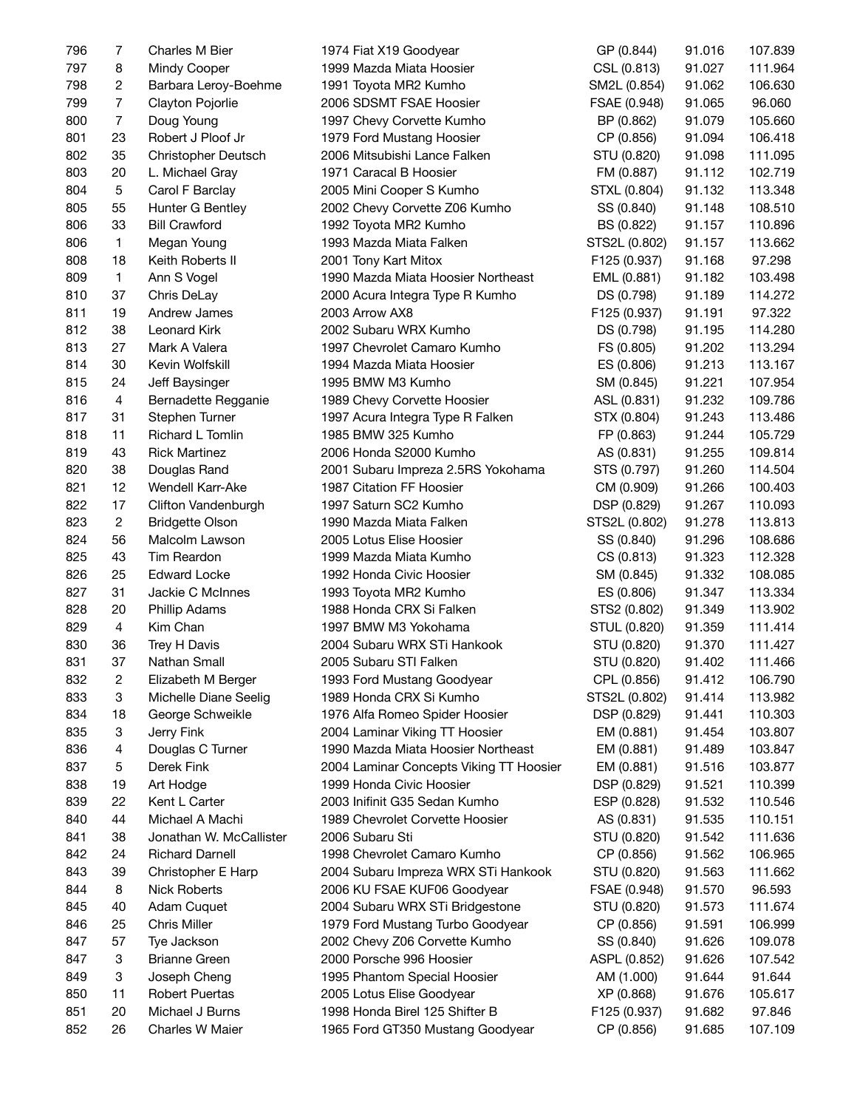| 796 | $\overline{7}$ | Charles M Bier          | 1974 Fiat X19 Goodyear                  | GP (0.844)    | 91.016 | 107.839 |
|-----|----------------|-------------------------|-----------------------------------------|---------------|--------|---------|
| 797 | 8              | Mindy Cooper            | 1999 Mazda Miata Hoosier                | CSL (0.813)   | 91.027 | 111.964 |
| 798 | 2              | Barbara Leroy-Boehme    | 1991 Toyota MR2 Kumho                   | SM2L (0.854)  | 91.062 | 106.630 |
| 799 | $\overline{7}$ | Clayton Pojorlie        | 2006 SDSMT FSAE Hoosier                 | FSAE (0.948)  | 91.065 | 96.060  |
| 800 | $\overline{7}$ | Doug Young              | 1997 Chevy Corvette Kumho               | BP (0.862)    | 91.079 | 105.660 |
| 801 | 23             | Robert J Ploof Jr       | 1979 Ford Mustang Hoosier               | CP (0.856)    | 91.094 | 106.418 |
| 802 | 35             | Christopher Deutsch     | 2006 Mitsubishi Lance Falken            | STU (0.820)   | 91.098 | 111.095 |
| 803 | 20             | L. Michael Gray         | 1971 Caracal B Hoosier                  | FM (0.887)    | 91.112 | 102.719 |
| 804 | 5              | Carol F Barclay         | 2005 Mini Cooper S Kumho                | STXL (0.804)  | 91.132 | 113.348 |
| 805 | 55             | Hunter G Bentley        | 2002 Chevy Corvette Z06 Kumho           | SS (0.840)    | 91.148 | 108.510 |
| 806 | 33             | <b>Bill Crawford</b>    | 1992 Toyota MR2 Kumho                   | BS (0.822)    | 91.157 | 110.896 |
| 806 | $\mathbf{1}$   | Megan Young             | 1993 Mazda Miata Falken                 | STS2L (0.802) | 91.157 | 113.662 |
| 808 | 18             | Keith Roberts II        | 2001 Tony Kart Mitox                    | F125 (0.937)  | 91.168 | 97.298  |
| 809 | $\mathbf{1}$   | Ann S Vogel             | 1990 Mazda Miata Hoosier Northeast      | EML (0.881)   | 91.182 | 103.498 |
| 810 | 37             | Chris DeLay             | 2000 Acura Integra Type R Kumho         | DS (0.798)    | 91.189 | 114.272 |
| 811 | 19             | Andrew James            | 2003 Arrow AX8                          | F125 (0.937)  | 91.191 | 97.322  |
| 812 | 38             | Leonard Kirk            | 2002 Subaru WRX Kumho                   | DS (0.798)    | 91.195 | 114.280 |
| 813 | 27             | Mark A Valera           | 1997 Chevrolet Camaro Kumho             | FS (0.805)    | 91.202 | 113.294 |
| 814 | 30             | Kevin Wolfskill         | 1994 Mazda Miata Hoosier                | ES (0.806)    | 91.213 | 113.167 |
| 815 | 24             | Jeff Baysinger          | 1995 BMW M3 Kumho                       | SM (0.845)    | 91.221 | 107.954 |
| 816 | 4              | Bernadette Regganie     | 1989 Chevy Corvette Hoosier             | ASL (0.831)   | 91.232 | 109.786 |
| 817 | 31             | Stephen Turner          | 1997 Acura Integra Type R Falken        | STX (0.804)   | 91.243 | 113.486 |
| 818 | 11             | Richard L Tomlin        | 1985 BMW 325 Kumho                      | FP (0.863)    | 91.244 | 105.729 |
| 819 | 43             | <b>Rick Martinez</b>    | 2006 Honda S2000 Kumho                  | AS (0.831)    | 91.255 | 109.814 |
| 820 | 38             | Douglas Rand            | 2001 Subaru Impreza 2.5RS Yokohama      | STS (0.797)   | 91.260 | 114.504 |
| 821 | 12             | Wendell Karr-Ake        | 1987 Citation FF Hoosier                | CM (0.909)    | 91.266 | 100.403 |
| 822 | 17             | Clifton Vandenburgh     | 1997 Saturn SC2 Kumho                   | DSP (0.829)   | 91.267 | 110.093 |
| 823 | $\overline{c}$ | <b>Bridgette Olson</b>  | 1990 Mazda Miata Falken                 | STS2L (0.802) | 91.278 | 113.813 |
| 824 | 56             | Malcolm Lawson          | 2005 Lotus Elise Hoosier                | SS (0.840)    | 91.296 | 108.686 |
| 825 | 43             | Tim Reardon             | 1999 Mazda Miata Kumho                  | CS (0.813)    | 91.323 | 112.328 |
| 826 | 25             | <b>Edward Locke</b>     | 1992 Honda Civic Hoosier                | SM (0.845)    | 91.332 | 108.085 |
| 827 | 31             | Jackie C McInnes        | 1993 Toyota MR2 Kumho                   | ES (0.806)    | 91.347 | 113.334 |
| 828 | 20             | <b>Phillip Adams</b>    | 1988 Honda CRX Si Falken                | STS2 (0.802)  | 91.349 | 113.902 |
| 829 | 4              | Kim Chan                | 1997 BMW M3 Yokohama                    | STUL (0.820)  | 91.359 | 111.414 |
| 830 | 36             | Trey H Davis            | 2004 Subaru WRX STi Hankook             | STU (0.820)   | 91.370 | 111.427 |
| 831 | 37             | Nathan Small            | 2005 Subaru STI Falken                  | STU (0.820)   | 91.402 | 111.466 |
| 832 | $\overline{c}$ | Elizabeth M Berger      | 1993 Ford Mustang Goodyear              | CPL (0.856)   | 91.412 | 106.790 |
| 833 | 3              | Michelle Diane Seelig   | 1989 Honda CRX Si Kumho                 | STS2L (0.802) | 91.414 | 113.982 |
| 834 | 18             | George Schweikle        | 1976 Alfa Romeo Spider Hoosier          | DSP (0.829)   | 91.441 | 110.303 |
| 835 | 3              | Jerry Fink              | 2004 Laminar Viking TT Hoosier          | EM (0.881)    | 91.454 | 103.807 |
| 836 | 4              | Douglas C Turner        | 1990 Mazda Miata Hoosier Northeast      | EM (0.881)    | 91.489 | 103.847 |
| 837 | 5              | Derek Fink              | 2004 Laminar Concepts Viking TT Hoosier | EM (0.881)    | 91.516 | 103.877 |
| 838 | 19             | Art Hodge               | 1999 Honda Civic Hoosier                | DSP (0.829)   | 91.521 | 110.399 |
| 839 | 22             | Kent L Carter           | 2003 Inifinit G35 Sedan Kumho           | ESP (0.828)   | 91.532 | 110.546 |
| 840 | 44             | Michael A Machi         | 1989 Chevrolet Corvette Hoosier         | AS (0.831)    | 91.535 | 110.151 |
| 841 | 38             | Jonathan W. McCallister | 2006 Subaru Sti                         | STU (0.820)   | 91.542 | 111.636 |
| 842 | 24             | <b>Richard Darnell</b>  | 1998 Chevrolet Camaro Kumho             | CP (0.856)    | 91.562 | 106.965 |
| 843 | 39             | Christopher E Harp      | 2004 Subaru Impreza WRX STi Hankook     | STU (0.820)   | 91.563 | 111.662 |
| 844 | 8              | <b>Nick Roberts</b>     | 2006 KU FSAE KUF06 Goodyear             | FSAE (0.948)  | 91.570 | 96.593  |
| 845 | 40             | Adam Cuquet             | 2004 Subaru WRX STi Bridgestone         | STU (0.820)   | 91.573 | 111.674 |
| 846 | 25             | Chris Miller            | 1979 Ford Mustang Turbo Goodyear        | CP (0.856)    | 91.591 | 106.999 |
| 847 | 57             | Tye Jackson             | 2002 Chevy Z06 Corvette Kumho           | SS (0.840)    | 91.626 | 109.078 |
| 847 | 3              | <b>Brianne Green</b>    | 2000 Porsche 996 Hoosier                | ASPL (0.852)  | 91.626 | 107.542 |
| 849 | 3              | Joseph Cheng            | 1995 Phantom Special Hoosier            | AM (1.000)    | 91.644 | 91.644  |
| 850 | 11             | <b>Robert Puertas</b>   | 2005 Lotus Elise Goodyear               | XP (0.868)    | 91.676 | 105.617 |
| 851 | 20             | Michael J Burns         | 1998 Honda Birel 125 Shifter B          | F125 (0.937)  | 91.682 | 97.846  |
| 852 | 26             | Charles W Maier         | 1965 Ford GT350 Mustang Goodyear        | CP (0.856)    | 91.685 | 107.109 |
|     |                |                         |                                         |               |        |         |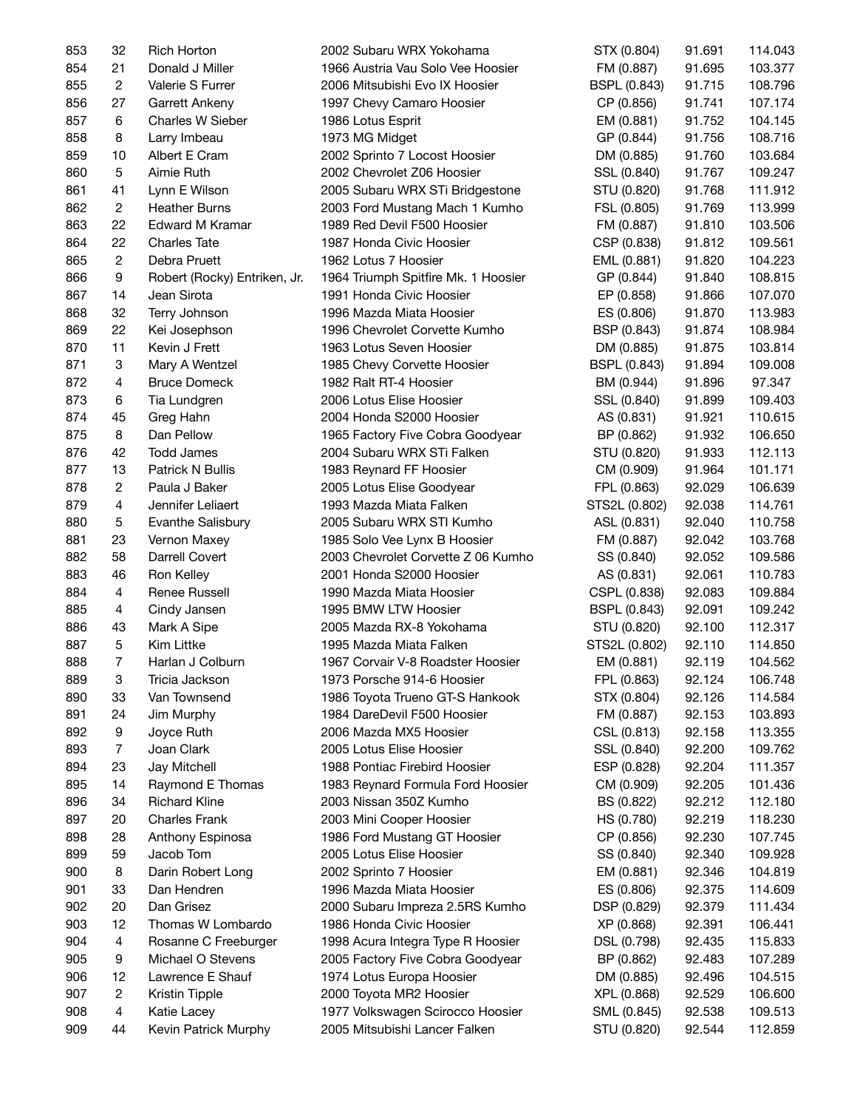| 853        | 32             | Rich Horton                    | 2002 Subaru WRX Yokohama                                       | STX (0.804)         | 91.691 | 114.043 |
|------------|----------------|--------------------------------|----------------------------------------------------------------|---------------------|--------|---------|
| 854        | 21             | Donald J Miller                | 1966 Austria Vau Solo Vee Hoosier                              | FM (0.887)          | 91.695 | 103.377 |
| 855        | $\overline{c}$ | Valerie S Furrer               | 2006 Mitsubishi Evo IX Hoosier                                 | <b>BSPL (0.843)</b> | 91.715 | 108.796 |
| 856        | 27             | Garrett Ankeny                 | 1997 Chevy Camaro Hoosier                                      | CP (0.856)          | 91.741 | 107.174 |
| 857        | 6              | Charles W Sieber               | 1986 Lotus Esprit                                              | EM (0.881)          | 91.752 | 104.145 |
| 858        | 8              | Larry Imbeau                   | 1973 MG Midget                                                 | GP (0.844)          | 91.756 | 108.716 |
| 859        | 10             | Albert E Cram                  | 2002 Sprinto 7 Locost Hoosier                                  | DM (0.885)          | 91.760 | 103.684 |
| 860        | 5              | Aimie Ruth                     | 2002 Chevrolet Z06 Hoosier                                     | SSL (0.840)         | 91.767 | 109.247 |
| 861        | 41             | Lynn E Wilson                  | 2005 Subaru WRX STi Bridgestone                                | STU (0.820)         | 91.768 | 111.912 |
| 862        | $\overline{2}$ | <b>Heather Burns</b>           | 2003 Ford Mustang Mach 1 Kumho                                 | FSL (0.805)         | 91.769 | 113.999 |
| 863        | 22             | Edward M Kramar                | 1989 Red Devil F500 Hoosier                                    | FM (0.887)          | 91.810 | 103.506 |
| 864        | 22             | <b>Charles Tate</b>            | 1987 Honda Civic Hoosier                                       | CSP (0.838)         | 91.812 | 109.561 |
| 865        | $\overline{2}$ | Debra Pruett                   | 1962 Lotus 7 Hoosier                                           | EML (0.881)         | 91.820 | 104.223 |
| 866        | 9              | Robert (Rocky) Entriken, Jr.   | 1964 Triumph Spitfire Mk. 1 Hoosier                            | GP (0.844)          | 91.840 | 108.815 |
| 867        | 14             | Jean Sirota                    | 1991 Honda Civic Hoosier                                       | EP (0.858)          | 91.866 | 107.070 |
| 868        | 32             | Terry Johnson                  | 1996 Mazda Miata Hoosier                                       | ES (0.806)          | 91.870 | 113.983 |
| 869        | 22             | Kei Josephson                  | 1996 Chevrolet Corvette Kumho                                  | BSP (0.843)         | 91.874 | 108.984 |
| 870        | 11             | Kevin J Frett                  | 1963 Lotus Seven Hoosier                                       | DM (0.885)          | 91.875 | 103.814 |
| 871        | 3              | Mary A Wentzel                 | 1985 Chevy Corvette Hoosier                                    | BSPL (0.843)        | 91.894 | 109.008 |
| 872        | 4              | <b>Bruce Domeck</b>            | 1982 Ralt RT-4 Hoosier                                         | BM (0.944)          | 91.896 | 97.347  |
| 873        | 6              | Tia Lundgren                   | 2006 Lotus Elise Hoosier                                       | SSL (0.840)         | 91.899 | 109.403 |
| 874        | 45             | Greg Hahn                      | 2004 Honda S2000 Hoosier                                       | AS (0.831)          | 91.921 | 110.615 |
| 875        | 8              | Dan Pellow                     | 1965 Factory Five Cobra Goodyear                               | BP (0.862)          | 91.932 | 106.650 |
| 876        | 42             | Todd James                     | 2004 Subaru WRX STi Falken                                     | STU (0.820)         | 91.933 | 112.113 |
| 877        | 13             | Patrick N Bullis               | 1983 Reynard FF Hoosier                                        | CM (0.909)          | 91.964 | 101.171 |
| 878        | $\overline{c}$ | Paula J Baker                  | 2005 Lotus Elise Goodyear                                      | FPL (0.863)         | 92.029 | 106.639 |
| 879        | 4              | Jennifer Leliaert              | 1993 Mazda Miata Falken                                        | STS2L (0.802)       | 92.038 | 114.761 |
|            | 5              |                                |                                                                |                     |        |         |
| 880<br>881 | 23             | Evanthe Salisbury              | 2005 Subaru WRX STI Kumho                                      | ASL (0.831)         | 92.040 | 110.758 |
| 882        | 58             | Vernon Maxey<br>Darrell Covert | 1985 Solo Vee Lynx B Hoosier                                   | FM (0.887)          | 92.042 | 103.768 |
| 883        | 46             |                                | 2003 Chevrolet Corvette Z 06 Kumho<br>2001 Honda S2000 Hoosier | SS (0.840)          | 92.052 | 109.586 |
|            | $\overline{4}$ | Ron Kelley<br>Renee Russell    |                                                                | AS (0.831)          | 92.061 | 110.783 |
| 884        | $\overline{4}$ |                                | 1990 Mazda Miata Hoosier                                       | CSPL (0.838)        | 92.083 | 109.884 |
| 885        |                | Cindy Jansen                   | 1995 BMW LTW Hoosier                                           | <b>BSPL (0.843)</b> | 92.091 | 109.242 |
| 886        | 43             | Mark A Sipe                    | 2005 Mazda RX-8 Yokohama                                       | STU (0.820)         | 92.100 | 112.317 |
| 887        | 5              | Kim Littke                     | 1995 Mazda Miata Falken                                        | STS2L (0.802)       | 92.110 | 114.850 |
| 888        | 7              | Harlan J Colburn               | 1967 Corvair V-8 Roadster Hoosier                              | EM (0.881)          | 92.119 | 104.562 |
| 889        | 3              | Tricia Jackson                 | 1973 Porsche 914-6 Hoosier                                     | FPL (0.863)         | 92.124 | 106.748 |
| 890        | 33             | Van Townsend                   | 1986 Toyota Trueno GT-S Hankook                                | STX (0.804)         | 92.126 | 114.584 |
| 891        | 24             | Jim Murphy                     | 1984 DareDevil F500 Hoosier                                    | FM (0.887)          | 92.153 | 103.893 |
| 892        | 9              | Joyce Ruth                     | 2006 Mazda MX5 Hoosier                                         | CSL (0.813)         | 92.158 | 113.355 |
| 893        | $\overline{7}$ | Joan Clark                     | 2005 Lotus Elise Hoosier                                       | SSL (0.840)         | 92.200 | 109.762 |
| 894        | 23             | Jay Mitchell                   | 1988 Pontiac Firebird Hoosier                                  | ESP (0.828)         | 92.204 | 111.357 |
| 895        | 14             | Raymond E Thomas               | 1983 Reynard Formula Ford Hoosier                              | CM (0.909)          | 92.205 | 101.436 |
| 896        | 34             | <b>Richard Kline</b>           | 2003 Nissan 350Z Kumho                                         | BS (0.822)          | 92.212 | 112.180 |
| 897        | 20             | <b>Charles Frank</b>           | 2003 Mini Cooper Hoosier                                       | HS (0.780)          | 92.219 | 118.230 |
| 898        | 28             | Anthony Espinosa               | 1986 Ford Mustang GT Hoosier                                   | CP (0.856)          | 92.230 | 107.745 |
| 899        | 59             | Jacob Tom                      | 2005 Lotus Elise Hoosier                                       | SS (0.840)          | 92.340 | 109.928 |
| 900        | 8              | Darin Robert Long              | 2002 Sprinto 7 Hoosier                                         | EM (0.881)          | 92.346 | 104.819 |
| 901        | 33             | Dan Hendren                    | 1996 Mazda Miata Hoosier                                       | ES (0.806)          | 92.375 | 114.609 |
| 902        | 20             | Dan Grisez                     | 2000 Subaru Impreza 2.5RS Kumho                                | DSP (0.829)         | 92.379 | 111.434 |
| 903        | 12             | Thomas W Lombardo              | 1986 Honda Civic Hoosier                                       | XP (0.868)          | 92.391 | 106.441 |
| 904        | 4              | Rosanne C Freeburger           | 1998 Acura Integra Type R Hoosier                              | DSL (0.798)         | 92.435 | 115.833 |
| 905        | 9              | Michael O Stevens              | 2005 Factory Five Cobra Goodyear                               | BP (0.862)          | 92.483 | 107.289 |
| 906        | 12             | Lawrence E Shauf               | 1974 Lotus Europa Hoosier                                      | DM (0.885)          | 92.496 | 104.515 |
| 907        | 2              | Kristin Tipple                 | 2000 Toyota MR2 Hoosier                                        | XPL (0.868)         | 92.529 | 106.600 |
| 908        | 4              | Katie Lacey                    | 1977 Volkswagen Scirocco Hoosier                               | SML (0.845)         | 92.538 | 109.513 |
| 909        | 44             | Kevin Patrick Murphy           | 2005 Mitsubishi Lancer Falken                                  | STU (0.820)         | 92.544 | 112.859 |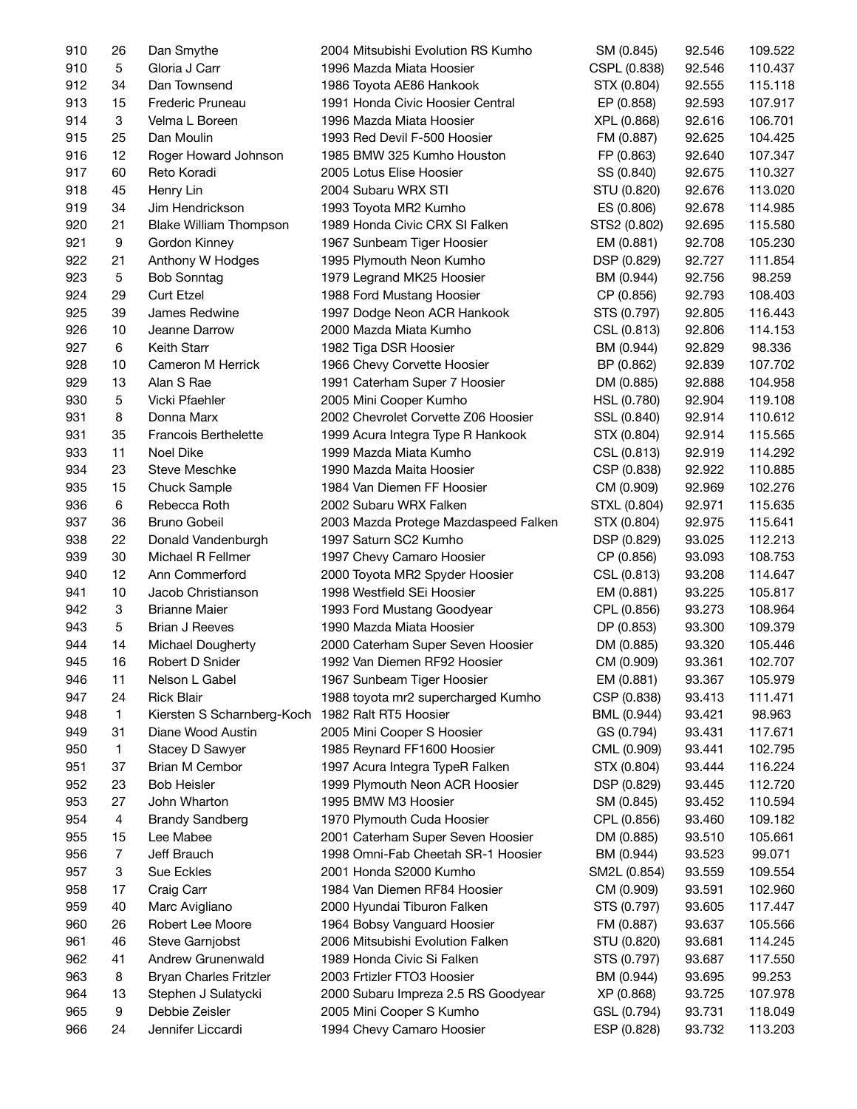| 910 | 26             | Dan Smythe                    | 2004 Mitsubishi Evolution RS Kumho                           | SM (0.845)   | 92.546 | 109.522 |
|-----|----------------|-------------------------------|--------------------------------------------------------------|--------------|--------|---------|
| 910 | 5              | Gloria J Carr                 | 1996 Mazda Miata Hoosier                                     | CSPL (0.838) | 92.546 | 110.437 |
| 912 | 34             | Dan Townsend                  | 1986 Toyota AE86 Hankook                                     | STX (0.804)  | 92.555 | 115.118 |
| 913 | 15             | Frederic Pruneau              | 1991 Honda Civic Hoosier Central                             | EP (0.858)   | 92.593 | 107.917 |
| 914 | 3              | Velma L Boreen                | 1996 Mazda Miata Hoosier                                     | XPL (0.868)  | 92.616 | 106.701 |
| 915 | 25             | Dan Moulin                    | 1993 Red Devil F-500 Hoosier                                 | FM (0.887)   | 92.625 | 104.425 |
| 916 | 12             | Roger Howard Johnson          | 1985 BMW 325 Kumho Houston                                   | FP (0.863)   | 92.640 | 107.347 |
| 917 | 60             | Reto Koradi                   | 2005 Lotus Elise Hoosier                                     | SS (0.840)   | 92.675 | 110.327 |
| 918 | 45             | Henry Lin                     | 2004 Subaru WRX STI                                          | STU (0.820)  | 92.676 | 113.020 |
| 919 | 34             | Jim Hendrickson               | 1993 Toyota MR2 Kumho                                        | ES (0.806)   | 92.678 | 114.985 |
| 920 | 21             | <b>Blake William Thompson</b> | 1989 Honda Civic CRX SI Falken                               | STS2 (0.802) | 92.695 | 115.580 |
| 921 | 9              | Gordon Kinney                 | 1967 Sunbeam Tiger Hoosier                                   | EM (0.881)   | 92.708 | 105.230 |
| 922 | 21             | Anthony W Hodges              | 1995 Plymouth Neon Kumho                                     | DSP (0.829)  | 92.727 | 111.854 |
| 923 | $\mathbf 5$    | <b>Bob Sonntag</b>            | 1979 Legrand MK25 Hoosier                                    | BM (0.944)   | 92.756 | 98.259  |
| 924 | 29             | <b>Curt Etzel</b>             | 1988 Ford Mustang Hoosier                                    | CP (0.856)   | 92.793 | 108.403 |
| 925 | 39             | James Redwine                 | 1997 Dodge Neon ACR Hankook                                  | STS (0.797)  | 92.805 | 116.443 |
| 926 | 10             | Jeanne Darrow                 | 2000 Mazda Miata Kumho                                       | CSL (0.813)  | 92.806 | 114.153 |
| 927 | 6              | <b>Keith Starr</b>            | 1982 Tiga DSR Hoosier                                        | BM (0.944)   | 92.829 | 98.336  |
| 928 | 10             | Cameron M Herrick             |                                                              | BP (0.862)   | 92.839 | 107.702 |
| 929 | 13             | Alan S Rae                    | 1966 Chevy Corvette Hoosier<br>1991 Caterham Super 7 Hoosier |              |        |         |
|     | 5              | Vicki Pfaehler                |                                                              | DM (0.885)   | 92.888 | 104.958 |
| 930 |                |                               | 2005 Mini Cooper Kumho                                       | HSL (0.780)  | 92.904 | 119.108 |
| 931 | 8              | Donna Marx                    | 2002 Chevrolet Corvette Z06 Hoosier                          | SSL (0.840)  | 92.914 | 110.612 |
| 931 | 35             | <b>Francois Berthelette</b>   | 1999 Acura Integra Type R Hankook                            | STX (0.804)  | 92.914 | 115.565 |
| 933 | 11             | Noel Dike                     | 1999 Mazda Miata Kumho                                       | CSL (0.813)  | 92.919 | 114.292 |
| 934 | 23             | Steve Meschke                 | 1990 Mazda Maita Hoosier                                     | CSP (0.838)  | 92.922 | 110.885 |
| 935 | 15             | Chuck Sample                  | 1984 Van Diemen FF Hoosier                                   | CM (0.909)   | 92.969 | 102.276 |
| 936 | 6              | Rebecca Roth                  | 2002 Subaru WRX Falken                                       | STXL (0.804) | 92.971 | 115.635 |
| 937 | 36             | Bruno Gobeil                  | 2003 Mazda Protege Mazdaspeed Falken                         | STX (0.804)  | 92.975 | 115.641 |
| 938 | 22             | Donald Vandenburgh            | 1997 Saturn SC2 Kumho                                        | DSP (0.829)  | 93.025 | 112.213 |
| 939 | 30             | Michael R Fellmer             | 1997 Chevy Camaro Hoosier                                    | CP (0.856)   | 93.093 | 108.753 |
| 940 | 12             | Ann Commerford                | 2000 Toyota MR2 Spyder Hoosier                               | CSL (0.813)  | 93.208 | 114.647 |
| 941 | 10             | Jacob Christianson            | 1998 Westfield SEi Hoosier                                   | EM (0.881)   | 93.225 | 105.817 |
| 942 | 3              | <b>Brianne Maier</b>          | 1993 Ford Mustang Goodyear                                   | CPL (0.856)  | 93.273 | 108.964 |
| 943 | 5              | <b>Brian J Reeves</b>         | 1990 Mazda Miata Hoosier                                     | DP (0.853)   | 93.300 | 109.379 |
| 944 | 14             | Michael Dougherty             | 2000 Caterham Super Seven Hoosier                            | DM (0.885)   | 93.320 | 105.446 |
| 945 | 16             | Robert D Snider               | 1992 Van Diemen RF92 Hoosier                                 | CM (0.909)   | 93.361 | 102.707 |
| 946 | 11             | Nelson L Gabel                | 1967 Sunbeam Tiger Hoosier                                   | EM (0.881)   | 93.367 | 105.979 |
| 947 | 24             | <b>Rick Blair</b>             | 1988 toyota mr2 supercharged Kumho                           | CSP (0.838)  | 93.413 | 111.471 |
| 948 | $\mathbf{1}$   | Kiersten S Scharnberg-Koch    | 1982 Ralt RT5 Hoosier                                        | BML (0.944)  | 93.421 | 98.963  |
| 949 | 31             | Diane Wood Austin             | 2005 Mini Cooper S Hoosier                                   | GS (0.794)   | 93.431 | 117.671 |
| 950 | $\mathbf{1}$   | Stacey D Sawyer               | 1985 Reynard FF1600 Hoosier                                  | CML (0.909)  | 93.441 | 102.795 |
| 951 | 37             | Brian M Cembor                | 1997 Acura Integra TypeR Falken                              | STX (0.804)  | 93.444 | 116.224 |
| 952 | 23             | <b>Bob Heisler</b>            | 1999 Plymouth Neon ACR Hoosier                               | DSP (0.829)  | 93.445 | 112.720 |
| 953 | 27             | John Wharton                  | 1995 BMW M3 Hoosier                                          | SM (0.845)   | 93.452 | 110.594 |
| 954 | 4              | <b>Brandy Sandberg</b>        | 1970 Plymouth Cuda Hoosier                                   | CPL (0.856)  | 93.460 | 109.182 |
| 955 | 15             | Lee Mabee                     | 2001 Caterham Super Seven Hoosier                            | DM (0.885)   | 93.510 | 105.661 |
| 956 | $\overline{7}$ | Jeff Brauch                   | 1998 Omni-Fab Cheetah SR-1 Hoosier                           | BM (0.944)   | 93.523 | 99.071  |
| 957 | 3              | Sue Eckles                    | 2001 Honda S2000 Kumho                                       | SM2L (0.854) | 93.559 | 109.554 |
| 958 | 17             | Craig Carr                    | 1984 Van Diemen RF84 Hoosier                                 | CM (0.909)   | 93.591 | 102.960 |
| 959 | 40             | Marc Avigliano                | 2000 Hyundai Tiburon Falken                                  | STS (0.797)  | 93.605 | 117.447 |
| 960 | 26             | Robert Lee Moore              | 1964 Bobsy Vanguard Hoosier                                  | FM (0.887)   | 93.637 | 105.566 |
| 961 | 46             | Steve Garnjobst               | 2006 Mitsubishi Evolution Falken                             | STU (0.820)  | 93.681 | 114.245 |
| 962 | 41             | Andrew Grunenwald             | 1989 Honda Civic Si Falken                                   | STS (0.797)  | 93.687 | 117.550 |
| 963 | 8              | <b>Bryan Charles Fritzler</b> | 2003 Frtizler FTO3 Hoosier                                   | BM (0.944)   | 93.695 | 99.253  |
| 964 | 13             | Stephen J Sulatycki           | 2000 Subaru Impreza 2.5 RS Goodyear                          | XP (0.868)   | 93.725 | 107.978 |
| 965 | 9              | Debbie Zeisler                | 2005 Mini Cooper S Kumho                                     | GSL (0.794)  | 93.731 | 118.049 |
| 966 | 24             | Jennifer Liccardi             | 1994 Chevy Camaro Hoosier                                    | ESP (0.828)  | 93.732 | 113.203 |
|     |                |                               |                                                              |              |        |         |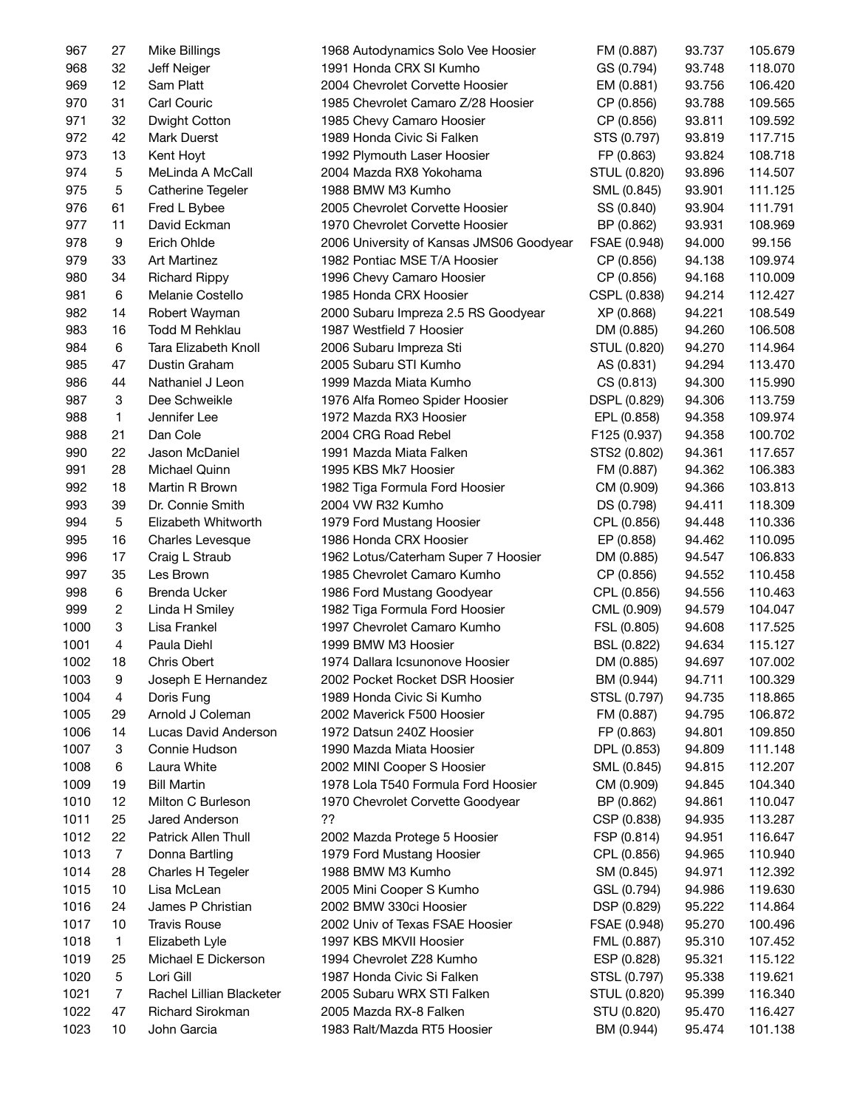| 967  | 27                      | Mike Billings            | 1968 Autodynamics Solo Vee Hoosier       | FM (0.887)   | 93.737 | 105.679 |
|------|-------------------------|--------------------------|------------------------------------------|--------------|--------|---------|
| 968  | 32                      | Jeff Neiger              | 1991 Honda CRX SI Kumho                  | GS (0.794)   | 93.748 | 118.070 |
| 969  | 12                      | Sam Platt                | 2004 Chevrolet Corvette Hoosier          | EM (0.881)   | 93.756 | 106.420 |
| 970  | 31                      | Carl Couric              | 1985 Chevrolet Camaro Z/28 Hoosier       | CP (0.856)   | 93.788 | 109.565 |
| 971  | 32                      | Dwight Cotton            | 1985 Chevy Camaro Hoosier                | CP (0.856)   | 93.811 | 109.592 |
| 972  | 42                      | Mark Duerst              | 1989 Honda Civic Si Falken               | STS (0.797)  | 93.819 | 117.715 |
| 973  | 13                      | Kent Hoyt                | 1992 Plymouth Laser Hoosier              | FP (0.863)   | 93.824 | 108.718 |
| 974  | 5                       | MeLinda A McCall         | 2004 Mazda RX8 Yokohama                  | STUL (0.820) | 93.896 | 114.507 |
| 975  | 5                       | Catherine Tegeler        | 1988 BMW M3 Kumho                        | SML (0.845)  | 93.901 | 111.125 |
| 976  | 61                      | Fred L Bybee             | 2005 Chevrolet Corvette Hoosier          | SS (0.840)   | 93.904 | 111.791 |
| 977  | 11                      | David Eckman             | 1970 Chevrolet Corvette Hoosier          | BP (0.862)   | 93.931 | 108.969 |
| 978  | 9                       | Erich Ohlde              | 2006 University of Kansas JMS06 Goodyear | FSAE (0.948) | 94.000 | 99.156  |
| 979  | 33                      | <b>Art Martinez</b>      | 1982 Pontiac MSE T/A Hoosier             | CP (0.856)   | 94.138 | 109.974 |
| 980  | 34                      | <b>Richard Rippy</b>     | 1996 Chevy Camaro Hoosier                | CP (0.856)   | 94.168 | 110.009 |
| 981  | $\,6\,$                 | Melanie Costello         | 1985 Honda CRX Hoosier                   | CSPL (0.838) | 94.214 | 112.427 |
| 982  | 14                      | Robert Wayman            | 2000 Subaru Impreza 2.5 RS Goodyear      | XP (0.868)   | 94.221 | 108.549 |
| 983  | 16                      | Todd M Rehklau           | 1987 Westfield 7 Hoosier                 | DM (0.885)   | 94.260 | 106.508 |
| 984  | 6                       | Tara Elizabeth Knoll     | 2006 Subaru Impreza Sti                  | STUL (0.820) | 94.270 | 114.964 |
| 985  | 47                      | Dustin Graham            | 2005 Subaru STI Kumho                    | AS (0.831)   | 94.294 | 113.470 |
| 986  | 44                      | Nathaniel J Leon         | 1999 Mazda Miata Kumho                   | CS (0.813)   | 94.300 | 115.990 |
| 987  | 3                       | Dee Schweikle            | 1976 Alfa Romeo Spider Hoosier           | DSPL (0.829) | 94.306 | 113.759 |
| 988  | 1                       | Jennifer Lee             | 1972 Mazda RX3 Hoosier                   | EPL (0.858)  | 94.358 | 109.974 |
| 988  | 21                      | Dan Cole                 | 2004 CRG Road Rebel                      | F125 (0.937) | 94.358 | 100.702 |
| 990  | 22                      | Jason McDaniel           | 1991 Mazda Miata Falken                  | STS2 (0.802) | 94.361 | 117.657 |
| 991  | 28                      | Michael Quinn            | 1995 KBS Mk7 Hoosier                     | FM (0.887)   | 94.362 | 106.383 |
| 992  | 18                      | Martin R Brown           | 1982 Tiga Formula Ford Hoosier           | CM (0.909)   | 94.366 | 103.813 |
| 993  | 39                      | Dr. Connie Smith         | 2004 VW R32 Kumho                        | DS (0.798)   | 94.411 | 118.309 |
| 994  | $\mathbf 5$             | Elizabeth Whitworth      | 1979 Ford Mustang Hoosier                | CPL (0.856)  | 94.448 | 110.336 |
| 995  | 16                      | Charles Levesque         | 1986 Honda CRX Hoosier                   | EP (0.858)   | 94.462 | 110.095 |
| 996  | 17                      | Craig L Straub           | 1962 Lotus/Caterham Super 7 Hoosier      | DM (0.885)   | 94.547 | 106.833 |
| 997  | 35                      | Les Brown                | 1985 Chevrolet Camaro Kumho              | CP (0.856)   | 94.552 | 110.458 |
| 998  | 6                       | <b>Brenda Ucker</b>      | 1986 Ford Mustang Goodyear               | CPL (0.856)  | 94.556 | 110.463 |
| 999  | $\overline{\mathbf{c}}$ | Linda H Smiley           | 1982 Tiga Formula Ford Hoosier           | CML (0.909)  | 94.579 | 104.047 |
| 1000 | 3                       | Lisa Frankel             | 1997 Chevrolet Camaro Kumho              | FSL (0.805)  | 94.608 | 117.525 |
| 1001 | 4                       | Paula Diehl              | 1999 BMW M3 Hoosier                      | BSL (0.822)  | 94.634 | 115.127 |
| 1002 | 18                      | <b>Chris Obert</b>       | 1974 Dallara Icsunonove Hoosier          | DM (0.885)   | 94.697 | 107.002 |
| 1003 | 9                       | Joseph E Hernandez       | 2002 Pocket Rocket DSR Hoosier           | BM (0.944)   | 94.711 | 100.329 |
| 1004 | 4                       | Doris Fung               | 1989 Honda Civic Si Kumho                | STSL (0.797) | 94.735 | 118.865 |
| 1005 | 29                      | Arnold J Coleman         | 2002 Maverick F500 Hoosier               | FM (0.887)   | 94.795 | 106.872 |
| 1006 | 14                      | Lucas David Anderson     | 1972 Datsun 240Z Hoosier                 | FP (0.863)   | 94.801 | 109.850 |
| 1007 | 3                       | Connie Hudson            | 1990 Mazda Miata Hoosier                 | DPL (0.853)  | 94.809 | 111.148 |
| 1008 | 6                       | Laura White              | 2002 MINI Cooper S Hoosier               | SML (0.845)  | 94.815 | 112.207 |
| 1009 | 19                      | <b>Bill Martin</b>       | 1978 Lola T540 Formula Ford Hoosier      | CM (0.909)   | 94.845 | 104.340 |
| 1010 | 12                      | Milton C Burleson        | 1970 Chevrolet Corvette Goodyear         | BP (0.862)   | 94.861 | 110.047 |
| 1011 | 25                      | Jared Anderson           | ??                                       | CSP (0.838)  | 94.935 | 113.287 |
| 1012 | 22                      | Patrick Allen Thull      | 2002 Mazda Protege 5 Hoosier             | FSP (0.814)  | 94.951 | 116.647 |
| 1013 | $\overline{7}$          | Donna Bartling           | 1979 Ford Mustang Hoosier                | CPL (0.856)  | 94.965 | 110.940 |
| 1014 | 28                      | Charles H Tegeler        | 1988 BMW M3 Kumho                        | SM (0.845)   | 94.971 | 112.392 |
| 1015 | 10                      | Lisa McLean              | 2005 Mini Cooper S Kumho                 | GSL (0.794)  | 94.986 | 119.630 |
| 1016 | 24                      | James P Christian        | 2002 BMW 330ci Hoosier                   | DSP (0.829)  | 95.222 | 114.864 |
| 1017 | 10                      | <b>Travis Rouse</b>      | 2002 Univ of Texas FSAE Hoosier          | FSAE (0.948) | 95.270 | 100.496 |
| 1018 | $\mathbf{1}$            | Elizabeth Lyle           | 1997 KBS MKVII Hoosier                   | FML (0.887)  | 95.310 | 107.452 |
| 1019 | 25                      | Michael E Dickerson      | 1994 Chevrolet Z28 Kumho                 | ESP (0.828)  | 95.321 | 115.122 |
| 1020 | 5                       | Lori Gill                | 1987 Honda Civic Si Falken               | STSL (0.797) | 95.338 | 119.621 |
| 1021 | $\overline{7}$          | Rachel Lillian Blacketer | 2005 Subaru WRX STI Falken               | STUL (0.820) | 95.399 | 116.340 |
| 1022 | 47                      | Richard Sirokman         | 2005 Mazda RX-8 Falken                   | STU (0.820)  | 95.470 | 116.427 |
| 1023 | 10                      | John Garcia              | 1983 Ralt/Mazda RT5 Hoosier              | BM (0.944)   | 95.474 | 101.138 |
|      |                         |                          |                                          |              |        |         |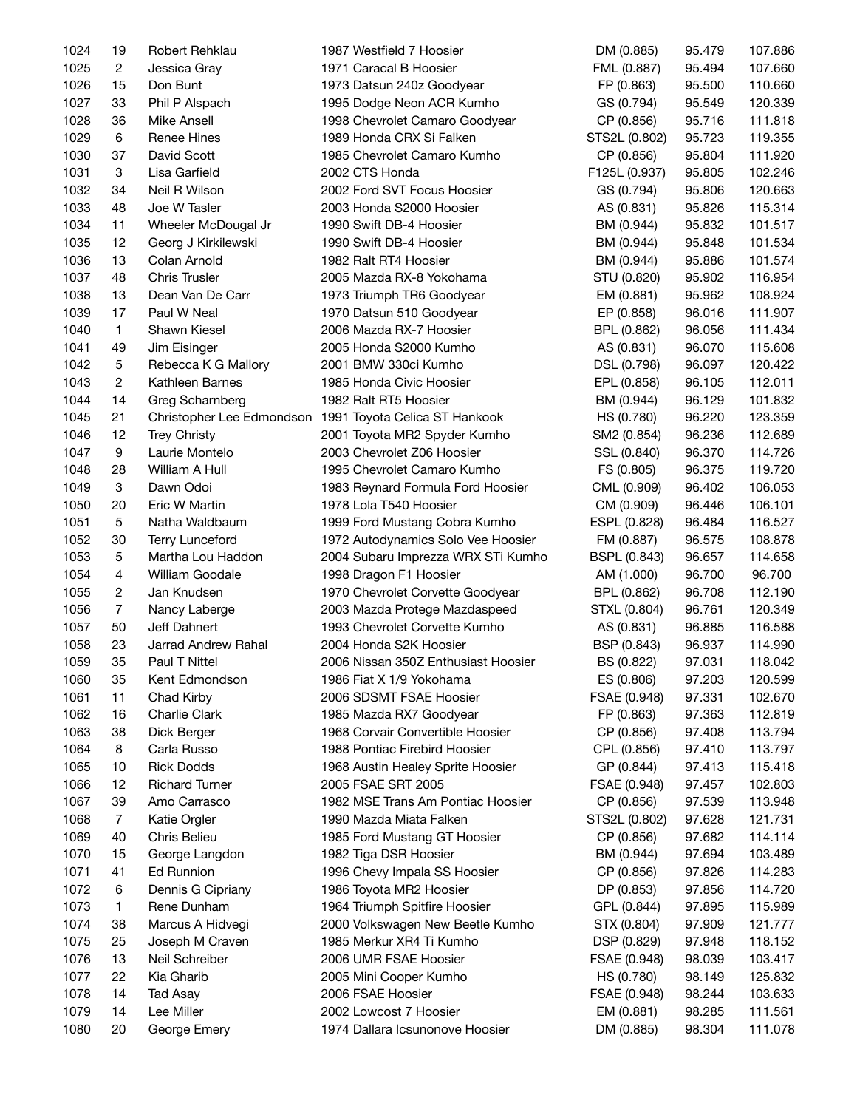| 1024 | 19             | Robert Rehklau         | 1987 Westfield 7 Hoosier                                | DM (0.885)          | 95.479 | 107.886 |
|------|----------------|------------------------|---------------------------------------------------------|---------------------|--------|---------|
| 1025 | $\mathbf{2}$   | Jessica Gray           | 1971 Caracal B Hoosier                                  | FML (0.887)         | 95.494 | 107.660 |
| 1026 | 15             | Don Bunt               | 1973 Datsun 240z Goodyear                               | FP (0.863)          | 95.500 | 110.660 |
| 1027 | 33             | Phil P Alspach         | 1995 Dodge Neon ACR Kumho                               | GS (0.794)          | 95.549 | 120.339 |
| 1028 | 36             | Mike Ansell            | 1998 Chevrolet Camaro Goodyear                          | CP (0.856)          | 95.716 | 111.818 |
| 1029 | 6              | Renee Hines            | 1989 Honda CRX Si Falken                                | STS2L (0.802)       | 95.723 | 119.355 |
| 1030 | 37             | David Scott            | 1985 Chevrolet Camaro Kumho                             | CP (0.856)          | 95.804 | 111.920 |
| 1031 | 3              | Lisa Garfield          | 2002 CTS Honda                                          | F125L (0.937)       | 95.805 | 102.246 |
| 1032 | 34             | Neil R Wilson          | 2002 Ford SVT Focus Hoosier                             | GS (0.794)          | 95.806 | 120.663 |
| 1033 | 48             | Joe W Tasler           | 2003 Honda S2000 Hoosier                                | AS (0.831)          | 95.826 | 115.314 |
| 1034 | 11             | Wheeler McDougal Jr    | 1990 Swift DB-4 Hoosier                                 | BM (0.944)          | 95.832 | 101.517 |
| 1035 | 12             | Georg J Kirkilewski    | 1990 Swift DB-4 Hoosier                                 | BM (0.944)          | 95.848 | 101.534 |
| 1036 | 13             | Colan Arnold           | 1982 Ralt RT4 Hoosier                                   | BM (0.944)          | 95.886 | 101.574 |
| 1037 | 48             | <b>Chris Trusler</b>   | 2005 Mazda RX-8 Yokohama                                | STU (0.820)         | 95.902 | 116.954 |
| 1038 | 13             | Dean Van De Carr       | 1973 Triumph TR6 Goodyear                               | EM (0.881)          | 95.962 | 108.924 |
| 1039 | 17             | Paul W Neal            | 1970 Datsun 510 Goodyear                                | EP (0.858)          | 96.016 | 111.907 |
| 1040 | $\mathbf{1}$   | Shawn Kiesel           | 2006 Mazda RX-7 Hoosier                                 | BPL (0.862)         | 96.056 | 111.434 |
|      |                | Jim Eisinger           | 2005 Honda S2000 Kumho                                  |                     |        |         |
| 1041 | 49             |                        |                                                         | AS (0.831)          | 96.070 | 115.608 |
| 1042 | 5              | Rebecca K G Mallory    | 2001 BMW 330ci Kumho                                    | DSL (0.798)         | 96.097 | 120.422 |
| 1043 | $\overline{c}$ | Kathleen Barnes        | 1985 Honda Civic Hoosier                                | EPL (0.858)         | 96.105 | 112.011 |
| 1044 | 14             | Greg Scharnberg        | 1982 Ralt RT5 Hoosier                                   | BM (0.944)          | 96.129 | 101.832 |
| 1045 | 21             |                        | Christopher Lee Edmondson 1991 Toyota Celica ST Hankook | HS (0.780)          | 96.220 | 123.359 |
| 1046 | 12             | <b>Trey Christy</b>    | 2001 Toyota MR2 Spyder Kumho                            | SM2 (0.854)         | 96.236 | 112.689 |
| 1047 | 9              | Laurie Montelo         | 2003 Chevrolet Z06 Hoosier                              | SSL (0.840)         | 96.370 | 114.726 |
| 1048 | 28             | William A Hull         | 1995 Chevrolet Camaro Kumho                             | FS (0.805)          | 96.375 | 119.720 |
| 1049 | 3              | Dawn Odoi              | 1983 Reynard Formula Ford Hoosier                       | CML (0.909)         | 96.402 | 106.053 |
| 1050 | 20             | Eric W Martin          | 1978 Lola T540 Hoosier                                  | CM (0.909)          | 96.446 | 106.101 |
| 1051 | $\mathbf 5$    | Natha Waldbaum         | 1999 Ford Mustang Cobra Kumho                           | ESPL (0.828)        | 96.484 | 116.527 |
| 1052 | 30             | <b>Terry Lunceford</b> | 1972 Autodynamics Solo Vee Hoosier                      | FM (0.887)          | 96.575 | 108.878 |
| 1053 | $\mathbf 5$    | Martha Lou Haddon      | 2004 Subaru Imprezza WRX STi Kumho                      | <b>BSPL (0.843)</b> | 96.657 | 114.658 |
| 1054 | $\overline{4}$ | William Goodale        | 1998 Dragon F1 Hoosier                                  | AM (1.000)          | 96.700 | 96.700  |
| 1055 | 2              | Jan Knudsen            | 1970 Chevrolet Corvette Goodyear                        | BPL (0.862)         | 96.708 | 112.190 |
| 1056 | $\overline{7}$ | Nancy Laberge          | 2003 Mazda Protege Mazdaspeed                           | STXL (0.804)        | 96.761 | 120.349 |
| 1057 | 50             | Jeff Dahnert           | 1993 Chevrolet Corvette Kumho                           | AS (0.831)          | 96.885 | 116.588 |
| 1058 | 23             | Jarrad Andrew Rahal    | 2004 Honda S2K Hoosier                                  | BSP (0.843)         | 96.937 | 114.990 |
| 1059 | 35             | Paul T Nittel          | 2006 Nissan 350Z Enthusiast Hoosier                     | BS (0.822)          | 97.031 | 118.042 |
| 1060 | 35             | Kent Edmondson         | 1986 Fiat X 1/9 Yokohama                                | ES (0.806)          | 97.203 | 120.599 |
| 1061 | 11             | Chad Kirby             | 2006 SDSMT FSAE Hoosier                                 | FSAE (0.948)        | 97.331 | 102.670 |
| 1062 | 16             | Charlie Clark          | 1985 Mazda RX7 Goodyear                                 | FP (0.863)          | 97.363 | 112.819 |
| 1063 | 38             | Dick Berger            | 1968 Corvair Convertible Hoosier                        | CP (0.856)          | 97.408 | 113.794 |
| 1064 | 8              | Carla Russo            | 1988 Pontiac Firebird Hoosier                           | CPL (0.856)         | 97.410 | 113.797 |
| 1065 | 10             | <b>Rick Dodds</b>      | 1968 Austin Healey Sprite Hoosier                       | GP (0.844)          | 97.413 | 115.418 |
| 1066 | 12             | <b>Richard Turner</b>  | 2005 FSAE SRT 2005                                      | FSAE (0.948)        | 97.457 | 102.803 |
| 1067 | 39             | Amo Carrasco           | 1982 MSE Trans Am Pontiac Hoosier                       | CP (0.856)          | 97.539 | 113.948 |
| 1068 | $\overline{7}$ | Katie Orgler           | 1990 Mazda Miata Falken                                 | STS2L (0.802)       | 97.628 | 121.731 |
| 1069 | 40             | Chris Belieu           | 1985 Ford Mustang GT Hoosier                            | CP (0.856)          | 97.682 | 114.114 |
| 1070 | 15             | George Langdon         | 1982 Tiga DSR Hoosier                                   | BM (0.944)          | 97.694 | 103.489 |
| 1071 | 41             | <b>Ed Runnion</b>      | 1996 Chevy Impala SS Hoosier                            | CP (0.856)          | 97.826 | 114.283 |
| 1072 | 6              | Dennis G Cipriany      | 1986 Toyota MR2 Hoosier                                 | DP (0.853)          | 97.856 | 114.720 |
| 1073 | 1              | Rene Dunham            | 1964 Triumph Spitfire Hoosier                           | GPL (0.844)         | 97.895 | 115.989 |
| 1074 | 38             | Marcus A Hidvegi       | 2000 Volkswagen New Beetle Kumho                        | STX (0.804)         | 97.909 | 121.777 |
| 1075 | 25             | Joseph M Craven        | 1985 Merkur XR4 Ti Kumho                                | DSP (0.829)         | 97.948 | 118.152 |
| 1076 | 13             | Neil Schreiber         | 2006 UMR FSAE Hoosier                                   | FSAE (0.948)        | 98.039 | 103.417 |
| 1077 | 22             | Kia Gharib             | 2005 Mini Cooper Kumho                                  | HS (0.780)          | 98.149 | 125.832 |
| 1078 | 14             | Tad Asay               | 2006 FSAE Hoosier                                       | FSAE (0.948)        | 98.244 | 103.633 |
| 1079 |                | Lee Miller             | 2002 Lowcost 7 Hoosier                                  |                     |        |         |
|      | 14             |                        |                                                         | EM (0.881)          | 98.285 | 111.561 |
| 1080 | 20             | George Emery           | 1974 Dallara Icsunonove Hoosier                         | DM (0.885)          | 98.304 | 111.078 |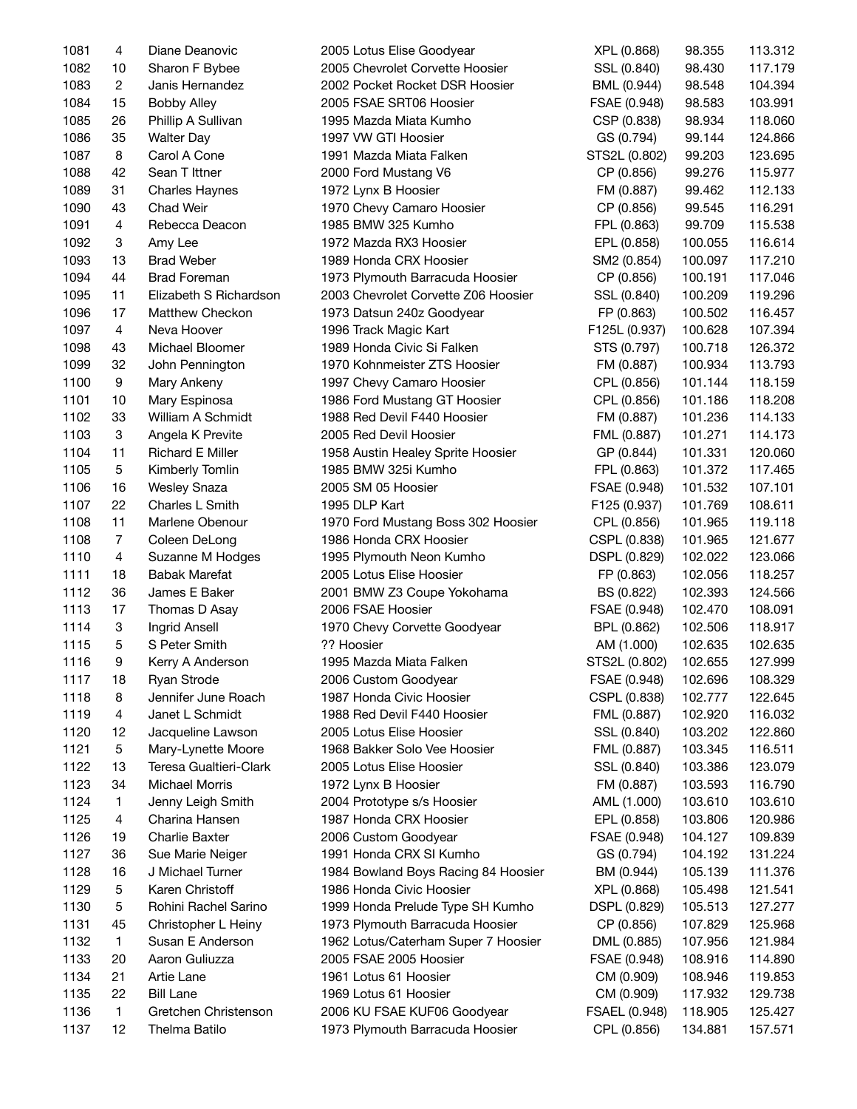| 1081 | 4              | Diane Deanovic         | 2005 Lotus Elise Goodyear           | XPL (0.868)   | 98.355  | 113.312 |
|------|----------------|------------------------|-------------------------------------|---------------|---------|---------|
| 1082 | 10             | Sharon F Bybee         | 2005 Chevrolet Corvette Hoosier     | SSL (0.840)   | 98.430  | 117.179 |
| 1083 | $\overline{c}$ | Janis Hernandez        | 2002 Pocket Rocket DSR Hoosier      | BML (0.944)   | 98.548  | 104.394 |
| 1084 | 15             | <b>Bobby Alley</b>     | 2005 FSAE SRT06 Hoosier             | FSAE (0.948)  | 98.583  | 103.991 |
| 1085 | 26             | Phillip A Sullivan     | 1995 Mazda Miata Kumho              | CSP (0.838)   | 98.934  | 118.060 |
| 1086 | 35             | <b>Walter Day</b>      | 1997 VW GTI Hoosier                 | GS (0.794)    | 99.144  | 124.866 |
| 1087 | 8              | Carol A Cone           | 1991 Mazda Miata Falken             | STS2L (0.802) | 99.203  | 123.695 |
| 1088 | 42             | Sean T Ittner          | 2000 Ford Mustang V6                | CP (0.856)    | 99.276  | 115.977 |
| 1089 | 31             | <b>Charles Haynes</b>  | 1972 Lynx B Hoosier                 | FM (0.887)    | 99.462  | 112.133 |
| 1090 | 43             | Chad Weir              | 1970 Chevy Camaro Hoosier           | CP (0.856)    | 99.545  | 116.291 |
| 1091 | 4              | Rebecca Deacon         | 1985 BMW 325 Kumho                  | FPL (0.863)   | 99.709  | 115.538 |
| 1092 | 3              | Amy Lee                | 1972 Mazda RX3 Hoosier              | EPL (0.858)   | 100.055 | 116.614 |
| 1093 | 13             | <b>Brad Weber</b>      | 1989 Honda CRX Hoosier              | SM2 (0.854)   | 100.097 | 117.210 |
| 1094 | 44             | <b>Brad Foreman</b>    | 1973 Plymouth Barracuda Hoosier     | CP (0.856)    | 100.191 | 117.046 |
| 1095 | 11             | Elizabeth S Richardson | 2003 Chevrolet Corvette Z06 Hoosier | SSL (0.840)   | 100.209 | 119.296 |
| 1096 | 17             | Matthew Checkon        | 1973 Datsun 240z Goodyear           | FP (0.863)    | 100.502 | 116.457 |
| 1097 | $\overline{4}$ | Neva Hoover            | 1996 Track Magic Kart               | F125L (0.937) | 100.628 | 107.394 |
| 1098 | 43             | Michael Bloomer        | 1989 Honda Civic Si Falken          | STS (0.797)   | 100.718 | 126.372 |
| 1099 | 32             | John Pennington        | 1970 Kohnmeister ZTS Hoosier        | FM (0.887)    | 100.934 | 113.793 |
| 1100 | 9              | Mary Ankeny            | 1997 Chevy Camaro Hoosier           | CPL (0.856)   | 101.144 | 118.159 |
| 1101 | 10             | Mary Espinosa          | 1986 Ford Mustang GT Hoosier        | CPL (0.856)   | 101.186 | 118.208 |
| 1102 | 33             | William A Schmidt      | 1988 Red Devil F440 Hoosier         | FM (0.887)    | 101.236 | 114.133 |
| 1103 | 3              | Angela K Previte       | 2005 Red Devil Hoosier              |               | 101.271 | 114.173 |
| 1104 | 11             | Richard E Miller       | 1958 Austin Healey Sprite Hoosier   | FML (0.887)   | 101.331 | 120.060 |
|      |                |                        |                                     | GP (0.844)    |         |         |
| 1105 | 5              | Kimberly Tomlin        | 1985 BMW 325i Kumho                 | FPL (0.863)   | 101.372 | 117.465 |
| 1106 | 16             | <b>Wesley Snaza</b>    | 2005 SM 05 Hoosier                  | FSAE (0.948)  | 101.532 | 107.101 |
| 1107 | 22             | Charles L Smith        | 1995 DLP Kart                       | F125 (0.937)  | 101.769 | 108.611 |
| 1108 | 11             | Marlene Obenour        | 1970 Ford Mustang Boss 302 Hoosier  | CPL (0.856)   | 101.965 | 119.118 |
| 1108 | $\overline{7}$ | Coleen DeLong          | 1986 Honda CRX Hoosier              | CSPL (0.838)  | 101.965 | 121.677 |
| 1110 | $\overline{4}$ | Suzanne M Hodges       | 1995 Plymouth Neon Kumho            | DSPL (0.829)  | 102.022 | 123.066 |
| 1111 | 18             | <b>Babak Marefat</b>   | 2005 Lotus Elise Hoosier            | FP (0.863)    | 102.056 | 118.257 |
| 1112 | 36             | James E Baker          | 2001 BMW Z3 Coupe Yokohama          | BS (0.822)    | 102.393 | 124.566 |
| 1113 | 17             | Thomas D Asay          | 2006 FSAE Hoosier                   | FSAE (0.948)  | 102.470 | 108.091 |
| 1114 | 3              | Ingrid Ansell          | 1970 Chevy Corvette Goodyear        | BPL (0.862)   | 102.506 | 118.917 |
| 1115 | 5              | S Peter Smith          | ?? Hoosier                          | AM (1.000)    | 102.635 | 102.635 |
| 1116 | 9              | Kerry A Anderson       | 1995 Mazda Miata Falken             | STS2L (0.802) | 102.655 | 127.999 |
| 1117 | 18             | Ryan Strode            | 2006 Custom Goodyear                | FSAE (0.948)  | 102.696 | 108.329 |
| 1118 | 8              | Jennifer June Roach    | 1987 Honda Civic Hoosier            | CSPL (0.838)  | 102.777 | 122.645 |
| 1119 | 4              | Janet L Schmidt        | 1988 Red Devil F440 Hoosier         | FML (0.887)   | 102.920 | 116.032 |
| 1120 | 12             | Jacqueline Lawson      | 2005 Lotus Elise Hoosier            | SSL (0.840)   | 103.202 | 122.860 |
| 1121 | 5              | Mary-Lynette Moore     | 1968 Bakker Solo Vee Hoosier        | FML (0.887)   | 103.345 | 116.511 |
| 1122 | 13             | Teresa Gualtieri-Clark | 2005 Lotus Elise Hoosier            | SSL (0.840)   | 103.386 | 123.079 |
| 1123 | 34             | <b>Michael Morris</b>  | 1972 Lynx B Hoosier                 | FM (0.887)    | 103.593 | 116.790 |
| 1124 | 1              | Jenny Leigh Smith      | 2004 Prototype s/s Hoosier          | AML (1.000)   | 103.610 | 103.610 |
| 1125 | 4              | Charina Hansen         | 1987 Honda CRX Hoosier              | EPL (0.858)   | 103.806 | 120.986 |
| 1126 | 19             | <b>Charlie Baxter</b>  | 2006 Custom Goodyear                | FSAE (0.948)  | 104.127 | 109.839 |
| 1127 | 36             | Sue Marie Neiger       | 1991 Honda CRX SI Kumho             | GS (0.794)    | 104.192 | 131.224 |
| 1128 | 16             | J Michael Turner       | 1984 Bowland Boys Racing 84 Hoosier | BM (0.944)    | 105.139 | 111.376 |
| 1129 | 5              | Karen Christoff        | 1986 Honda Civic Hoosier            | XPL (0.868)   | 105.498 | 121.541 |
| 1130 | 5              | Rohini Rachel Sarino   | 1999 Honda Prelude Type SH Kumho    | DSPL (0.829)  | 105.513 | 127.277 |
| 1131 | 45             | Christopher L Heiny    | 1973 Plymouth Barracuda Hoosier     | CP (0.856)    | 107.829 | 125.968 |
| 1132 | 1              | Susan E Anderson       | 1962 Lotus/Caterham Super 7 Hoosier | DML (0.885)   | 107.956 | 121.984 |
| 1133 | 20             | Aaron Guliuzza         | 2005 FSAE 2005 Hoosier              | FSAE (0.948)  | 108.916 | 114.890 |
| 1134 | 21             | Artie Lane             | 1961 Lotus 61 Hoosier               | CM (0.909)    | 108.946 | 119.853 |
| 1135 | 22             | <b>Bill Lane</b>       | 1969 Lotus 61 Hoosier               | CM (0.909)    | 117.932 | 129.738 |
| 1136 | 1              | Gretchen Christenson   | 2006 KU FSAE KUF06 Goodyear         | FSAEL (0.948) | 118.905 | 125.427 |
| 1137 | 12             | Thelma Batilo          | 1973 Plymouth Barracuda Hoosier     | CPL (0.856)   | 134.881 | 157.571 |
|      |                |                        |                                     |               |         |         |